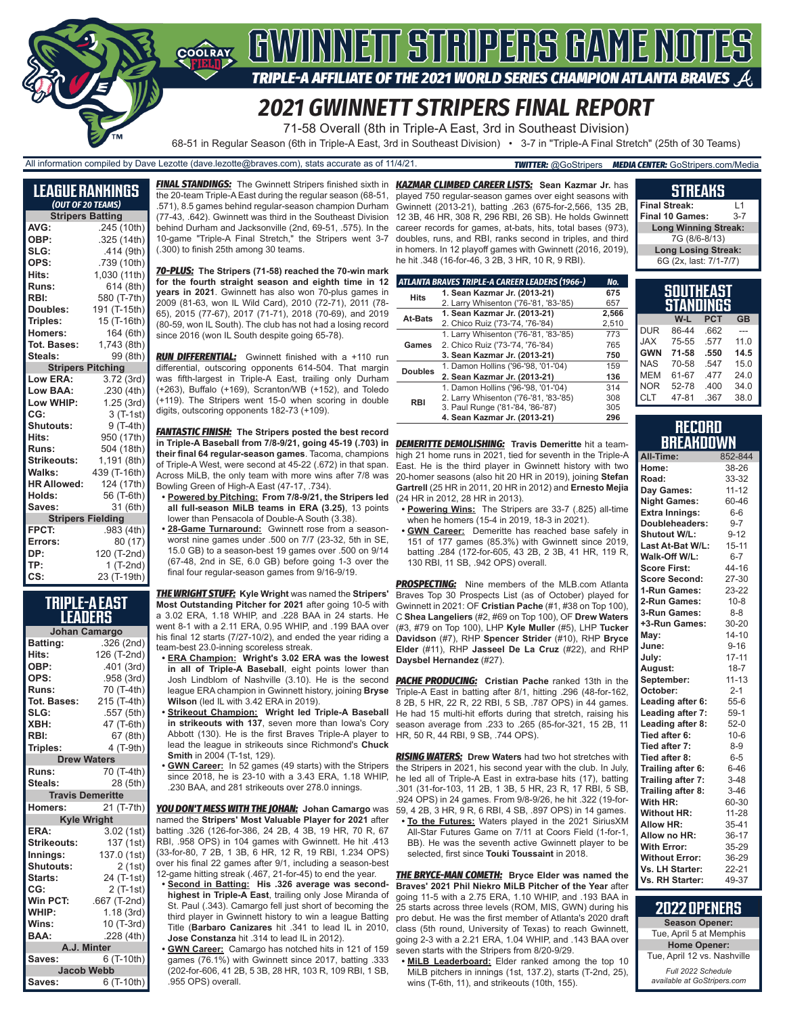# GWINNEIT STRIPERS GAME NOTES

TRIPLE-A AFFILIATE OF THE 2021 WORLD SERIES CHAMPION ATLANTA BRAVES

# *2021 GWINNETT STRIPERS FINAL REPORT*

71-58 Overall (8th in Triple-A East, 3rd in Southeast Division)

68-51 in Regular Season (6th in Triple-A East, 3rd in Southeast Division) • 3-7 in "Triple-A Final Stretch" (25th of 30 Teams)

All information compiled by Dave Lezotte (dave.lezotte@braves.com), stats accurate as of 11/4/21. *TWITTER:* @GoStripers *MEDIA CENTER:* GoStripers.com/Media

COOLRAY

| League Rankings          |                         |  |  |  |  |  |
|--------------------------|-------------------------|--|--|--|--|--|
| (OUT OF 20 TEAMS)        |                         |  |  |  |  |  |
|                          | <b>Stripers Batting</b> |  |  |  |  |  |
| AVG:                     | .245 (10th)             |  |  |  |  |  |
| OBP:                     | .325 (14th)             |  |  |  |  |  |
| SLG:                     | .414(9th)               |  |  |  |  |  |
| OPS:                     | .739 (10th)             |  |  |  |  |  |
| Hits:                    | 1,030 (11th)            |  |  |  |  |  |
| Runs:                    | 614 (8th)               |  |  |  |  |  |
| RBI:                     | 580 (T-7th)             |  |  |  |  |  |
| Doubles:                 | 191 (T-15th)            |  |  |  |  |  |
| Triples:                 | 15 (T-16th)             |  |  |  |  |  |
| Homers:                  | 164 (6th)               |  |  |  |  |  |
| Tot. Bases:              | 1,743 (8th)             |  |  |  |  |  |
| Steals:                  | 99 (8th)                |  |  |  |  |  |
| <b>Stripers Pitching</b> |                         |  |  |  |  |  |
| Low ERA:                 | 3.72(3rd)               |  |  |  |  |  |
| Low BAA:                 | .230(4th)               |  |  |  |  |  |
| Low WHIP:                | 1.25 (3rd)              |  |  |  |  |  |
| CG:                      | 3 (T-1st)               |  |  |  |  |  |
| Shutouts:                | 9 (T-4th)               |  |  |  |  |  |
| Hits:                    | 950 (17th)              |  |  |  |  |  |
| Runs:                    | 504 (18th)              |  |  |  |  |  |
| <b>Strikeouts:</b>       | 1,191 (8th)             |  |  |  |  |  |
| Walks:                   | 439 (T-16th)            |  |  |  |  |  |
| <b>HR Allowed:</b>       | 124 (17th)              |  |  |  |  |  |
| Holds:                   | 56 (T-6th)              |  |  |  |  |  |
| Saves:                   | 31 (6th)                |  |  |  |  |  |
| <b>Stripers Fielding</b> |                         |  |  |  |  |  |
| FPCT:                    | .983 (4th)              |  |  |  |  |  |
| Errors:                  | 80 (17)                 |  |  |  |  |  |
| DP:                      | 120 (T-2nd)             |  |  |  |  |  |
| TP:                      | $1(T-2nd)$              |  |  |  |  |  |
| CS:                      | 23 (T-19th)             |  |  |  |  |  |

**TRIPLE-A EAST LEADERS**

|                         | Johan Camargo |  |  |  |  |
|-------------------------|---------------|--|--|--|--|
| Batting:                | .326 (2nd)    |  |  |  |  |
| Hits:                   | 126 (T-2nd)   |  |  |  |  |
| OBP:                    | .401 (3rd)    |  |  |  |  |
| OPS:                    | .958 (3rd)    |  |  |  |  |
| Runs:                   | 70 (T-4th)    |  |  |  |  |
| Tot. Bases:             | 215 (T-4th)   |  |  |  |  |
| SLG:                    | .557 (5th)    |  |  |  |  |
| XBH:                    | 47 (T-6th)    |  |  |  |  |
| RBI:                    | 67 (8th)      |  |  |  |  |
| Triples:                | 4 (T-9th)     |  |  |  |  |
| <b>Drew Waters</b>      |               |  |  |  |  |
| Runs:                   | 70 (T-4th)    |  |  |  |  |
| Steals:                 | 28 (5th)      |  |  |  |  |
| <b>Travis Demeritte</b> |               |  |  |  |  |
| Homers:                 | 21 (T-7th)    |  |  |  |  |
| <b>Kyle Wright</b>      |               |  |  |  |  |
| ERA:                    | 3.02 (1st)    |  |  |  |  |
| Strikeouts:             | 137 (1st)     |  |  |  |  |
| Innings:                | 137.0 (1st)   |  |  |  |  |
| Shutouts:               | 2(1st)        |  |  |  |  |
| Starts:                 | 24 (T-1st)    |  |  |  |  |
| CG:                     | 2 (T-1st)     |  |  |  |  |
| Win PCT:                | .667 (T-2nd)  |  |  |  |  |
| WHIP:                   | 1.18(3rd)     |  |  |  |  |
| Wins:                   | 10 (T-3rd)    |  |  |  |  |
| BAA:                    | .228 (4th)    |  |  |  |  |
| A.J. Minter             |               |  |  |  |  |
| Saves:                  | 6 (T-10th)    |  |  |  |  |
| <b>Jacob Webb</b>       |               |  |  |  |  |
| Saves:                  | 6 (T-10th)    |  |  |  |  |

the 20-team Triple-A East during the regular season (68-51, .571), 8.5 games behind regular-season champion Durham (77-43, .642). Gwinnett was third in the Southeast Division behind Durham and Jacksonville (2nd, 69-51, .575). In the 10-game "Triple-A Final Stretch," the Stripers went 3-7 (.300) to finish 25th among 30 teams.

*70-PLUS:* **The Stripers (71-58) reached the 70-win mark for the fourth straight season and eighth time in 12 years in 2021**. Gwinnett has also won 70-plus games in 2009 (81-63, won IL Wild Card), 2010 (72-71), 2011 (78- 65), 2015 (77-67), 2017 (71-71), 2018 (70-69), and 2019 (80-59, won IL South). The club has not had a losing record since 2016 (won IL South despite going 65-78).

*RUN DIFFERENTIAL:* Gwinnett finished with a +110 run differential, outscoring opponents 614-504. That margin was fifth-largest in Triple-A East, trailing only Durham (+263), Buffalo (+169), Scranton/WB (+152), and Toledo (+119). The Stripers went 15-0 when scoring in double digits, outscoring opponents 182-73 (+109).

*FANTASTIC FINISH:* **The Stripers posted the best record in Triple-A Baseball from 7/8-9/21, going 45-19 (.703) in**  *DEMERITTE DEMOLISHING:* **Travis Demeritte** hit a team**their final 64 regular-season games**. Tacoma, champions of Triple-A West, were second at 45-22 (.672) in that span. Across MiLB, the only team with more wins after 7/8 was Bowling Green of High-A East (47-17, .734).

- **• Powered by Pitching: From 7/8-9/21, the Stripers led all full-season MiLB teams in ERA (3.25)**, 13 points lower than Pensacola of Double-A South (3.38).
- **• 28-Game Turnaround:** Gwinnett rose from a seasonworst nine games under .500 on 7/7 (23-32, 5th in SE, 15.0 GB) to a season-best 19 games over .500 on 9/14 (67-48, 2nd in SE, 6.0 GB) before going 1-3 over the final four regular-season games from 9/16-9/19.

*THE WRIGHT STUFF:* **Kyle Wright** was named the **Stripers' Most Outstanding Pitcher for 2021** after going 10-5 with a 3.02 ERA, 1.18 WHIP, and .228 BAA in 24 starts. He went 8-1 with a 2.11 ERA, 0.95 WHIP, and .199 BAA over his final 12 starts (7/27-10/2), and ended the year riding a team-best 23.0-inning scoreless streak.

- **• ERA Champion: Wright's 3.02 ERA was the lowest in all of Triple-A Baseball**, eight points lower than league ERA champion in Gwinnett history, joining **Bryse Wilson** (led IL with 3.42 ERA in 2019).
- **• Strikeout Champion: Wright led Triple-A Baseball in strikeouts with 137**, seven more than Iowa's Cory Abbott (130). He is the first Braves Triple-A player to HR, 50 R, 44 RBI, 9 SB, .744 OPS). lead the league in strikeouts since Richmond's **Chuck Smith** in 2004 (T-1st, 129).
- **• GWN Career:** In 52 games (49 starts) with the Stripers .230 BAA, and 281 strikeouts over 278.0 innings.

*YOU DON'T MESS WITH THE JOHAN:* **Johan Camargo** was named the **Stripers' Most Valuable Player for 2021** after batting .326 (126-for-386, 24 2B, 4 3B, 19 HR, 70 R, 67 RBI, .958 OPS) in 104 games with Gwinnett. He hit .413 (33-for-80, 7 2B, 1 3B, 6 HR, 12 R, 19 RBI, 1.234 OPS) over his final 22 games after 9/1, including a season-best 12-game hitting streak (.467, 21-for-45) to end the year.

**• Second in Batting: His .326 average was secondhighest in Triple-A East**, trailing only Jose Miranda of St. Paul (.343). Camargo fell just short of becoming the third player in Gwinnett history to win a league Batting Title (**Barbaro Canizares** hit .341 to lead IL in 2010, **Jose Constanza** hit .314 to lead IL in 2012).

**• GWN Career:** Camargo has notched hits in 121 of 159 games (76.1%) with Gwinnett since 2017, batting .333 (202-for-606, 41 2B, 5 3B, 28 HR, 103 R, 109 RBI, 1 SB, .955 OPS) overall.

*FINAL STANDINGS:* The Gwinnett Stripers finished sixth in *KAZMAR CLIMBED CAREER LISTS:* **Sean Kazmar Jr.** has played 750 regular-season games over eight seasons with Gwinnett (2013-21), batting .263 (675-for-2,566, 135 2B, 12 3B, 46 HR, 308 R, 296 RBI, 26 SB). He holds Gwinnett career records for games, at-bats, hits, total bases (973), doubles, runs, and RBI, ranks second in triples, and third in homers. In 12 playoff games with Gwinnett (2016, 2019), he hit .348 (16-for-46, 3 2B, 3 HR, 10 R, 9 RBI).

|                | ATLANTA BRAVES TRIPLE-A CAREER LEADERS (1966-) | No.   |
|----------------|------------------------------------------------|-------|
| <b>Hits</b>    | 1. Sean Kazmar Jr. (2013-21)                   | 675   |
|                | 2. Larry Whisenton ('76-'81, '83-'85)          | 657   |
| At-Bats        | 1. Sean Kazmar Jr. (2013-21)                   | 2.566 |
|                | 2. Chico Ruiz ('73-'74, '76-'84)               | 2.510 |
|                | 1. Larry Whisenton ('76-'81, '83-'85)          | 773   |
| Games          | 2. Chico Ruiz ('73-'74, '76-'84)               | 765   |
|                | 3. Sean Kazmar Jr. (2013-21)                   | 750   |
| <b>Doubles</b> | 1. Damon Hollins ('96-'98, '01-'04)            | 159   |
|                | 2. Sean Kazmar Jr. (2013-21)                   | 136   |
|                | 1. Damon Hollins ('96-'98, '01-'04)            | 314   |
| <b>RBI</b>     | 2. Larry Whisenton ('76-'81, '83-'85)          | 308   |
|                | 3. Paul Runge ('81-'84, '86-'87)               | 305   |
|                | 4. Sean Kazmar Jr. (2013-21)                   | 296   |
|                |                                                |       |

high 21 home runs in 2021, tied for seventh in the Triple-A East. He is the third player in Gwinnett history with two 20-homer seasons (also hit 20 HR in 2019), joining **Stefan Gartrell** (25 HR in 2011, 20 HR in 2012) and **Ernesto Mejia** (24 HR in 2012, 28 HR in 2013).

- **• Powering Wins:** The Stripers are 33-7 (.825) all-time when he homers (15-4 in 2019, 18-3 in 2021).
- **• GWN Career:** Demeritte has reached base safely in 151 of 177 games (85.3%) with Gwinnett since 2019, batting .284 (172-for-605, 43 2B, 2 3B, 41 HR, 119 R, 130 RBI, 11 SB, .942 OPS) overall.

**PROSPECTING:** Nine members of the MLB.com Atlanta Braves Top 30 Prospects List (as of October) played for Gwinnett in 2021: OF **Cristian Pache** (#1, #38 on Top 100), C **Shea Langeliers** (#2, #69 on Top 100), OF **Drew Waters** (#3, #79 on Top 100), LHP **Kyle Muller** (#5), LHP **Tucker Davidson** (#7), RHP **Spencer Strider** (#10), RHP **Bryce Elder** (#11), RHP **Jasseel De La Cruz** (#22), and RHP **Daysbel Hernandez** (#27).

Josh Lindblom of Nashville (3.10). He is the second *PACHE PRODUCING:* **Cristian Pache** ranked 13th in the Triple-A East in batting after 8/1, hitting .296 (48-for-162, 8 2B, 5 HR, 22 R, 22 RBI, 5 SB, .787 OPS) in 44 games. He had 15 multi-hit efforts during that stretch, raising his season average from .233 to .265 (85-for-321, 15 2B, 11

since 2018, he is 23-10 with a 3.43 ERA, 1.18 WHIP, he led all of Triple-A East in extra-base hits (17), batting *RISING WATERS:* **Drew Waters** had two hot stretches with the Stripers in 2021, his second year with the club. In July, .301 (31-for-103, 11 2B, 1 3B, 5 HR, 23 R, 17 RBI, 5 SB, .924 OPS) in 24 games. From 9/8-9/26, he hit .322 (19-for-59, 4 2B, 3 HR, 9 R, 6 RBI, 4 SB, .897 OPS) in 14 games.

**• To the Futures:** Waters played in the 2021 SiriusXM All-Star Futures Game on 7/11 at Coors Field (1-for-1, BB). He was the seventh active Gwinnett player to be selected, first since **Touki Toussaint** in 2018.

*THE BRYCE-MAN COMETH:* **Bryce Elder was named the Braves' 2021 Phil Niekro MiLB Pitcher of the Year** after going 11-5 with a 2.75 ERA, 1.10 WHIP, and .193 BAA in 25 starts across three levels (ROM, MIS, GWN) during his pro debut. He was the first member of Atlanta's 2020 draft class (5th round, University of Texas) to reach Gwinnett, going 2-3 with a 2.21 ERA, 1.04 WHIP, and .143 BAA over seven starts with the Stripers from 8/20-9/29.

**• MiLB Leaderboard:** Elder ranked among the top 10 MiLB pitchers in innings (1st, 137.2), starts (T-2nd, 25), wins (T-6th, 11), and strikeouts (10th, 155).

| <b>STREAKS</b>              |         |  |  |  |
|-----------------------------|---------|--|--|--|
| <b>Final Streak:</b>        | l 1     |  |  |  |
| <b>Final 10 Games:</b>      | $3 - 7$ |  |  |  |
| <b>Long Winning Streak:</b> |         |  |  |  |
| 7G (8/6-8/13)               |         |  |  |  |
| <b>Long Losing Streak:</b>  |         |  |  |  |
| 6G (2x, last: 7/1-7/7)      |         |  |  |  |

| SOUTHEAST<br>STANDINGS |       |            |      |  |  |
|------------------------|-------|------------|------|--|--|
|                        | W-L   | <b>PCT</b> | GB   |  |  |
| <b>DUR</b>             | 86-44 | .662       |      |  |  |
| <b>XAL</b>             | 75-55 | .577       | 11.0 |  |  |
| <b>GWN</b>             | 71-58 | .550       | 14.5 |  |  |
| <b>NAS</b>             | 70-58 | .547       | 15.0 |  |  |
| MEM                    | 61-67 | .477       | 24.0 |  |  |
| <b>NOR</b>             | 52-78 | .400       | 34.0 |  |  |
| <b>CLT</b>             | 47-81 | .367       | 38.0 |  |  |

#### **RECORD BREAKDOWN**

| All-Time:             | 852-844   |
|-----------------------|-----------|
| Home:                 | 38-26     |
| Road:                 | 33-32     |
| Day Games:            | $11 - 12$ |
| <b>Night Games:</b>   | 60-46     |
| <b>Extra Innings:</b> | $6-6$     |
| Doubleheaders:        | $9 - 7$   |
| <b>Shutout W/L:</b>   | $9 - 12$  |
| Last At-Bat W/L:      | 15-11     |
| Walk-Off W/L:         | $6 - 7$   |
| <b>Score First:</b>   | 44-16     |
| <b>Score Second:</b>  | 27-30     |
| 1-Run Games:          | 23-22     |
| 2-Run Games:          | $10 - 8$  |
| 3-Run Games:          | $8 - 8$   |
| +3-Run Games:         | 30-20     |
| May:                  | $14 - 10$ |
| June:                 | $9 - 16$  |
| July:                 | $17 - 11$ |
| August:               | $18 - 7$  |
| September:            | $11 - 13$ |
| October:              | $2 - 1$   |
| Leading after 6:      | $55-6$    |
| Leading after 7:      | $59-1$    |
| Leading after 8:      | $52-0$    |
| Tied after 6:         | $10-6$    |
| Tied after 7:         | $8 - 9$   |
| Tied after 8:         | $6-5$     |
| Trailing after 6:     | $6 - 46$  |
| Trailing after 7:     | $3-48$    |
| Trailing after 8:     | $3 - 46$  |
| With HR:              | 60-30     |
| <b>Without HR:</b>    | 11-28     |
| <b>Allow HR:</b>      | 35-41     |
| Allow no HR:          | 36-17     |
| <b>With Error:</b>    | 35-29     |
| <b>Without Error:</b> | 36-29     |
| Vs. LH Starter:       | $22 - 21$ |
| Vs. RH Starter:       | 49-37     |

| <b>2022 OPENERS</b>                               |
|---------------------------------------------------|
| <b>Season Opener:</b>                             |
| Tue, April 5 at Memphis                           |
| <b>Home Opener:</b>                               |
| Tue, April 12 vs. Nashville                       |
| Full 2022 Schedule<br>available at GoStripers.com |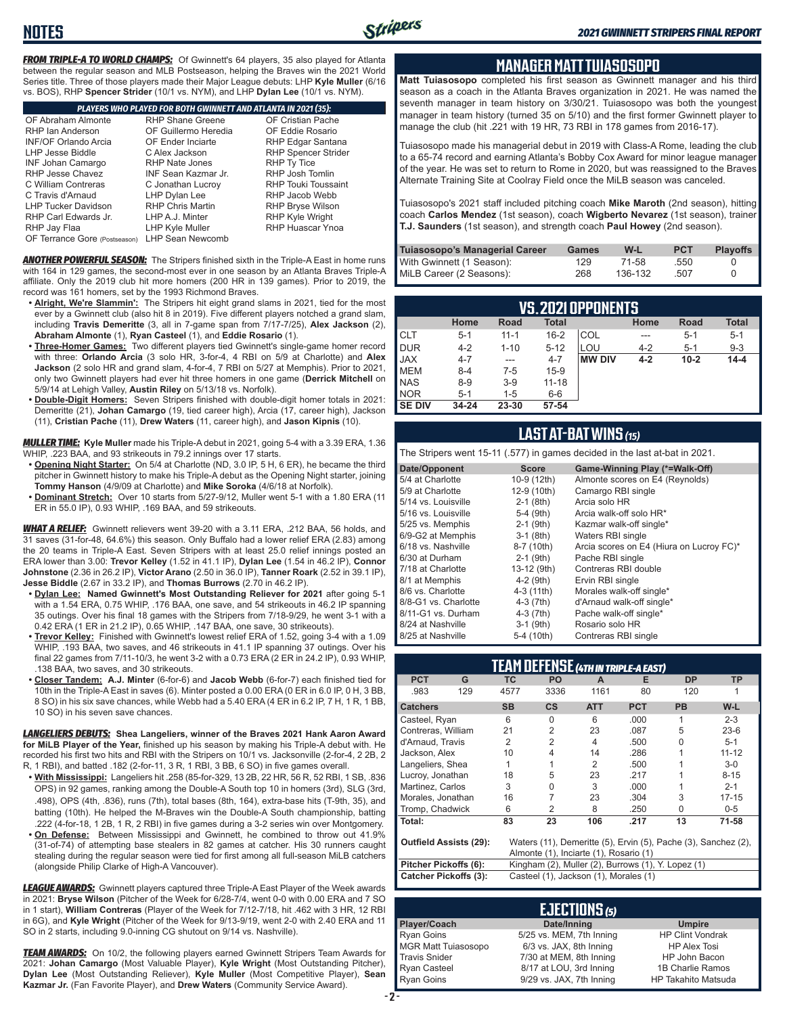*FROM TRIPLE-A TO WORLD CHAMPS:* Of Gwinnett's 64 players, 35 also played for Atlanta between the regular season and MLB Postseason, helping the Braves win the 2021 World Series title. Three of those players made their Major League debuts: LHP **Kyle Muller** (6/16 vs. BOS), RHP **Spencer Strider** (10/1 vs. NYM), and LHP **Dylan Lee** (10/1 vs. NYM).

**NOTES**

|                               | PLAYERS WHO PLAYED FOR BOTH GWINNETT AND ATLANTA IN 2021 (35): |                            |  |  |  |  |  |
|-------------------------------|----------------------------------------------------------------|----------------------------|--|--|--|--|--|
| OF Abraham Almonte            | <b>RHP Shane Greene</b>                                        | OF Cristian Pache          |  |  |  |  |  |
| RHP Ian Anderson              | OF Guillermo Heredia                                           | OF Eddie Rosario           |  |  |  |  |  |
| <b>INF/OF Orlando Arcia</b>   | <b>OF Ender Inciarte</b>                                       | RHP Edgar Santana          |  |  |  |  |  |
| <b>LHP Jesse Biddle</b>       | C Alex Jackson                                                 | <b>RHP Spencer Strider</b> |  |  |  |  |  |
| <b>INF Johan Camargo</b>      | <b>RHP Nate Jones</b>                                          | RHP Ty Tice                |  |  |  |  |  |
| RHP Jesse Chavez              | INF Sean Kazmar Jr.                                            | <b>RHP Josh Tomlin</b>     |  |  |  |  |  |
| C William Contreras           | C Jonathan Lucroy                                              | <b>RHP Touki Toussaint</b> |  |  |  |  |  |
| C Travis d'Arnaud             | LHP Dylan Lee                                                  | RHP Jacob Webb             |  |  |  |  |  |
| <b>LHP Tucker Davidson</b>    | <b>RHP Chris Martin</b>                                        | <b>RHP Bryse Wilson</b>    |  |  |  |  |  |
| RHP Carl Edwards Jr.          | LHP A.J. Minter                                                | RHP Kyle Wright            |  |  |  |  |  |
| RHP Jay Flaa                  | LHP Kyle Muller                                                | <b>RHP Huascar Ynoa</b>    |  |  |  |  |  |
| OF Terrance Gore (Postseason) | <b>LHP Sean Newcomb</b>                                        |                            |  |  |  |  |  |

*ANOTHER POWERFUL SEASON:* The Stripers finished sixth in the Triple-A East in home runs with 164 in 129 games, the second-most ever in one season by an Atlanta Braves Triple-A affiliate. Only the 2019 club hit more homers (200 HR in 139 games). Prior to 2019, the record was 161 homers, set by the 1993 Richmond Braves.

- **• Alright, We're Slammin':** The Stripers hit eight grand slams in 2021, tied for the most ever by a Gwinnett club (also hit 8 in 2019). Five different players notched a grand slam, including **Travis Demeritte** (3, all in 7-game span from 7/17-7/25), **Alex Jackson** (2), **Abraham Almonte** (1), **Ryan Casteel** (1), and **Eddie Rosario** (1).
- **• Three-Homer Games:** Two different players tied Gwinnett's single-game homer record with three: **Orlando Arcia** (3 solo HR, 3-for-4, 4 RBI on 5/9 at Charlotte) and **Alex Jackson** (2 solo HR and grand slam, 4-for-4, 7 RBI on 5/27 at Memphis). Prior to 2021, only two Gwinnett players had ever hit three homers in one game (**Derrick Mitchell** on 5/9/14 at Lehigh Valley, **Austin Riley** on 5/13/18 vs. Norfolk).
- **• Double-Digit Homers:** Seven Stripers finished with double-digit homer totals in 2021: Demeritte (21), **Johan Camargo** (19, tied career high), Arcia (17, career high), Jackson (11), **Cristian Pache** (11), **Drew Waters** (11, career high), and **Jason Kipnis** (10).

*MULLER TIME:* **Kyle Muller** made his Triple-A debut in 2021, going 5-4 with a 3.39 ERA, 1.36 WHIP, .223 BAA, and 93 strikeouts in 79.2 innings over 17 starts.

- **• Opening Night Starter:** On 5/4 at Charlotte (ND, 3.0 IP, 5 H, 6 ER), he became the third pitcher in Gwinnett history to make his Triple-A debut as the Opening Night starter, joining **Tommy Hanson** (4/9/09 at Charlotte) and **Mike Soroka** (4/6/18 at Norfolk).
- **• Dominant Stretch:** Over 10 starts from 5/27-9/12, Muller went 5-1 with a 1.80 ERA (11 ER in 55.0 IP), 0.93 WHIP, .169 BAA, and 59 strikeouts.

*WHAT A RELIEF:* Gwinnett relievers went 39-20 with a 3.11 ERA, .212 BAA, 56 holds, and 31 saves (31-for-48, 64.6%) this season. Only Buffalo had a lower relief ERA (2.83) among the 20 teams in Triple-A East. Seven Stripers with at least 25.0 relief innings posted an ERA lower than 3.00: **Trevor Kelley** (1.52 in 41.1 IP), **Dylan Lee** (1.54 in 46.2 IP), **Connor Johnstone** (2.36 in 26.2 IP), **Victor Arano** (2.50 in 36.0 IP), **Tanner Roark** (2.52 in 39.1 IP), **Jesse Biddle** (2.67 in 33.2 IP), and **Thomas Burrows** (2.70 in 46.2 IP).

- **• Dylan Lee: Named Gwinnett's Most Outstanding Reliever for 2021** after going 5-1 with a 1.54 ERA, 0.75 WHIP, .176 BAA, one save, and 54 strikeouts in 46.2 IP spanning 35 outings. Over his final 18 games with the Stripers from 7/18-9/29, he went 3-1 with a 0.42 ERA (1 ER in 21.2 IP), 0.65 WHIP, .147 BAA, one save, 30 strikeouts).
- **• Trevor Kelley:** Finished with Gwinnett's lowest relief ERA of 1.52, going 3-4 with a 1.09 WHIP, .193 BAA, two saves, and 46 strikeouts in 41.1 IP spanning 37 outings. Over his final 22 games from 7/11-10/3, he went 3-2 with a 0.73 ERA (2 ER in 24.2 IP), 0.93 WHIP, .138 BAA, two saves, and 30 strikeouts.
- **• Closer Tandem: A.J. Minter** (6-for-6) and **Jacob Webb** (6-for-7) each finished tied for 10th in the Triple-A East in saves (6). Minter posted a 0.00 ERA (0 ER in 6.0 IP, 0 H, 3 BB, 8 SO) in his six save chances, while Webb had a 5.40 ERA (4 ER in 6.2 IP, 7 H, 1 R, 1 BB, 10 SO) in his seven save chances.

*LANGELIERS DEBUTS:* **Shea Langeliers, winner of the Braves 2021 Hank Aaron Award for MiLB Player of the Year,** finished up his season by making his Triple-A debut with. He recorded his first two hits and RBI with the Stripers on 10/1 vs. Jacksonville (2-for-4, 2 2B, 2 R, 1 RBI), and batted .182 (2-for-11, 3 R, 1 RBI, 3 BB, 6 SO) in five games overall.

- **• With Mississippi:** Langeliers hit .258 (85-for-329, 13 2B, 22 HR, 56 R, 52 RBI, 1 SB, .836 OPS) in 92 games, ranking among the Double-A South top 10 in homers (3rd), SLG (3rd, .498), OPS (4th, .836), runs (7th), total bases (8th, 164), extra-base hits (T-9th, 35), and batting (10th). He helped the M-Braves win the Double-A South championship, batting .222 (4-for-18, 1 2B, 1 R, 2 RBI) in five games during a 3-2 series win over Montgomery.
- **• On Defense:** Between Mississippi and Gwinnett, he combined to throw out 41.9% (31-of-74) of attempting base stealers in 82 games at catcher. His 30 runners caught stealing during the regular season were tied for first among all full-season MiLB catchers (alongside Philip Clarke of High-A Vancouver).

*LEAGUE AWARDS:* Gwinnett players captured three Triple-A East Player of the Week awards in 2021: **Bryse Wilson** (Pitcher of the Week for 6/28-7/4, went 0-0 with 0.00 ERA and 7 SO in 1 start), **William Contreras** (Player of the Week for 7/12-7/18, hit .462 with 3 HR, 12 RBI in 6G), and **Kyle Wright** (Pitcher of the Week for 9/13-9/19, went 2-0 with 2.40 ERA and 11 SO in 2 starts, including 9.0-inning CG shutout on 9/14 vs. Nashville).

*TEAM AWARDS:* On 10/2, the following players earned Gwinnett Stripers Team Awards for 2021: **Johan Camargo** (Most Valuable Player), **Kyle Wright** (Most Outstanding Pitcher), **Dylan Lee** (Most Outstanding Reliever), **Kyle Muller** (Most Competitive Player), **Sean Kazmar Jr.** (Fan Favorite Player), and **Drew Waters** (Community Service Award).

#### **MANAGER MATT TUIASOSOPO**

**Matt Tuiasosopo** completed his first season as Gwinnett manager and his third season as a coach in the Atlanta Braves organization in 2021. He was named the seventh manager in team history on 3/30/21. Tuiasosopo was both the youngest manager in team history (turned 35 on 5/10) and the first former Gwinnett player to manage the club (hit .221 with 19 HR, 73 RBI in 178 games from 2016-17).

Tuiasosopo made his managerial debut in 2019 with Class-A Rome, leading the club to a 65-74 record and earning Atlanta's Bobby Cox Award for minor league manager of the year. He was set to return to Rome in 2020, but was reassigned to the Braves Alternate Training Site at Coolray Field once the MiLB season was canceled.

Tuiasosopo's 2021 staff included pitching coach **Mike Maroth** (2nd season), hitting coach **Carlos Mendez** (1st season), coach **Wigberto Nevarez** (1st season), trainer **T.J. Saunders** (1st season), and strength coach **Paul Howey** (2nd season).

| Tuiasosopo's Managerial Career | Games | W-L     | <b>PCT</b> | <b>Playoffs</b> |
|--------------------------------|-------|---------|------------|-----------------|
| With Gwinnett (1 Season):      | 129   | 71-58   | .550       |                 |
| MiLB Career (2 Seasons):       | 268   | 136-132 | .507       |                 |

| VS.2021 OPPONENTS |           |          |              |               |         |          |              |
|-------------------|-----------|----------|--------------|---------------|---------|----------|--------------|
|                   | Home      | Road     | <b>Total</b> |               | Home    | Road     | <b>Total</b> |
| <b>CLT</b>        | $5 - 1$   | $11 - 1$ | $16 - 2$     | COL           | ---     | $5 - 1$  | $5 - 1$      |
| DUR               | $4 - 2$   | $1 - 10$ | $5 - 12$     | LOU           | $4 - 2$ | $5 - 1$  | $9 - 3$      |
| <b>JAX</b>        | $4 - 7$   | ---      | $4 - 7$      | <b>MW DIV</b> | $4 - 2$ | $10 - 2$ | $14 - 4$     |
| <b>IMEM</b>       | $8 - 4$   | $7-5$    | $15-9$       |               |         |          |              |
| <b>NAS</b>        | $8 - 9$   | $3-9$    | $11 - 18$    |               |         |          |              |
| <b>NOR</b>        | $5 - 1$   | 1-5      | $6-6$        |               |         |          |              |
| <b>SE DIV</b>     | $34 - 24$ | 23-30    | 57-54        |               |         |          |              |

#### **LAST AT-BAT WINS** *(15)*

The Stripers went 15-11 (.577) in games decided in the last at-bat in 2021.

| Date/Opponent        | <b>Score</b> | Game-Winning Play (*=Walk-Off)           |
|----------------------|--------------|------------------------------------------|
| 5/4 at Charlotte     | 10-9 (12th)  | Almonte scores on E4 (Reynolds)          |
| 5/9 at Charlotte     | 12-9 (10th)  | Camargo RBI single                       |
| 5/14 vs. Louisville  | $2-1$ (8th)  | Arcia solo HR                            |
| 5/16 vs. Louisville  | 5-4 (9th)    | Arcia walk-off solo HR*                  |
| 5/25 vs. Memphis     | $2-1$ (9th)  | Kazmar walk-off single*                  |
| 6/9-G2 at Memphis    | $3-1$ (8th)  | Waters RBI single                        |
| 6/18 vs. Nashville   | 8-7 (10th)   | Arcia scores on E4 (Hiura on Lucroy FC)* |
| 6/30 at Durham       | $2-1$ (9th)  | Pache RBI single                         |
| 7/18 at Charlotte    | 13-12 (9th)  | Contreras RBI double                     |
| 8/1 at Memphis       | $4-2$ (9th)  | Ervin RBI single                         |
| 8/6 vs. Charlotte    | 4-3 (11th)   | Morales walk-off single*                 |
| 8/8-G1 vs. Charlotte | $4-3$ (7th)  | d'Arnaud walk-off single*                |
| 8/11-G1 vs. Durham   | $4-3$ (7th)  | Pache walk-off single*                   |
| 8/24 at Nashville    | $3-1$ (9th)  | Rosario solo HR                          |
| 8/25 at Nashville    | 5-4 (10th)   | Contreras RBI single                     |

| TEAM DEFENSE (4TH IN TRIPLE-A EAST)                                                                                                       |     |                |               |            |            |           |           |
|-------------------------------------------------------------------------------------------------------------------------------------------|-----|----------------|---------------|------------|------------|-----------|-----------|
| <b>PCT</b>                                                                                                                                | G   | <b>TC</b>      | <b>PO</b>     | A          | Е          | <b>DP</b> | TP        |
| .983                                                                                                                                      | 129 | 4577           | 3336          | 1161       | 80         | 120       |           |
| <b>Catchers</b>                                                                                                                           |     | <b>SB</b>      | $\mathsf{cs}$ | <b>ATT</b> | <b>PCT</b> | <b>PB</b> | W-L       |
| Casteel, Ryan                                                                                                                             |     | 6              | $\Omega$      | 6          | .000       |           | $2 - 3$   |
| Contreras, William                                                                                                                        |     | 21             | 2             | 23         | .087       | 5         | $23-6$    |
| d'Arnaud, Travis                                                                                                                          |     | $\overline{2}$ | 2             | 4          | .500       | U         | $5-1$     |
| Jackson, Alex                                                                                                                             |     | 10             | 4             | 14         | .286       |           | $11 - 12$ |
| Langeliers, Shea                                                                                                                          |     |                |               | 2          | .500       |           | $3-0$     |
| Lucroy, Jonathan                                                                                                                          |     | 18             | 5             | 23         | .217       |           | $8 - 15$  |
| Martinez. Carlos                                                                                                                          |     | 3              | U             | 3          | .000       |           | $2 - 1$   |
| Morales, Jonathan                                                                                                                         |     | 16             |               | 23         | .304       | 3         | $17 - 15$ |
| Tromp, Chadwick                                                                                                                           |     | 6              | 2             | 8          | .250       | 0         | $0-5$     |
| Total:                                                                                                                                    |     | 83             | 23            | 106        | .217       | 13        | 71-58     |
| Waters (11), Demeritte (5), Ervin (5), Pache (3), Sanchez (2),<br><b>Outfield Assists (29):</b><br>Almonte (1), Inciarte (1), Rosario (1) |     |                |               |            |            |           |           |

|                              | Almonte (1), Inciarte (1), Rosario (1)             |
|------------------------------|----------------------------------------------------|
| Pitcher Pickoffs (6):        | Kingham (2), Muller (2), Burrows (1), Y. Lopez (1) |
| <b>Catcher Pickoffs (3):</b> | Casteel (1), Jackson (1), Morales (1)              |

|                            | <b>EJECTIONS</b> (5)     |                            |
|----------------------------|--------------------------|----------------------------|
| Player/Coach               | Date/Inning              | <b>Umpire</b>              |
| <b>Ryan Goins</b>          | 5/25 vs. MEM, 7th Inning | <b>HP Clint Vondrak</b>    |
| <b>MGR Matt Tuiasosopo</b> | 6/3 vs. JAX, 8th Inning  | <b>HP Alex Tosi</b>        |
| <b>Travis Snider</b>       | 7/30 at MEM, 8th Inning  | HP John Bacon              |
| Ryan Casteel               | 8/17 at LOU, 3rd Inning  | 1B Charlie Ramos           |
| Ryan Goins                 | 9/29 vs. JAX, 7th Inning | <b>HP Takahito Matsuda</b> |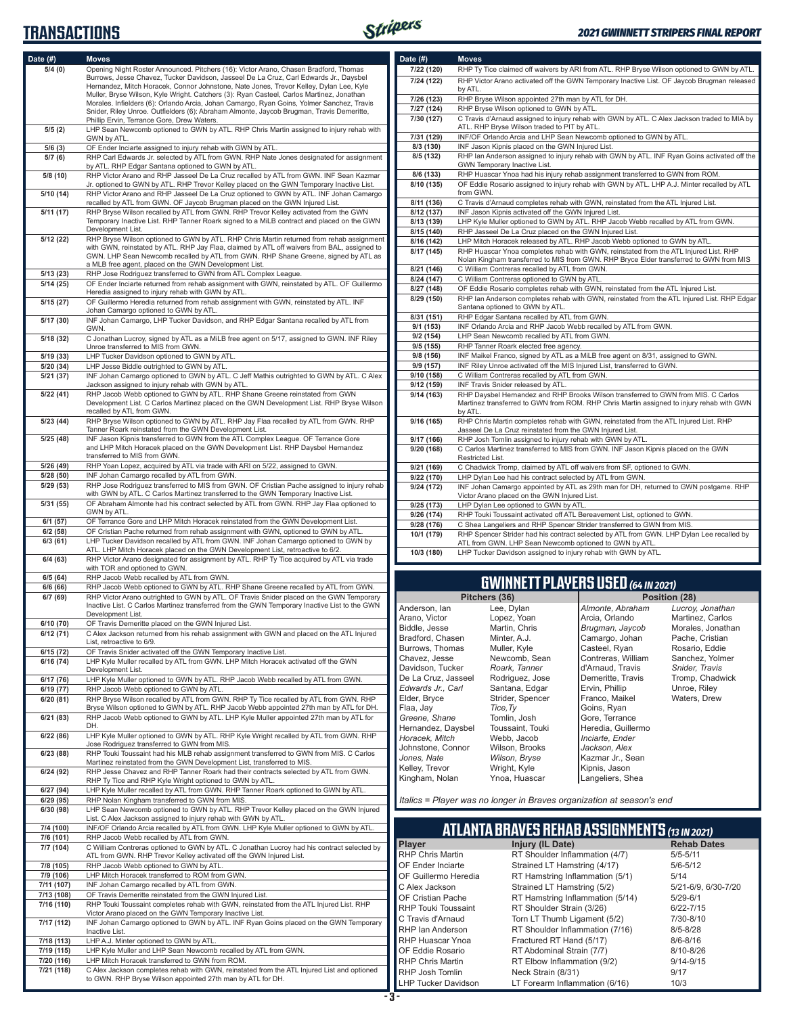#### **TRANSACTIONS**



| Date (#)   | <b>Moves</b>                                                                                                                                                                  | Date $(\#)$                | <b>Moves</b>    |
|------------|-------------------------------------------------------------------------------------------------------------------------------------------------------------------------------|----------------------------|-----------------|
|            |                                                                                                                                                                               |                            |                 |
| 5/4(0)     | Opening Night Roster Announced. Pitchers (16): Victor Arano, Chasen Bradford, Thomas<br>Burrows, Jesse Chavez, Tucker Davidson, Jasseel De La Cruz, Carl Edwards Jr., Daysbel | 7/22 (120)                 | RHP Ty          |
|            | Hernandez, Mitch Horacek, Connor Johnstone, Nate Jones, Trevor Kelley, Dylan Lee, Kyle                                                                                        | 7/24 (122)                 | <b>RHP Vid</b>  |
|            | Muller, Bryse Wilson, Kyle Wright. Catchers (3): Ryan Casteel, Carlos Martinez, Jonathan                                                                                      |                            | by ATL.         |
|            | Morales. Infielders (6): Orlando Arcia, Johan Camargo, Ryan Goins, Yolmer Sanchez, Travis                                                                                     | 7/26 (123)                 | RHP Br          |
|            | Snider, Riley Unroe. Outfielders (6): Abraham Almonte, Jaycob Brugman, Travis Demeritte,                                                                                      | 7/27 (124)                 | RHP Br          |
|            | Phillip Ervin, Terrance Gore, Drew Waters.                                                                                                                                    | 7/30 (127)                 | C Travis        |
|            |                                                                                                                                                                               |                            | ATL. RH         |
| 5/5(2)     | LHP Sean Newcomb optioned to GWN by ATL. RHP Chris Martin assigned to injury rehab with                                                                                       | 7/31 (129)                 | INF/OF          |
|            | GWN by ATL.                                                                                                                                                                   |                            |                 |
| 5/6(3)     | OF Ender Inciarte assigned to injury rehab with GWN by ATL.                                                                                                                   | 8/3 (130)                  | <b>INF Jas</b>  |
| 5/7(6)     | RHP Carl Edwards Jr. selected by ATL from GWN. RHP Nate Jones designated for assignment                                                                                       | 8/5 (132)                  | RHP lar         |
|            | by ATL. RHP Edgar Santana optioned to GWN by ATL.                                                                                                                             |                            | <b>GWN Te</b>   |
| 5/8(10)    | RHP Victor Arano and RHP Jasseel De La Cruz recalled by ATL from GWN. INF Sean Kazmar                                                                                         | 8/6 (133)                  | RHP Hu          |
|            | Jr. optioned to GWN by ATL. RHP Trevor Kelley placed on the GWN Temporary Inactive List.                                                                                      | 8/10 (135)                 | OF Edd          |
| 5/10 (14)  | RHP Victor Arano and RHP Jasseel De La Cruz optioned to GWN by ATL. INF Johan Camargo                                                                                         |                            | from GV         |
|            | recalled by ATL from GWN. OF Jaycob Brugman placed on the GWN Injured List.                                                                                                   | 8/11 (136)                 | C Travis        |
| 5/11(17)   | RHP Bryse Wilson recalled by ATL from GWN. RHP Trevor Kelley activated from the GWN                                                                                           | 8/12 (137)                 | INF Jas         |
|            | Temporary Inactive List. RHP Tanner Roark signed to a MiLB contract and placed on the GWN                                                                                     | 8/13 (139)                 | LHP Ky          |
|            | Development List.                                                                                                                                                             | 8/15 (140)                 | RHP Ja          |
| 5/12 (22)  | RHP Bryse Wilson optioned to GWN by ATL. RHP Chris Martin returned from rehab assignment                                                                                      |                            |                 |
|            | with GWN, reinstated by ATL. RHP Jay Flaa, claimed by ATL off waivers from BAL, assigned to                                                                                   | 8/16 (142)                 | <b>LHP Mit</b>  |
|            | GWN. LHP Sean Newcomb recalled by ATL from GWN. RHP Shane Greene, signed by ATL as                                                                                            | 8/17 (145)                 | RHP Hu          |
|            | a MLB free agent, placed on the GWN Development List.                                                                                                                         |                            | Nolan K         |
| 5/13(23)   | RHP Jose Rodriguez transferred to GWN from ATL Complex League.                                                                                                                | 8/21 (146)                 | C Willia        |
|            |                                                                                                                                                                               | 8/24 (147)                 | C Willia        |
| 5/14(25)   | OF Ender Inciarte returned from rehab assignment with GWN, reinstated by ATL. OF Guillermo                                                                                    | 8/27 (148)                 | OF Edd          |
|            | Heredia assigned to injury rehab with GWN by ATL.                                                                                                                             | 8/29 (150)                 | RHP lar         |
| 5/15(27)   | OF Guillermo Heredia returned from rehab assignment with GWN, reinstated by ATL. INF                                                                                          |                            | Santana         |
|            | Johan Camargo optioned to GWN by ATL.                                                                                                                                         | 8/31 (151)                 | RHP Ec          |
| 5/17(30)   | INF Johan Camargo, LHP Tucker Davidson, and RHP Edgar Santana recalled by ATL from                                                                                            |                            | <b>INF Orla</b> |
|            | GWN.                                                                                                                                                                          | 9/1 (153)                  |                 |
| 5/18 (32)  | C Jonathan Lucroy, signed by ATL as a MiLB free agent on 5/17, assigned to GWN. INF Riley                                                                                     | 9/2 (154)                  | LHP Se          |
|            | Unroe transferred to MIS from GWN.                                                                                                                                            | 9/5(155)                   | RHP Ta          |
| 5/19(33)   | LHP Tucker Davidson optioned to GWN by ATL.                                                                                                                                   | 9/8 (156)                  | <b>INF Mai</b>  |
| 5/20 (34)  | LHP Jesse Biddle outrighted to GWN by ATL.                                                                                                                                    | 9/9 (157)                  | <b>INF Rile</b> |
| 5/21 (37)  | INF Johan Camargo optioned to GWN by ATL. C Jeff Mathis outrighted to GWN by ATL. C Alex                                                                                      | 9/10 (158)                 | C Willia        |
|            | Jackson assigned to injury rehab with GWN by ATL.                                                                                                                             | 9/12 (159)                 | INF Tra         |
|            |                                                                                                                                                                               |                            |                 |
| 5/22(41)   | RHP Jacob Webb optioned to GWN by ATL. RHP Shane Greene reinstated from GWN                                                                                                   | 9/14 (163)                 | RHP Da          |
|            | Development List. C Carlos Martinez placed on the GWN Development List. RHP Bryse Wilson                                                                                      |                            | Martine:        |
|            | recalled by ATL from GWN.                                                                                                                                                     |                            | by ATL.         |
| 5/23 (44)  | RHP Bryse Wilson optioned to GWN by ATL. RHP Jay Flaa recalled by ATL from GWN. RHP                                                                                           | 9/16 (165)                 | RHP Ch          |
|            | Tanner Roark reinstated from the GWN Development List.                                                                                                                        |                            | Jasseel         |
| 5/25(48)   | INF Jason Kipnis transferred to GWN from the ATL Complex League. OF Terrance Gore                                                                                             | 9/17 (166)                 | RHP Jo          |
|            | and LHP Mitch Horacek placed on the GWN Development List. RHP Daysbel Hernandez                                                                                               | 9/20 (168)                 | C Carlo         |
|            | transferred to MIS from GWN.                                                                                                                                                  |                            | Restrict        |
| 5/26(49)   | RHP Yoan Lopez, acquired by ATL via trade with ARI on 5/22, assigned to GWN.                                                                                                  | 9/21 (169)                 | C Chad          |
| 5/28(50)   | INF Johan Camargo recalled by ATL from GWN.                                                                                                                                   | 9/22 (170)                 | LHP Dy          |
| 5/29 (53)  | RHP Jose Rodriguez transferred to MIS from GWN. OF Cristian Pache assigned to injury rehab                                                                                    |                            |                 |
|            | with GWN by ATL. C Carlos Martinez transferred to the GWN Temporary Inactive List.                                                                                            | 9/24 (172)                 | INF Joh         |
|            |                                                                                                                                                                               |                            | Victor A        |
| 5/31 (55)  | OF Abraham Almonte had his contract selected by ATL from GWN. RHP Jay Flaa optioned to                                                                                        | 9/25 (173)                 | LHP Dy          |
|            | GWN by ATL.                                                                                                                                                                   | 9/26 (174)                 | RHP To          |
| 6/1 (57)   | OF Terrance Gore and LHP Mitch Horacek reinstated from the GWN Development List.                                                                                              | 9/28 (176)                 | C Shea          |
| 6/2(58)    | OF Cristian Pache returned from rehab assignment with GWN, optioned to GWN by ATL.                                                                                            | 10/1 (179)                 | RHP Sp          |
| 6/3(61)    | LHP Tucker Davidson recalled by ATL from GWN. INF Johan Camargo optioned to GWN by                                                                                            |                            | ATL fror        |
|            | ATL. LHP Mitch Horacek placed on the GWN Development List, retroactive to 6/2.                                                                                                | 10/3 (180)                 | LHP Tu          |
| 6/4(63)    | RHP Victor Arano designated for assignment by ATL. RHP Ty Tice acquired by ATL via trade                                                                                      |                            |                 |
|            | with TOR and optioned to GWN.                                                                                                                                                 |                            |                 |
| 6/5(64)    | RHP Jacob Webb recalled by ATL from GWN.                                                                                                                                      |                            |                 |
|            |                                                                                                                                                                               |                            |                 |
| 6/6(66)    | RHP Jacob Webb optioned to GWN by ATL. RHP Shane Greene recalled by ATL from GWN.                                                                                             |                            |                 |
| 6/7(69)    | RHP Victor Arano outrighted to GWN by ATL. OF Travis Snider placed on the GWN Temporary                                                                                       |                            | <b>Pitch</b>    |
|            | Inactive List. C Carlos Martinez transferred from the GWN Temporary Inactive List to the GWN                                                                                  | Anderson, Ian              |                 |
|            | Development List.                                                                                                                                                             | Arano, Victor              |                 |
| 6/10 (70)  | OF Travis Demeritte placed on the GWN Injured List.                                                                                                                           | Biddle, Jesse              |                 |
| 6/12(71)   | C Alex Jackson returned from his rehab assignment with GWN and placed on the ATL Injured                                                                                      |                            |                 |
|            | List, retroactive to 6/9.                                                                                                                                                     | Bradford, Chasen           |                 |
| 6/15(72)   | OF Travis Snider activated off the GWN Temporary Inactive List.                                                                                                               | Burrows, Thomas            |                 |
| 6/16(74)   | LHP Kyle Muller recalled by ATL from GWN. LHP Mitch Horacek activated off the GWN                                                                                             | Chavez, Jesse              |                 |
|            | Development List.                                                                                                                                                             | Davidson, Tucker           |                 |
| 6/17 (76)  | LHP Kyle Muller optioned to GWN by ATL. RHP Jacob Webb recalled by ATL from GWN.                                                                                              | De La Cruz, Jasseel        |                 |
|            | RHP Jacob Webb optioned to GWN by ATL.                                                                                                                                        | Edwards Jr., Carl          |                 |
| 6/19 (77)  |                                                                                                                                                                               | Elder, Bryce               |                 |
| 6/20(81)   | RHP Bryse Wilson recalled by ATL from GWN. RHP Ty Tice recalled by ATL from GWN. RHP                                                                                          |                            |                 |
|            | Bryse Wilson optioned to GWN by ATL. RHP Jacob Webb appointed 27th man by ATL for DH.                                                                                         | Flaa, Jay                  |                 |
| 6/21(83)   | RHP Jacob Webb optioned to GWN by ATL. LHP Kyle Muller appointed 27th man by ATL for                                                                                          | Greene, Shane              |                 |
|            | DH.                                                                                                                                                                           | Hernandez, Daysbel         |                 |
| 6/22(86)   | LHP Kyle Muller optioned to GWN by ATL. RHP Kyle Wright recalled by ATL from GWN. RHP                                                                                         | Horacek, Mitch             |                 |
|            | Jose Rodriguez transferred to GWN from MIS.                                                                                                                                   | Johnstone, Connor          |                 |
| 6/23(88)   | RHP Touki Toussaint had his MLB rehab assignment transferred to GWN from MIS. C Carlos                                                                                        |                            |                 |
|            | Martinez reinstated from the GWN Development List, transferred to MIS.                                                                                                        | Jones, Nate                |                 |
| 6/24 (92)  | RHP Jesse Chavez and RHP Tanner Roark had their contracts selected by ATL from GWN.                                                                                           | Kelley, Trevor             |                 |
|            | RHP Ty Tice and RHP Kyle Wright optioned to GWN by ATL.                                                                                                                       | Kingham, Nolan             |                 |
| 6/27 (94)  | LHP Kyle Muller recalled by ATL from GWN. RHP Tanner Roark optioned to GWN by ATL.                                                                                            |                            |                 |
|            |                                                                                                                                                                               |                            |                 |
| 6/29(95)   | RHP Nolan Kingham transferred to GWN from MIS.                                                                                                                                | Italics = Player was r     |                 |
| 6/30 (98)  | LHP Sean Newcomb optioned to GWN by ATL. RHP Trevor Kelley placed on the GWN Injured                                                                                          |                            |                 |
|            | List. C Alex Jackson assigned to injury rehab with GWN by ATL.                                                                                                                |                            |                 |
| 7/4 (100)  | INF/OF Orlando Arcia recalled by ATL from GWN. LHP Kyle Muller optioned to GWN by ATL.                                                                                        |                            | <b>ATLAN1</b>   |
| 7/6 (101)  | RHP Jacob Webb recalled by ATL from GWN.                                                                                                                                      |                            |                 |
| 7/7 (104)  | C William Contreras optioned to GWN by ATL. C Jonathan Lucroy had his contract selected by                                                                                    | Player                     |                 |
|            | ATL from GWN. RHP Trevor Kelley activated off the GWN Injured List.                                                                                                           | <b>RHP Chris Martin</b>    |                 |
| 7/8 (105)  | RHP Jacob Webb optioned to GWN by ATL.                                                                                                                                        | OF Ender Inciarte          |                 |
|            |                                                                                                                                                                               |                            |                 |
| 7/9 (106)  | LHP Mitch Horacek transferred to ROM from GWN.                                                                                                                                | OF Guillermo Heredia       |                 |
| 7/11 (107) | INF Johan Camargo recalled by ATL from GWN.                                                                                                                                   | C Alex Jackson             |                 |
| 7/13 (108) | OF Travis Demeritte reinstated from the GWN Injured List.                                                                                                                     | OF Cristian Pache          |                 |
| 7/16 (110) | RHP Touki Toussaint completes rehab with GWN, reinstated from the ATL Injured List. RHP                                                                                       | <b>RHP Touki Toussaint</b> |                 |
|            | Victor Arano placed on the GWN Temporary Inactive List.                                                                                                                       |                            |                 |
| 7/17 (112) | INF Johan Camargo optioned to GWN by ATL. INF Ryan Goins placed on the GWN Temporary                                                                                          | C Travis d'Arnaud          |                 |
|            | Inactive List.                                                                                                                                                                | RHP Ian Anderson           |                 |
| 7/18 (113) | LHP A.J. Minter optioned to GWN by ATL.                                                                                                                                       | RHP Huascar Ynoa           |                 |
|            |                                                                                                                                                                               |                            |                 |
| 7/19 (115) | LHP Kyle Muller and LHP Sean Newcomb recalled by ATL from GWN.                                                                                                                | OF Eddie Rosario           |                 |
| 7/20 (116) | LHP Mitch Horacek transferred to GWN from ROM.                                                                                                                                | <b>RHP Chris Martin</b>    |                 |
| 7/21 (118) | C Alex Jackson completes rehab with GWN, reinstated from the ATL Injured List and optioned                                                                                    | RHP Josh Tomlin            |                 |
|            | to GWN. RHP Bryse Wilson appointed 27th man by ATL for DH.                                                                                                                    | <b>LHP Tucker Davidson</b> |                 |
|            |                                                                                                                                                                               |                            |                 |

| 7/24 (122)<br>by ATL.<br>RHP Bryse Wilson appointed 27th man by ATL for DH.<br>7/26 (123)<br>RHP Bryse Wilson optioned to GWN by ATL.<br>7/27 (124)<br>C Travis d'Arnaud assigned to injury rehab with GWN by ATL. C Alex Jackson traded to MIA by<br>7/30 (127)<br>ATL. RHP Bryse Wilson traded to PIT by ATL.<br>INF/OF Orlando Arcia and LHP Sean Newcomb optioned to GWN by ATL.<br>7/31 (129)<br>INF Jason Kipnis placed on the GWN Injured List.<br>8/3 (130)<br>RHP Ian Anderson assigned to injury rehab with GWN by ATL. INF Ryan Goins activated off the<br>8/5 (132)<br>GWN Temporary Inactive List.<br>RHP Huascar Ynoa had his injury rehab assignment transferred to GWN from ROM.<br>8/6 (133)<br>OF Eddie Rosario assigned to injury rehab with GWN by ATL. LHP A.J. Minter recalled by ATL<br>8/10 (135)<br>from GWN.<br>C Travis d'Arnaud completes rehab with GWN, reinstated from the ATL Injured List.<br>8/11 (136)<br>INF Jason Kipnis activated off the GWN Injured List.<br>8/12 (137)<br>LHP Kyle Muller optioned to GWN by ATL. RHP Jacob Webb recalled by ATL from GWN.<br>8/13 (139)<br>RHP Jasseel De La Cruz placed on the GWN Injured List.<br>8/15 (140)<br>LHP Mitch Horacek released by ATL. RHP Jacob Webb optioned to GWN by ATL.<br>8/16 (142)<br>RHP Huascar Ynoa completes rehab with GWN, reinstated from the ATL Injured List. RHP<br>8/17 (145)<br>Nolan Kingham transferred to MIS from GWN. RHP Bryce Elder transferred to GWN from MIS<br>C William Contreras recalled by ATL from GWN.<br>8/21 (146)<br>C William Contreras optioned to GWN by ATL.<br>8/24 (147)<br>OF Eddie Rosario completes rehab with GWN, reinstated from the ATL Injured List.<br>8/27 (148)<br>RHP Ian Anderson completes rehab with GWN, reinstated from the ATL Injured List. RHP Edgar<br>8/29 (150)<br>Santana optioned to GWN by ATL.<br>RHP Edgar Santana recalled by ATL from GWN.<br>8/31 (151)<br>9/1(153)<br>INF Orlando Arcia and RHP Jacob Webb recalled by ATL from GWN.<br>LHP Sean Newcomb recalled by ATL from GWN.<br>9/2(154)<br>RHP Tanner Roark elected free agency.<br>9/5 (155)<br>INF Maikel Franco, signed by ATL as a MiLB free agent on 8/31, assigned to GWN.<br>9/8 (156)<br>INF Riley Unroe activated off the MIS Injured List, transferred to GWN.<br>9/9(157)<br>C William Contreras recalled by ATL from GWN.<br>9/10 (158)<br>INF Travis Snider released by ATL.<br>9/12 (159)<br>RHP Daysbel Hernandez and RHP Brooks Wilson transferred to GWN from MIS. C Carlos<br>9/14 (163)<br>Martinez transferred to GWN from ROM. RHP Chris Martin assigned to injury rehab with GWN<br>by ATL.<br>RHP Chris Martin completes rehab with GWN, reinstated from the ATL Injured List. RHP<br>9/16 (165)<br>Jasseel De La Cruz reinstated from the GWN Injured List.<br>RHP Josh Tomlin assigned to injury rehab with GWN by ATL.<br>9/17 (166)<br>C Carlos Martinez transferred to MIS from GWN. INF Jason Kipnis placed on the GWN<br>9/20 (168)<br>Restricted List. | 7/22 (120) | RHP Ty Tice claimed off waivers by ARI from ATL. RHP Bryse Wilson optioned to GWN by ATL.  |
|----------------------------------------------------------------------------------------------------------------------------------------------------------------------------------------------------------------------------------------------------------------------------------------------------------------------------------------------------------------------------------------------------------------------------------------------------------------------------------------------------------------------------------------------------------------------------------------------------------------------------------------------------------------------------------------------------------------------------------------------------------------------------------------------------------------------------------------------------------------------------------------------------------------------------------------------------------------------------------------------------------------------------------------------------------------------------------------------------------------------------------------------------------------------------------------------------------------------------------------------------------------------------------------------------------------------------------------------------------------------------------------------------------------------------------------------------------------------------------------------------------------------------------------------------------------------------------------------------------------------------------------------------------------------------------------------------------------------------------------------------------------------------------------------------------------------------------------------------------------------------------------------------------------------------------------------------------------------------------------------------------------------------------------------------------------------------------------------------------------------------------------------------------------------------------------------------------------------------------------------------------------------------------------------------------------------------------------------------------------------------------------------------------------------------------------------------------------------------------------------------------------------------------------------------------------------------------------------------------------------------------------------------------------------------------------------------------------------------------------------------------------------------------------------------------------------------------------------------------------------------------------------------------------------------------------------------------------------------------------------------------------------|------------|--------------------------------------------------------------------------------------------|
|                                                                                                                                                                                                                                                                                                                                                                                                                                                                                                                                                                                                                                                                                                                                                                                                                                                                                                                                                                                                                                                                                                                                                                                                                                                                                                                                                                                                                                                                                                                                                                                                                                                                                                                                                                                                                                                                                                                                                                                                                                                                                                                                                                                                                                                                                                                                                                                                                                                                                                                                                                                                                                                                                                                                                                                                                                                                                                                                                                                                                      |            | RHP Victor Arano activated off the GWN Temporary Inactive List. OF Jaycob Brugman released |
|                                                                                                                                                                                                                                                                                                                                                                                                                                                                                                                                                                                                                                                                                                                                                                                                                                                                                                                                                                                                                                                                                                                                                                                                                                                                                                                                                                                                                                                                                                                                                                                                                                                                                                                                                                                                                                                                                                                                                                                                                                                                                                                                                                                                                                                                                                                                                                                                                                                                                                                                                                                                                                                                                                                                                                                                                                                                                                                                                                                                                      |            |                                                                                            |
|                                                                                                                                                                                                                                                                                                                                                                                                                                                                                                                                                                                                                                                                                                                                                                                                                                                                                                                                                                                                                                                                                                                                                                                                                                                                                                                                                                                                                                                                                                                                                                                                                                                                                                                                                                                                                                                                                                                                                                                                                                                                                                                                                                                                                                                                                                                                                                                                                                                                                                                                                                                                                                                                                                                                                                                                                                                                                                                                                                                                                      |            |                                                                                            |
|                                                                                                                                                                                                                                                                                                                                                                                                                                                                                                                                                                                                                                                                                                                                                                                                                                                                                                                                                                                                                                                                                                                                                                                                                                                                                                                                                                                                                                                                                                                                                                                                                                                                                                                                                                                                                                                                                                                                                                                                                                                                                                                                                                                                                                                                                                                                                                                                                                                                                                                                                                                                                                                                                                                                                                                                                                                                                                                                                                                                                      |            |                                                                                            |
|                                                                                                                                                                                                                                                                                                                                                                                                                                                                                                                                                                                                                                                                                                                                                                                                                                                                                                                                                                                                                                                                                                                                                                                                                                                                                                                                                                                                                                                                                                                                                                                                                                                                                                                                                                                                                                                                                                                                                                                                                                                                                                                                                                                                                                                                                                                                                                                                                                                                                                                                                                                                                                                                                                                                                                                                                                                                                                                                                                                                                      |            |                                                                                            |
|                                                                                                                                                                                                                                                                                                                                                                                                                                                                                                                                                                                                                                                                                                                                                                                                                                                                                                                                                                                                                                                                                                                                                                                                                                                                                                                                                                                                                                                                                                                                                                                                                                                                                                                                                                                                                                                                                                                                                                                                                                                                                                                                                                                                                                                                                                                                                                                                                                                                                                                                                                                                                                                                                                                                                                                                                                                                                                                                                                                                                      |            |                                                                                            |
|                                                                                                                                                                                                                                                                                                                                                                                                                                                                                                                                                                                                                                                                                                                                                                                                                                                                                                                                                                                                                                                                                                                                                                                                                                                                                                                                                                                                                                                                                                                                                                                                                                                                                                                                                                                                                                                                                                                                                                                                                                                                                                                                                                                                                                                                                                                                                                                                                                                                                                                                                                                                                                                                                                                                                                                                                                                                                                                                                                                                                      |            |                                                                                            |
|                                                                                                                                                                                                                                                                                                                                                                                                                                                                                                                                                                                                                                                                                                                                                                                                                                                                                                                                                                                                                                                                                                                                                                                                                                                                                                                                                                                                                                                                                                                                                                                                                                                                                                                                                                                                                                                                                                                                                                                                                                                                                                                                                                                                                                                                                                                                                                                                                                                                                                                                                                                                                                                                                                                                                                                                                                                                                                                                                                                                                      |            |                                                                                            |
|                                                                                                                                                                                                                                                                                                                                                                                                                                                                                                                                                                                                                                                                                                                                                                                                                                                                                                                                                                                                                                                                                                                                                                                                                                                                                                                                                                                                                                                                                                                                                                                                                                                                                                                                                                                                                                                                                                                                                                                                                                                                                                                                                                                                                                                                                                                                                                                                                                                                                                                                                                                                                                                                                                                                                                                                                                                                                                                                                                                                                      |            |                                                                                            |
|                                                                                                                                                                                                                                                                                                                                                                                                                                                                                                                                                                                                                                                                                                                                                                                                                                                                                                                                                                                                                                                                                                                                                                                                                                                                                                                                                                                                                                                                                                                                                                                                                                                                                                                                                                                                                                                                                                                                                                                                                                                                                                                                                                                                                                                                                                                                                                                                                                                                                                                                                                                                                                                                                                                                                                                                                                                                                                                                                                                                                      |            |                                                                                            |
|                                                                                                                                                                                                                                                                                                                                                                                                                                                                                                                                                                                                                                                                                                                                                                                                                                                                                                                                                                                                                                                                                                                                                                                                                                                                                                                                                                                                                                                                                                                                                                                                                                                                                                                                                                                                                                                                                                                                                                                                                                                                                                                                                                                                                                                                                                                                                                                                                                                                                                                                                                                                                                                                                                                                                                                                                                                                                                                                                                                                                      |            |                                                                                            |
|                                                                                                                                                                                                                                                                                                                                                                                                                                                                                                                                                                                                                                                                                                                                                                                                                                                                                                                                                                                                                                                                                                                                                                                                                                                                                                                                                                                                                                                                                                                                                                                                                                                                                                                                                                                                                                                                                                                                                                                                                                                                                                                                                                                                                                                                                                                                                                                                                                                                                                                                                                                                                                                                                                                                                                                                                                                                                                                                                                                                                      |            |                                                                                            |
|                                                                                                                                                                                                                                                                                                                                                                                                                                                                                                                                                                                                                                                                                                                                                                                                                                                                                                                                                                                                                                                                                                                                                                                                                                                                                                                                                                                                                                                                                                                                                                                                                                                                                                                                                                                                                                                                                                                                                                                                                                                                                                                                                                                                                                                                                                                                                                                                                                                                                                                                                                                                                                                                                                                                                                                                                                                                                                                                                                                                                      |            |                                                                                            |
|                                                                                                                                                                                                                                                                                                                                                                                                                                                                                                                                                                                                                                                                                                                                                                                                                                                                                                                                                                                                                                                                                                                                                                                                                                                                                                                                                                                                                                                                                                                                                                                                                                                                                                                                                                                                                                                                                                                                                                                                                                                                                                                                                                                                                                                                                                                                                                                                                                                                                                                                                                                                                                                                                                                                                                                                                                                                                                                                                                                                                      |            |                                                                                            |
|                                                                                                                                                                                                                                                                                                                                                                                                                                                                                                                                                                                                                                                                                                                                                                                                                                                                                                                                                                                                                                                                                                                                                                                                                                                                                                                                                                                                                                                                                                                                                                                                                                                                                                                                                                                                                                                                                                                                                                                                                                                                                                                                                                                                                                                                                                                                                                                                                                                                                                                                                                                                                                                                                                                                                                                                                                                                                                                                                                                                                      |            |                                                                                            |
|                                                                                                                                                                                                                                                                                                                                                                                                                                                                                                                                                                                                                                                                                                                                                                                                                                                                                                                                                                                                                                                                                                                                                                                                                                                                                                                                                                                                                                                                                                                                                                                                                                                                                                                                                                                                                                                                                                                                                                                                                                                                                                                                                                                                                                                                                                                                                                                                                                                                                                                                                                                                                                                                                                                                                                                                                                                                                                                                                                                                                      |            |                                                                                            |
|                                                                                                                                                                                                                                                                                                                                                                                                                                                                                                                                                                                                                                                                                                                                                                                                                                                                                                                                                                                                                                                                                                                                                                                                                                                                                                                                                                                                                                                                                                                                                                                                                                                                                                                                                                                                                                                                                                                                                                                                                                                                                                                                                                                                                                                                                                                                                                                                                                                                                                                                                                                                                                                                                                                                                                                                                                                                                                                                                                                                                      |            |                                                                                            |
|                                                                                                                                                                                                                                                                                                                                                                                                                                                                                                                                                                                                                                                                                                                                                                                                                                                                                                                                                                                                                                                                                                                                                                                                                                                                                                                                                                                                                                                                                                                                                                                                                                                                                                                                                                                                                                                                                                                                                                                                                                                                                                                                                                                                                                                                                                                                                                                                                                                                                                                                                                                                                                                                                                                                                                                                                                                                                                                                                                                                                      |            |                                                                                            |
|                                                                                                                                                                                                                                                                                                                                                                                                                                                                                                                                                                                                                                                                                                                                                                                                                                                                                                                                                                                                                                                                                                                                                                                                                                                                                                                                                                                                                                                                                                                                                                                                                                                                                                                                                                                                                                                                                                                                                                                                                                                                                                                                                                                                                                                                                                                                                                                                                                                                                                                                                                                                                                                                                                                                                                                                                                                                                                                                                                                                                      |            |                                                                                            |
|                                                                                                                                                                                                                                                                                                                                                                                                                                                                                                                                                                                                                                                                                                                                                                                                                                                                                                                                                                                                                                                                                                                                                                                                                                                                                                                                                                                                                                                                                                                                                                                                                                                                                                                                                                                                                                                                                                                                                                                                                                                                                                                                                                                                                                                                                                                                                                                                                                                                                                                                                                                                                                                                                                                                                                                                                                                                                                                                                                                                                      |            |                                                                                            |
|                                                                                                                                                                                                                                                                                                                                                                                                                                                                                                                                                                                                                                                                                                                                                                                                                                                                                                                                                                                                                                                                                                                                                                                                                                                                                                                                                                                                                                                                                                                                                                                                                                                                                                                                                                                                                                                                                                                                                                                                                                                                                                                                                                                                                                                                                                                                                                                                                                                                                                                                                                                                                                                                                                                                                                                                                                                                                                                                                                                                                      |            |                                                                                            |
|                                                                                                                                                                                                                                                                                                                                                                                                                                                                                                                                                                                                                                                                                                                                                                                                                                                                                                                                                                                                                                                                                                                                                                                                                                                                                                                                                                                                                                                                                                                                                                                                                                                                                                                                                                                                                                                                                                                                                                                                                                                                                                                                                                                                                                                                                                                                                                                                                                                                                                                                                                                                                                                                                                                                                                                                                                                                                                                                                                                                                      |            |                                                                                            |
|                                                                                                                                                                                                                                                                                                                                                                                                                                                                                                                                                                                                                                                                                                                                                                                                                                                                                                                                                                                                                                                                                                                                                                                                                                                                                                                                                                                                                                                                                                                                                                                                                                                                                                                                                                                                                                                                                                                                                                                                                                                                                                                                                                                                                                                                                                                                                                                                                                                                                                                                                                                                                                                                                                                                                                                                                                                                                                                                                                                                                      |            |                                                                                            |
|                                                                                                                                                                                                                                                                                                                                                                                                                                                                                                                                                                                                                                                                                                                                                                                                                                                                                                                                                                                                                                                                                                                                                                                                                                                                                                                                                                                                                                                                                                                                                                                                                                                                                                                                                                                                                                                                                                                                                                                                                                                                                                                                                                                                                                                                                                                                                                                                                                                                                                                                                                                                                                                                                                                                                                                                                                                                                                                                                                                                                      |            |                                                                                            |
|                                                                                                                                                                                                                                                                                                                                                                                                                                                                                                                                                                                                                                                                                                                                                                                                                                                                                                                                                                                                                                                                                                                                                                                                                                                                                                                                                                                                                                                                                                                                                                                                                                                                                                                                                                                                                                                                                                                                                                                                                                                                                                                                                                                                                                                                                                                                                                                                                                                                                                                                                                                                                                                                                                                                                                                                                                                                                                                                                                                                                      |            |                                                                                            |
|                                                                                                                                                                                                                                                                                                                                                                                                                                                                                                                                                                                                                                                                                                                                                                                                                                                                                                                                                                                                                                                                                                                                                                                                                                                                                                                                                                                                                                                                                                                                                                                                                                                                                                                                                                                                                                                                                                                                                                                                                                                                                                                                                                                                                                                                                                                                                                                                                                                                                                                                                                                                                                                                                                                                                                                                                                                                                                                                                                                                                      |            |                                                                                            |
|                                                                                                                                                                                                                                                                                                                                                                                                                                                                                                                                                                                                                                                                                                                                                                                                                                                                                                                                                                                                                                                                                                                                                                                                                                                                                                                                                                                                                                                                                                                                                                                                                                                                                                                                                                                                                                                                                                                                                                                                                                                                                                                                                                                                                                                                                                                                                                                                                                                                                                                                                                                                                                                                                                                                                                                                                                                                                                                                                                                                                      |            |                                                                                            |
|                                                                                                                                                                                                                                                                                                                                                                                                                                                                                                                                                                                                                                                                                                                                                                                                                                                                                                                                                                                                                                                                                                                                                                                                                                                                                                                                                                                                                                                                                                                                                                                                                                                                                                                                                                                                                                                                                                                                                                                                                                                                                                                                                                                                                                                                                                                                                                                                                                                                                                                                                                                                                                                                                                                                                                                                                                                                                                                                                                                                                      |            |                                                                                            |
|                                                                                                                                                                                                                                                                                                                                                                                                                                                                                                                                                                                                                                                                                                                                                                                                                                                                                                                                                                                                                                                                                                                                                                                                                                                                                                                                                                                                                                                                                                                                                                                                                                                                                                                                                                                                                                                                                                                                                                                                                                                                                                                                                                                                                                                                                                                                                                                                                                                                                                                                                                                                                                                                                                                                                                                                                                                                                                                                                                                                                      |            |                                                                                            |
|                                                                                                                                                                                                                                                                                                                                                                                                                                                                                                                                                                                                                                                                                                                                                                                                                                                                                                                                                                                                                                                                                                                                                                                                                                                                                                                                                                                                                                                                                                                                                                                                                                                                                                                                                                                                                                                                                                                                                                                                                                                                                                                                                                                                                                                                                                                                                                                                                                                                                                                                                                                                                                                                                                                                                                                                                                                                                                                                                                                                                      |            |                                                                                            |
|                                                                                                                                                                                                                                                                                                                                                                                                                                                                                                                                                                                                                                                                                                                                                                                                                                                                                                                                                                                                                                                                                                                                                                                                                                                                                                                                                                                                                                                                                                                                                                                                                                                                                                                                                                                                                                                                                                                                                                                                                                                                                                                                                                                                                                                                                                                                                                                                                                                                                                                                                                                                                                                                                                                                                                                                                                                                                                                                                                                                                      |            |                                                                                            |
|                                                                                                                                                                                                                                                                                                                                                                                                                                                                                                                                                                                                                                                                                                                                                                                                                                                                                                                                                                                                                                                                                                                                                                                                                                                                                                                                                                                                                                                                                                                                                                                                                                                                                                                                                                                                                                                                                                                                                                                                                                                                                                                                                                                                                                                                                                                                                                                                                                                                                                                                                                                                                                                                                                                                                                                                                                                                                                                                                                                                                      |            |                                                                                            |
|                                                                                                                                                                                                                                                                                                                                                                                                                                                                                                                                                                                                                                                                                                                                                                                                                                                                                                                                                                                                                                                                                                                                                                                                                                                                                                                                                                                                                                                                                                                                                                                                                                                                                                                                                                                                                                                                                                                                                                                                                                                                                                                                                                                                                                                                                                                                                                                                                                                                                                                                                                                                                                                                                                                                                                                                                                                                                                                                                                                                                      |            |                                                                                            |
|                                                                                                                                                                                                                                                                                                                                                                                                                                                                                                                                                                                                                                                                                                                                                                                                                                                                                                                                                                                                                                                                                                                                                                                                                                                                                                                                                                                                                                                                                                                                                                                                                                                                                                                                                                                                                                                                                                                                                                                                                                                                                                                                                                                                                                                                                                                                                                                                                                                                                                                                                                                                                                                                                                                                                                                                                                                                                                                                                                                                                      |            |                                                                                            |
|                                                                                                                                                                                                                                                                                                                                                                                                                                                                                                                                                                                                                                                                                                                                                                                                                                                                                                                                                                                                                                                                                                                                                                                                                                                                                                                                                                                                                                                                                                                                                                                                                                                                                                                                                                                                                                                                                                                                                                                                                                                                                                                                                                                                                                                                                                                                                                                                                                                                                                                                                                                                                                                                                                                                                                                                                                                                                                                                                                                                                      | 9/21 (169) | C Chadwick Tromp, claimed by ATL off waivers from SF, optioned to GWN.                     |
| LHP Dylan Lee had his contract selected by ATL from GWN.<br>9/22 (170)                                                                                                                                                                                                                                                                                                                                                                                                                                                                                                                                                                                                                                                                                                                                                                                                                                                                                                                                                                                                                                                                                                                                                                                                                                                                                                                                                                                                                                                                                                                                                                                                                                                                                                                                                                                                                                                                                                                                                                                                                                                                                                                                                                                                                                                                                                                                                                                                                                                                                                                                                                                                                                                                                                                                                                                                                                                                                                                                               |            |                                                                                            |
| INF Johan Camargo appointed by ATL as 29th man for DH, returned to GWN postgame. RHP<br>9/24 (172)<br>Victor Arano placed on the GWN Injured List.                                                                                                                                                                                                                                                                                                                                                                                                                                                                                                                                                                                                                                                                                                                                                                                                                                                                                                                                                                                                                                                                                                                                                                                                                                                                                                                                                                                                                                                                                                                                                                                                                                                                                                                                                                                                                                                                                                                                                                                                                                                                                                                                                                                                                                                                                                                                                                                                                                                                                                                                                                                                                                                                                                                                                                                                                                                                   |            |                                                                                            |
| LHP Dylan Lee optioned to GWN by ATL.<br>9/25 (173)                                                                                                                                                                                                                                                                                                                                                                                                                                                                                                                                                                                                                                                                                                                                                                                                                                                                                                                                                                                                                                                                                                                                                                                                                                                                                                                                                                                                                                                                                                                                                                                                                                                                                                                                                                                                                                                                                                                                                                                                                                                                                                                                                                                                                                                                                                                                                                                                                                                                                                                                                                                                                                                                                                                                                                                                                                                                                                                                                                  |            |                                                                                            |
| RHP Touki Toussaint activated off ATL Bereavement List, optioned to GWN.<br>9/26 (174)                                                                                                                                                                                                                                                                                                                                                                                                                                                                                                                                                                                                                                                                                                                                                                                                                                                                                                                                                                                                                                                                                                                                                                                                                                                                                                                                                                                                                                                                                                                                                                                                                                                                                                                                                                                                                                                                                                                                                                                                                                                                                                                                                                                                                                                                                                                                                                                                                                                                                                                                                                                                                                                                                                                                                                                                                                                                                                                               |            |                                                                                            |
| C Shea Langeliers and RHP Spencer Strider transferred to GWN from MIS.<br>9/28 (176)                                                                                                                                                                                                                                                                                                                                                                                                                                                                                                                                                                                                                                                                                                                                                                                                                                                                                                                                                                                                                                                                                                                                                                                                                                                                                                                                                                                                                                                                                                                                                                                                                                                                                                                                                                                                                                                                                                                                                                                                                                                                                                                                                                                                                                                                                                                                                                                                                                                                                                                                                                                                                                                                                                                                                                                                                                                                                                                                 |            |                                                                                            |
| RHP Spencer Strider had his contract selected by ATL from GWN. LHP Dylan Lee recalled by<br>10/1 (179)<br>ATL from GWN. LHP Sean Newcomb optioned to GWN by ATL.                                                                                                                                                                                                                                                                                                                                                                                                                                                                                                                                                                                                                                                                                                                                                                                                                                                                                                                                                                                                                                                                                                                                                                                                                                                                                                                                                                                                                                                                                                                                                                                                                                                                                                                                                                                                                                                                                                                                                                                                                                                                                                                                                                                                                                                                                                                                                                                                                                                                                                                                                                                                                                                                                                                                                                                                                                                     |            |                                                                                            |
| LHP Tucker Davidson assigned to injury rehab with GWN by ATL.<br>10/3 (180)                                                                                                                                                                                                                                                                                                                                                                                                                                                                                                                                                                                                                                                                                                                                                                                                                                                                                                                                                                                                                                                                                                                                                                                                                                                                                                                                                                                                                                                                                                                                                                                                                                                                                                                                                                                                                                                                                                                                                                                                                                                                                                                                                                                                                                                                                                                                                                                                                                                                                                                                                                                                                                                                                                                                                                                                                                                                                                                                          |            |                                                                                            |

#### **GWINNETT PLAYERS USED** *(64 IN 2021)*

*Lucroy, Jonathan* Martinez, Carlos Morales, Jonathan Pache, Cristian Rosario, Eddie Sanchez, Yolmer *Snider, Travis* Tromp, Chadwick Unroe, Riley Waters, Drew

|                     | Pitchers (36)    | Position (28)      |         |  |  |  |  |
|---------------------|------------------|--------------------|---------|--|--|--|--|
| Anderson, lan       | Lee, Dylan       | Almonte, Abraham   | Lucroy. |  |  |  |  |
| Arano, Victor       | Lopez, Yoan      | Arcia, Orlando     | Martine |  |  |  |  |
| Biddle, Jesse       | Martin, Chris    | Brugman, Jaycob    | Morale  |  |  |  |  |
| Bradford, Chasen    | Minter, A.J.     | Camargo, Johan     | Pache,  |  |  |  |  |
| Burrows, Thomas     | Muller, Kyle     | Casteel, Ryan      | Rosario |  |  |  |  |
| Chavez, Jesse       | Newcomb, Sean    | Contreras, William | Sanche  |  |  |  |  |
| Davidson, Tucker    | Roark, Tanner    | d'Arnaud, Travis   | Snider, |  |  |  |  |
| De La Cruz, Jasseel | Rodriguez, Jose  | Demeritte, Travis  | Tromp,  |  |  |  |  |
| Edwards Jr., Carl   | Santana, Edgar   | Ervin, Phillip     | Unroe,  |  |  |  |  |
| Elder, Bryce        | Strider, Spencer | Franco, Maikel     | Waters  |  |  |  |  |
| Flaa, Jay           | Tice.Tv          | Goins, Ryan        |         |  |  |  |  |
| Greene, Shane       | Tomlin, Josh     | Gore, Terrance     |         |  |  |  |  |
| Hernandez, Daysbel  | Toussaint, Touki | Heredia, Guillermo |         |  |  |  |  |
| Horacek, Mitch      | Webb, Jacob      | Inciarte, Ender    |         |  |  |  |  |
| Johnstone, Connor   | Wilson, Brooks   | Jackson, Alex      |         |  |  |  |  |
| Jones, Nate         | Wilson, Bryse    | Kazmar Jr., Sean   |         |  |  |  |  |
| Kelley, Trevor      | Wright, Kyle     | Kipnis, Jason      |         |  |  |  |  |
| Kingham, Nolan      | Ynoa, Huascar    | Langeliers, Shea   |         |  |  |  |  |

*Italics = Player was no longer in Braves organization at season's end*

**- 3 -**

#### **ATLANTA BRAVES REHAB ASSIGNMENTS** *(13 IN 2021)*

| <b>Player</b>              | Injury (IL Date)                 | <b>Rehab Dates</b>  |
|----------------------------|----------------------------------|---------------------|
| <b>RHP Chris Martin</b>    | RT Shoulder Inflammation (4/7)   | $5/5 - 5/11$        |
| OF Ender Inciarte          | Strained LT Hamstring (4/17)     | $5/6 - 5/12$        |
| OF Guillermo Heredia       | RT Hamstring Inflammation (5/1)  | 5/14                |
| C Alex Jackson             | Strained LT Hamstring (5/2)      | 5/21-6/9, 6/30-7/20 |
| OF Cristian Pache          | RT Hamstring Inflammation (5/14) | $5/29 - 6/1$        |
| <b>RHP Touki Toussaint</b> | RT Shoulder Strain (3/26)        | $6/22 - 7/15$       |
| C Travis d'Arnaud          | Torn LT Thumb Ligament (5/2)     | 7/30-8/10           |
| RHP Ian Anderson           | RT Shoulder Inflammation (7/16)  | $8/5 - 8/28$        |
| RHP Huascar Ynoa           | Fractured RT Hand (5/17)         | $8/6 - 8/16$        |
| OF Eddie Rosario           | RT Abdominal Strain (7/7)        | 8/10-8/26           |
| <b>RHP Chris Martin</b>    | RT Elbow Inflammation (9/2)      | 9/14-9/15           |
| RHP Josh Tomlin            | Neck Strain (8/31)               | 9/17                |
| <b>LHP Tucker Davidson</b> | LT Forearm Inflammation (6/16)   | 10/3                |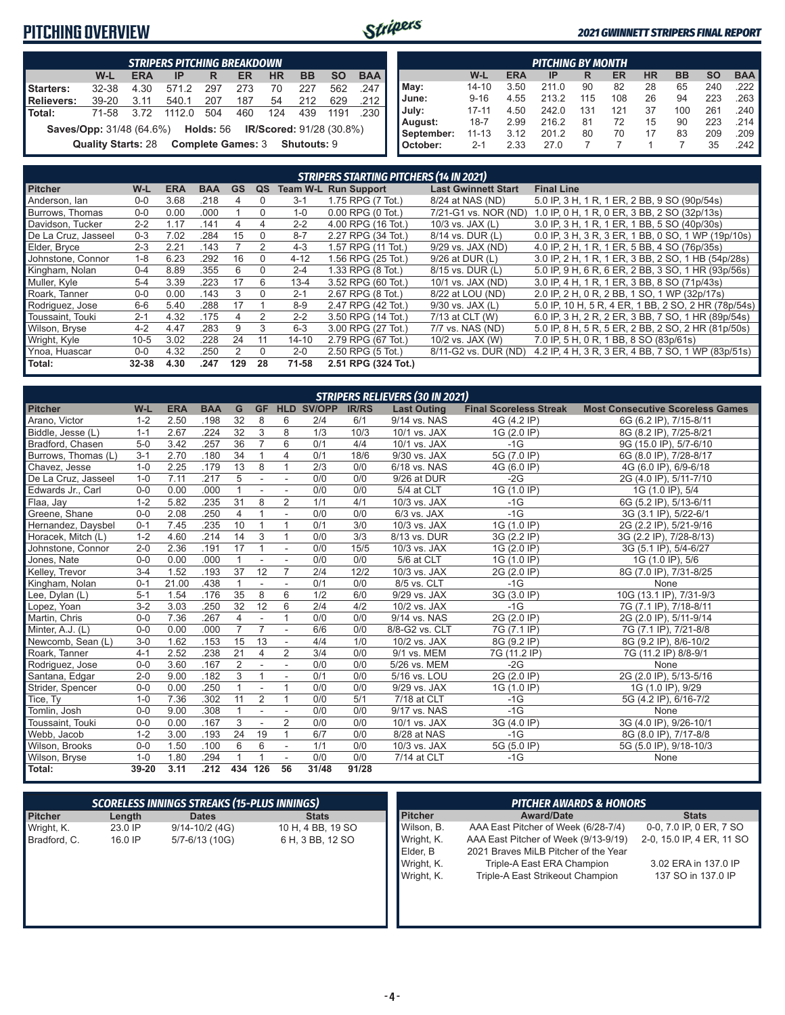#### **PITCHING OVERVIEW**



#### *2021 GWINNETT STRIPERS FINAL REPORT*

| <b>STRIPERS PITCHING BREAKDOWN</b>                                                                                   |                           |            |       |     |     |           |           |           |            |  |  |  |  |  |
|----------------------------------------------------------------------------------------------------------------------|---------------------------|------------|-------|-----|-----|-----------|-----------|-----------|------------|--|--|--|--|--|
|                                                                                                                      | W-L                       | <b>ERA</b> | IP    | R   | ER  | <b>HR</b> | <b>BB</b> | <b>SO</b> | <b>BAA</b> |  |  |  |  |  |
| Starters:                                                                                                            | 32-38                     | 4.30       | 571.2 | 297 | 273 | 70        | 227       | 562       | .247       |  |  |  |  |  |
| Relievers:                                                                                                           | $39-20$                   | 3.11       | 540.1 | 207 | 187 | 54        | 212       | 629       | .212       |  |  |  |  |  |
| l Total:                                                                                                             | 71-58                     | 3.72       | 11120 | 504 | 460 | 124       | 439       | 1191      | .230       |  |  |  |  |  |
| <b>Saves/Opp:</b> 31/48 (64.6%) <b>Holds:</b> 56<br><b>IR/Scored: 91/28 (30.8%)</b><br>Complete Games: 3 Shutouts: 9 |                           |            |       |     |     |           |           |           |            |  |  |  |  |  |
|                                                                                                                      | <b>Quality Starts: 28</b> |            |       |     |     |           |           |           |            |  |  |  |  |  |

|            | <b>PITCHING BY MONTH</b>                                                                |      |       |     |     |    |     |     |          |  |  |  |  |  |  |
|------------|-----------------------------------------------------------------------------------------|------|-------|-----|-----|----|-----|-----|----------|--|--|--|--|--|--|
|            | <b>BAA</b><br><b>HR</b><br><b>ERA</b><br><b>BB</b><br><b>SO</b><br>W-L<br>ER<br>IP<br>R |      |       |     |     |    |     |     |          |  |  |  |  |  |  |
| May:       | 14-10                                                                                   | 3.50 | 211.0 | 90  | 82  | 28 | 65  | 240 | $.222$ I |  |  |  |  |  |  |
| June:      | $9 - 16$                                                                                | 4.55 | 213.2 | 115 | 108 | 26 | 94  | 223 | $.263$ I |  |  |  |  |  |  |
| July:      | $17 - 11$                                                                               | 4.50 | 242.0 | 131 | 121 | 37 | 100 | 261 | $.240$ I |  |  |  |  |  |  |
| August:    | $18 - 7$                                                                                | 2.99 | 216.2 | 81  | 72  | 15 | 90  | 223 | ا 214.   |  |  |  |  |  |  |
| September: | $11 - 13$                                                                               | 3.12 | 201.2 | 80  | 70  | 17 | 83  | 209 | .209     |  |  |  |  |  |  |
| October:   | $2 - 1$                                                                                 | 2.33 | 27.0  |     |     |    |     | 35  | .242     |  |  |  |  |  |  |

|                     | <b>STRIPERS STARTING PITCHERS (14 IN 2021)</b> |            |            |           |          |           |                       |                            |                                                     |  |  |  |  |  |
|---------------------|------------------------------------------------|------------|------------|-----------|----------|-----------|-----------------------|----------------------------|-----------------------------------------------------|--|--|--|--|--|
| <b>Pitcher</b>      | W-L                                            | <b>ERA</b> | <b>BAA</b> | <b>GS</b> | QS       | Team W-L  | <b>Run Support</b>    | <b>Last Gwinnett Start</b> | <b>Final Line</b>                                   |  |  |  |  |  |
| Anderson, Ian       | $0 - 0$                                        | 3.68       | .218       | 4         | 0        | $3 - 1$   | 1.75 RPG (7 Tot.)     | 8/24 at NAS (ND)           | 5.0 IP, 3 H, 1 R, 1 ER, 2 BB, 9 SO (90p/54s)        |  |  |  |  |  |
| Burrows, Thomas     | $0 - 0$                                        | 0.00       | .000       |           | $\Omega$ | $1 - 0$   | $0.00$ RPG $(0$ Tot.) | 7/21-G1 vs. NOR (ND)       | 1.0 IP, 0 H, 1 R, 0 ER, 3 BB, 2 SO (32p/13s)        |  |  |  |  |  |
| Davidson, Tucker    | $2 - 2$                                        | 1.17       | .141       | 4         | 4        | $2 - 2$   | 4.00 RPG (16 Tot.)    | $10/3$ vs. JAX $(L)$       | 3.0 IP, 3 H, 1 R, 1 ER, 1 BB, 5 SO (40p/30s)        |  |  |  |  |  |
| De La Cruz, Jasseel | $0 - 3$                                        | 7.02       | .284       | 15        | $\Omega$ | $8 - 7$   | 2.27 RPG (34 Tot.)    | 8/14 vs. DUR (L)           | 0.0 IP, 3 H, 3 R, 3 ER, 1 BB, 0 SO, 1 WP (19p/10s)  |  |  |  |  |  |
| Elder, Bryce        | $2 - 3$                                        | 2.21       | .143       |           |          | $4 - 3$   | 1.57 RPG (11 Tot.)    | 9/29 vs. JAX (ND)          | 4.0 IP, 2 H, 1 R, 1 ER, 5 BB, 4 SO (76p/35s)        |  |  |  |  |  |
| Johnstone, Connor   | $1 - 8$                                        | 6.23       | .292       | 16        | $\Omega$ | $4 - 12$  | 1.56 RPG (25 Tot.)    | $9/26$ at DUR $(L)$        | 3.0 IP, 2 H, 1 R, 1 ER, 3 BB, 2 SO, 1 HB (54p/28s)  |  |  |  |  |  |
| Kingham, Nolan      | $0 - 4$                                        | 8.89       | .355       | 6         | $\Omega$ | $2 - 4$   | 1.33 RPG (8 Tot.)     | 8/15 vs. DUR (L)           | 5.0 IP, 9 H, 6 R, 6 ER, 2 BB, 3 SO, 1 HR (93p/56s)  |  |  |  |  |  |
| Muller, Kyle        | $5 - 4$                                        | 3.39       | .223       | 17        | 6        | $13 - 4$  | 3.52 RPG (60 Tot.)    | 10/1 vs. JAX (ND)          | 3.0 IP, 4 H, 1 R, 1 ER, 3 BB, 8 SO (71p/43s)        |  |  |  |  |  |
| Roark, Tanner       | $0 - 0$                                        | 0.00       | .143       | 3         | $\Omega$ | $2 - 1$   | 2.67 RPG (8 Tot.)     | 8/22 at LOU (ND)           | 2.0 IP, 2 H, 0 R, 2 BB, 1 SO, 1 WP (32p/17s)        |  |  |  |  |  |
| Rodriguez, Jose     | $6-6$                                          | 5.40       | .288       | 17        |          | $8 - 9$   | 2.47 RPG (42 Tot.)    | $9/30$ vs. JAX $(L)$       | 5.0 IP, 10 H, 5 R, 4 ER, 1 BB, 2 SO, 2 HR (78p/54s) |  |  |  |  |  |
| Toussaint. Touki    | $2 - 1$                                        | 4.32       | .175       | 4         | 2        | $2 - 2$   | 3.50 RPG (14 Tot.)    | 7/13 at CLT (W)            | 6.0 IP, 3 H, 2 R, 2 ER, 3 BB, 7 SO, 1 HR (89p/54s)  |  |  |  |  |  |
| Wilson, Bryse       | $4 - 2$                                        | 4.47       | .283       | 9         | 3        | $6 - 3$   | 3.00 RPG (27 Tot.)    | 7/7 vs. NAS (ND)           | 5.0 IP, 8 H, 5 R, 5 ER, 2 BB, 2 SO, 2 HR (81p/50s)  |  |  |  |  |  |
| Wright, Kyle        | $10 - 5$                                       | 3.02       | .228       | 24        | 11       | $14 - 10$ | 2.79 RPG (67 Tot.)    | 10/2 vs. JAX (W)           | 7.0 IP, 5 H, 0 R, 1 BB, 8 SO (83p/61s)              |  |  |  |  |  |
| Ynoa, Huascar       | $0-0$                                          | 4.32       | .250       | 2         | $\Omega$ | $2 - 0$   | 2.50 RPG (5 Tot.)     | 8/11-G2 vs. DUR (ND)       | 4.2 IP, 4 H, 3 R, 3 ER, 4 BB, 7 SO, 1 WP (83p/51s)  |  |  |  |  |  |
| Total:              | $32 - 38$                                      | 4.30       | .247       | 129       | 28       | 71-58     | 2.51 RPG (324 Tot.)   |                            |                                                     |  |  |  |  |  |

| <b>STRIPERS RELIEVERS (30 IN 2021)</b> |         |            |            |                |                          |                          |                   |              |                    |                               |                                         |  |  |
|----------------------------------------|---------|------------|------------|----------------|--------------------------|--------------------------|-------------------|--------------|--------------------|-------------------------------|-----------------------------------------|--|--|
| <b>Pitcher</b>                         | W-L     | <b>ERA</b> | <b>BAA</b> | G              | <b>GF</b>                |                          | <b>HLD SV/OPP</b> | <b>IR/RS</b> | <b>Last Outing</b> | <b>Final Scoreless Streak</b> | <b>Most Consecutive Scoreless Games</b> |  |  |
| Arano, Victor                          | $1 - 2$ | 2.50       | .198       | 32             | 8                        | 6                        | 2/4               | 6/1          | 9/14 vs. NAS       | 4G (4.2 IP)                   | 6G (6.2 IP), 7/15-8/11                  |  |  |
| Biddle, Jesse (L)                      | $1 - 1$ | 2.67       | .224       | 32             | 3                        | 8                        | 1/3               | 10/3         | 10/1 vs. JAX       | 1G (2.0 IP)                   | 8G (8.2 IP), 7/25-8/21                  |  |  |
| Bradford, Chasen                       | $5-0$   | 3.42       | .257       | 36             | $\overline{7}$           | 6                        | 0/1               | 4/4          | 10/1 vs. JAX       | $-1G$                         | 9G (15.0 IP), 5/7-6/10                  |  |  |
| Burrows, Thomas (L)                    | $3 - 1$ | 2.70       | .180       | 34             | $\mathbf{1}$             | 4                        | 0/1               | 18/6         | 9/30 vs. JAX       | 5G (7.0 IP)                   | 6G (8.0 IP), 7/28-8/17                  |  |  |
| Chavez, Jesse                          | $1 - 0$ | 2.25       | .179       | 13             | 8                        | 1                        | 2/3               | 0/0          | 6/18 vs. NAS       | 4G (6.0 IP)                   | 4G (6.0 IP), 6/9-6/18                   |  |  |
| De La Cruz. Jasseel                    | $1 - 0$ | 7.11       | .217       | 5              |                          | $\overline{\phantom{a}}$ | 0/0               | 0/0          | 9/26 at DUR        | $-2G$                         | 2G (4.0 IP), 5/11-7/10                  |  |  |
| Edwards Jr., Carl                      | $0 - 0$ | 0.00       | .000       | $\overline{1}$ |                          |                          | 0/0               | 0/0          | 5/4 at CLT         | 1G(1.0 IP)                    | 1G (1.0 IP), 5/4                        |  |  |
| Flaa, Jay                              | $1 - 2$ | 5.82       | .235       | 31             | 8                        | 2                        | 1/1               | 4/1          | 10/3 vs. JAX       | $-1G$                         | 6G (5.2 IP), 5/13-6/11                  |  |  |
| Greene. Shane                          | $0 - 0$ | 2.08       | .250       | $\overline{4}$ | $\mathbf{1}$             | $\overline{\phantom{a}}$ | 0/0               | 0/0          | 6/3 vs. JAX        | $-1G$                         | 3G (3.1 IP), 5/22-6/1                   |  |  |
| Hernandez, Daysbel                     | $0 - 1$ | 7.45       | .235       | 10             | $\mathbf{1}$             | $\mathbf{1}$             | 0/1               | 3/0          | 10/3 vs. JAX       | 1G (1.0 IP)                   | 2G (2.2 IP), 5/21-9/16                  |  |  |
| Horacek, Mitch (L)                     | $1 - 2$ | 4.60       | .214       | 14             | 3                        | $\mathbf{1}$             | 0/0               | 3/3          | 8/13 vs. DUR       | 3G (2.2 IP)                   | 3G (2.2 IP), 7/28-8/13)                 |  |  |
| Johnstone, Connor                      | $2 - 0$ | 2.36       | .191       | 17             | $\mathbf{1}$             |                          | 0/0               | 15/5         | 10/3 vs. JAX       | 1G (2.0 IP)                   | 3G (5.1 IP), 5/4-6/27                   |  |  |
| Jones, Nate                            | $0-0$   | 0.00       | .000       |                |                          |                          | 0/0               | 0/0          | 5/6 at CLT         | 1G (1.0 IP)                   | 1G (1.0 IP), 5/6                        |  |  |
| Kelley, Trevor                         | $3 - 4$ | 1.52       | .193       | 37             | 12                       | $\overline{7}$           | 2/4               | 12/2         | 10/3 vs. JAX       | 2G (2.0 IP)                   | 8G (7.0 IP), 7/31-8/25                  |  |  |
| Kingham, Nolan                         | $0 - 1$ | 21.00      | .438       |                |                          |                          | 0/1               | 0/0          | 8/5 vs. CLT        | $-1G$                         | None                                    |  |  |
| Lee, Dylan (L)                         | $5 - 1$ | 1.54       | .176       | 35             | 8                        | 6                        | 1/2               | 6/0          | 9/29 vs. JAX       | 3G (3.0 IP)                   | 10G (13.1 IP), 7/31-9/3                 |  |  |
| Lopez, Yoan                            | $3 - 2$ | 3.03       | .250       | 32             | 12                       | 6                        | 2/4               | 4/2          | 10/2 vs. JAX       | $-1G$                         | 7G (7.1 IP), 7/18-8/11                  |  |  |
| Martin, Chris                          | $0-0$   | 7.36       | .267       | 4              | $\blacksquare$           | $\mathbf{1}$             | 0/0               | 0/0          | 9/14 vs. NAS       | 2G (2.0 IP)                   | 2G (2.0 IP), 5/11-9/14                  |  |  |
| Minter, A.J. (L)                       | $0 - 0$ | 0.00       | .000       | $\overline{7}$ | $\overline{7}$           | ÷,                       | 6/6               | 0/0          | 8/8-G2 vs. CLT     | 7G (7.1 IP)                   | 7G (7.1 IP), 7/21-8/8                   |  |  |
| Newcomb, Sean (L)                      | $3-0$   | 1.62       | .153       | 15             | 13                       | $\overline{\phantom{a}}$ | 4/4               | 1/0          | 10/2 vs. JAX       | 8G (9.2 IP)                   | 8G (9.2 IP), 8/6-10/2                   |  |  |
| Roark, Tanner                          | $4 - 1$ | 2.52       | .238       | 21             | $\overline{4}$           | $\overline{2}$           | 3/4               | 0/0          | 9/1 vs. MEM        | 7G (11.2 IP)                  | 7G (11.2 IP) 8/8-9/1                    |  |  |
| Rodriguez, Jose                        | $0-0$   | 3.60       | .167       | 2              |                          |                          | $\overline{0/0}$  | 0/0          | 5/26 vs. MEM       | $-2G$                         | None                                    |  |  |
| Santana, Edgar                         | $2 - 0$ | 9.00       | .182       | 3              | $\mathbf{1}$             |                          | 0/1               | 0/0          | 5/16 vs. LOU       | 2G (2.0 IP)                   | 2G (2.0 IP), 5/13-5/16                  |  |  |
| Strider, Spencer                       | $0 - 0$ | 0.00       | .250       |                |                          | $\mathbf{1}$             | 0/0               | 0/0          | 9/29 vs. JAX       | 1G (1.0 IP)                   | 1G (1.0 IP), 9/29                       |  |  |
| Tice, Ty                               | $1 - 0$ | 7.36       | .302       | 11             | $\overline{2}$           | $\mathbf{1}$             | 0/0               | 5/1          | 7/18 at CLT        | $-1G$                         | 5G (4.2 IP), 6/16-7/2                   |  |  |
| Tomlin, Josh                           | $0 - 0$ | 9.00       | .308       |                |                          |                          | 0/0               | 0/0          | 9/17 vs. NAS       | $-1G$                         | None                                    |  |  |
| Toussaint, Touki                       | $0-0$   | 0.00       | .167       | 3              | $\overline{\phantom{a}}$ | $\overline{2}$           | 0/0               | 0/0          | 10/1 vs. JAX       | 3G (4.0 IP)                   | 3G (4.0 IP), 9/26-10/1                  |  |  |
| Webb, Jacob                            | $1 - 2$ | 3.00       | .193       | 24             | 19                       | 1                        | 6/7               | 0/0          | 8/28 at NAS        | $-1G$                         | 8G (8.0 IP), 7/17-8/8                   |  |  |
| Wilson, Brooks                         | $0-0$   | 1.50       | .100       | 6              | 6                        | ÷,                       | 1/1               | 0/0          | 10/3 vs. JAX       | 5G (5.0 IP)                   | 5G (5.0 IP), 9/18-10/3                  |  |  |
| Wilson, Bryse                          | $1 - 0$ | 1.80       | .294       | $\overline{1}$ | 1                        |                          | 0/0               | 0/0          | 7/14 at CLT        | $-1G$                         | None                                    |  |  |
| Total:                                 | 39-20   | 3.11       | .212       | 434            | 126                      | 56                       | 31/48             | 91/28        |                    |                               |                                         |  |  |

| <b>PITCHER AWARDS &amp; HONORS</b>                                |  |  |  |  |  |  |
|-------------------------------------------------------------------|--|--|--|--|--|--|
| <b>Stats</b>                                                      |  |  |  |  |  |  |
| 0-0, 7.0 IP, 0 ER, 7 SO<br>AAA East Pitcher of Week (6/28-7/4)    |  |  |  |  |  |  |
| AAA East Pitcher of Week (9/13-9/19)<br>2-0, 15.0 IP, 4 ER, 11 SO |  |  |  |  |  |  |
| 2021 Braves MiLB Pitcher of the Year                              |  |  |  |  |  |  |
| Triple-A East ERA Champion<br>3.02 ERA in 137.0 IP                |  |  |  |  |  |  |
| Triple-A East Strikeout Champion<br>137 SO in 137.0 IP            |  |  |  |  |  |  |
|                                                                   |  |  |  |  |  |  |
|                                                                   |  |  |  |  |  |  |
|                                                                   |  |  |  |  |  |  |
|                                                                   |  |  |  |  |  |  |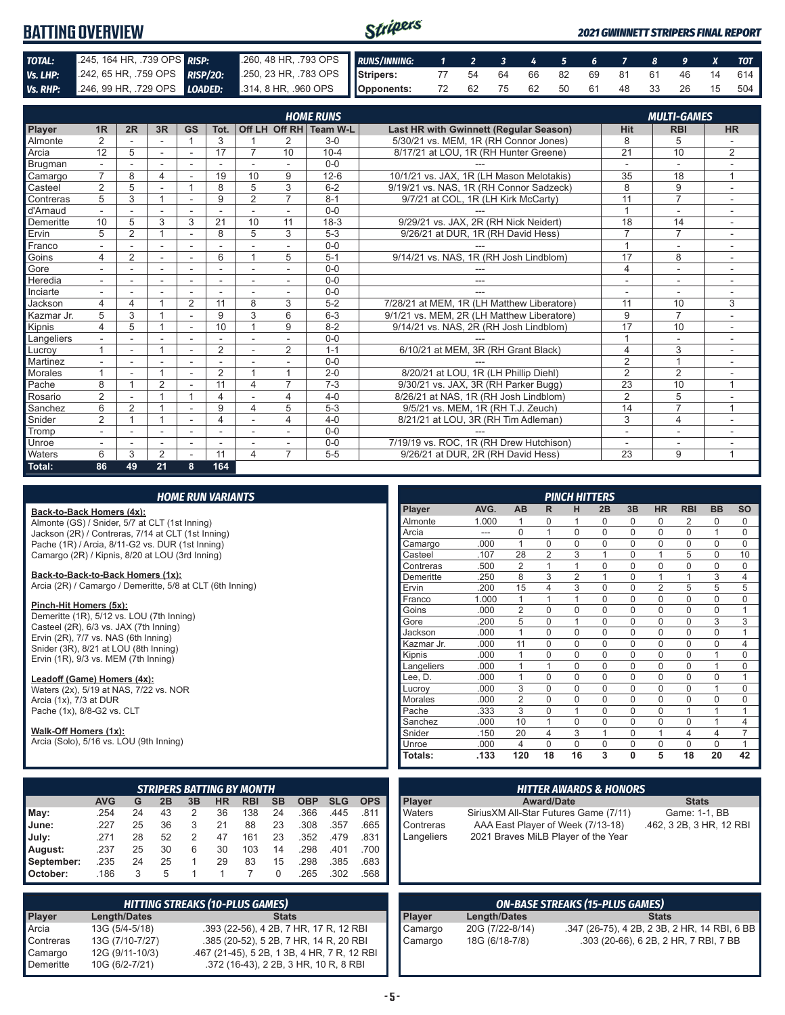#### Stripers **BATTING OVERVIEW** *2021 GWINNETT STRIPERS FINAL REPORT TOTAL:* .245, 164 HR, .739 OPS *RISP:* .260, 48 HR, .793 OPS *RUNS/INNING: 1 2 3 4 5 6 7 8 9 X TOT*

| TUIAL:           | $2 + 3, 10 + 111, 1330$ or $3$ MM |                |                          |                          |                          |    | 200, 40 H N, . <i>i J</i> J UF J |                 | KUNS/INNINU:                                  |                                       | z         | э. | 4                  | э. |    |            | $\bullet$ | ,          | $\mathbf{A}$ | וטו       |    |     |
|------------------|-----------------------------------|----------------|--------------------------|--------------------------|--------------------------|----|----------------------------------|-----------------|-----------------------------------------------|---------------------------------------|-----------|----|--------------------|----|----|------------|-----------|------------|--------------|-----------|----|-----|
| Vs. LHP:         | .242, 65 HR, .759 OPS             |                |                          |                          | RISP/20:                 |    |                                  |                 | .250, 23 HR, .783 OPS                         |                                       | Stripers: | 77 | 54                 | 64 | 66 | 82         | 69        | 81         | 61           | 46        | 14 | 614 |
| Vs. RHP:         | .246, 99 HR, .729 OPS<br>LOADED:  |                |                          |                          | .314, 8 HR, .960 OPS     |    |                                  | Opponents:      | 72                                            | 62                                    | 75        | 62 | 50                 | 61 | 48 | 33         | 26        | 15         | 504          |           |    |     |
|                  |                                   |                |                          |                          |                          |    |                                  |                 |                                               |                                       |           |    |                    |    |    |            |           |            |              |           |    |     |
| <b>HOME RUNS</b> |                                   |                |                          |                          |                          |    |                                  |                 |                                               |                                       |           |    | <b>MULTI-GAMES</b> |    |    |            |           |            |              |           |    |     |
| <b>Player</b>    | 1R                                | 2R             | 3R                       | <b>GS</b>                | Tot.                     |    | <b>Off LH Off RH</b>             | <b>Team W-L</b> | <b>Last HR with Gwinnett (Regular Season)</b> |                                       |           |    |                    |    |    | <b>Hit</b> |           | <b>RBI</b> |              | <b>HR</b> |    |     |
| Almonte          | 2                                 |                | $\overline{\phantom{a}}$ |                          |                          |    |                                  | $3-0$           | 5/30/21 vs. MEM. 1R (RH Connor Jones)         |                                       |           |    |                    |    |    | 8          |           |            |              |           |    |     |
| Arcia            | 12                                | 5              | <b>F</b>                 | $\sim$                   | 17                       |    | 10                               | $10 - 4$        |                                               | 8/17/21 at LOU, 1R (RH Hunter Greene) |           |    |                    |    |    | 21         |           | 10         |              | 2         |    |     |
| Brugman          | ۰.                                |                |                          |                          | ۰                        |    |                                  | $0-0$           |                                               |                                       |           |    |                    |    |    |            |           |            |              |           |    |     |
| Camargo          | $\overline{7}$                    | 8              | 4                        | $\overline{\phantom{a}}$ | 19                       | 10 | 9                                | $12 - 6$        | 10/1/21 vs. JAX, 1R (LH Mason Melotakis)      |                                       |           |    |                    |    |    | 35         |           | 18         |              |           |    |     |
| Casteel          | 2                                 | 5              |                          |                          | 8                        | 5  | 3                                | $6 - 2$         | 9/19/21 vs. NAS, 1R (RH Connor Sadzeck)       |                                       |           |    |                    |    |    | 8          |           | 9          |              |           |    |     |
| Contreras        | 5                                 | 3              |                          | $\sim$                   | 9                        | 2  |                                  | $8 - 1$         |                                               | 9/7/21 at COL, 1R (LH Kirk McCarty)   |           |    |                    |    |    | 11         |           |            |              |           |    |     |
| d'Arnaud         | ۰.                                |                |                          |                          |                          |    |                                  | $0-0$           |                                               |                                       |           |    |                    |    |    |            |           |            |              |           |    |     |
| Demeritte        | 10                                | 5              | 3                        | 3                        | 21                       | 10 | 11                               | $18-3$          |                                               | 9/29/21 vs. JAX, 2R (RH Nick Neidert) |           |    |                    |    |    | 18         |           | 14         |              |           |    |     |
| Ervin            | 5                                 | $\overline{2}$ |                          | $\overline{\phantom{a}}$ | 8                        | 5  | 3                                | $5-3$           |                                               | 9/26/21 at DUR. 1R (RH David Hess)    |           |    |                    |    |    |            |           |            |              |           |    |     |
| Franco           | -                                 |                | $\sim$                   | $\sim$                   | $\overline{\phantom{a}}$ |    |                                  | $0-0$           |                                               |                                       |           |    |                    |    |    |            |           |            |              |           |    |     |
| Goins            | 4                                 | 2              | $\overline{\phantom{a}}$ | $\overline{\phantom{a}}$ | 6                        |    | 5                                | $5 - 1$         | 9/14/21 vs. NAS, 1R (RH Josh Lindblom)        |                                       |           |    |                    |    |    | 17         |           | 8          |              |           |    |     |
| Gore             | ٠                                 |                | $\overline{\phantom{a}}$ | $\overline{\phantom{a}}$ | $\overline{\phantom{a}}$ |    |                                  | $0-0$           |                                               |                                       |           |    |                    |    |    | 4          |           |            |              |           |    |     |
| Heredia          |                                   |                |                          |                          |                          |    |                                  | $0 - 0$         |                                               |                                       | ---       |    |                    |    |    |            |           |            |              |           |    |     |

Inciarte - - - - - - - 0-0 --- - - - Jackson 4 4 1 2 11 8 3 5-2 7/28/21 at MEM, 1R (LH Matthew Liberatore) 11 10 3

Sanchez 6 2 1 - 9 4 5 5-3 9/5/21 vs. MEM, 1R (RH T.J. Zeuch) 14 7 1<br>Snider 2 1 1 - 4 - 4 4-0 8/21/21 at LOU, 3R (RH Tim Adleman) 3 4 -

Tromp - - - - - - - 0-0 --- - - -

Waters 6 3 2 - 11 4 7 5-5 9/26/21 at DUR, 2R (RH David Hess) 23 9 1

Kipnis 4 5 1 - 10 1 9 8-2 9/14/21 vs. NAS, 2R (RH Josh Lindblom) 17 10<br>Langeliers - - - - - 0-0 Langeliers - - - - - - - 0-0 --- 1 - - Lucroy 1 - 1 - 2 - 2 1-1 6/10/21 at MEM, 3R (RH Grant Black) 4 3 - 2 1-1 6/10/21 at MEM, 3R (RH Grant Black) 4 3 -Martinez - - - - - - - 0-0 --- 2 1 - Morales 1 - 1 - 2 1 1 2-0 8/20/21 at LOU, 1R (LH Phillip Diehl) 2 2 -Pache 8 1 2 - 11 4 7 7-3 9/30/21 vs. JAX, 3R (RH Parker Bugg) 23 10 1<br>Rosario 2 - 1 1 4 - 4 4-0 8/26/21 at NAS, 1R (RH Josh Lindblom) 2 5 -

Snider 2 1 1 - 4 - 4 4-0 8/21/21 at LOU, 3R (RH Tim Adleman) 3<br>Tromp 3 - - - - - - 0-0

Kazmar Jr. 5 3 1 - 9 3 6 6-3 9/1/21 vs. MEM, 2R (LH Matthew Liberatore)

Unroe - - - - - - 0-0 7/19/19 vs. ROC, 1R (RH Drew Hutchison)

|  |  |  | <b>HOME RUN VARIANTS</b> |
|--|--|--|--------------------------|
|  |  |  |                          |

#### **Back-to-Back Homers (4x):**

Almonte (GS) / Snider, 5/7 at CLT (1st Inning) Jackson (2R) / Contreras, 7/14 at CLT (1st Inning) Pache (1R) / Arcia, 8/11-G2 vs. DUR (1st Inning) Camargo (2R) / Kipnis, 8/20 at LOU (3rd Inning)

**Total: 86 49 21 8 164**

#### **Back-to-Back-to-Back Homers (1x):**

Arcia (2R) / Camargo / Demeritte, 5/8 at CLT (6th Inning)

#### **Pinch-Hit Homers (5x):**

Demeritte (1R), 5/12 vs. LOU (7th Inning) Casteel (2R), 6/3 vs. JAX (7th Inning) Ervin (2R), 7/7 vs. NAS (6th Inning) Snider (3R), 8/21 at LOU (8th Inning) Ervin (1R), 9/3 vs. MEM (7th Inning)

#### **Leadoff (Game) Homers (4x):**

Waters (2x), 5/19 at NAS, 7/22 vs. NOR Arcia  $(1x)$ ,  $7/3$  at DUR Pache (1x), 8/8-G2 vs. CLT

#### **Walk-Off Homers (1x):**

Arcia (Solo), 5/16 vs. LOU (9th Inning)

| <b>STRIPERS BATTING BY MONTH</b> |            |    |    |    |           |            |           |            |            |            |
|----------------------------------|------------|----|----|----|-----------|------------|-----------|------------|------------|------------|
|                                  | <b>AVG</b> | G  | 2B | 3B | <b>HR</b> | <b>RBI</b> | <b>SB</b> | <b>OBP</b> | <b>SLG</b> | <b>OPS</b> |
| $M$ ay:                          | .254       | 24 | 43 | 2  | 36        | 138        | 24        | .366       | .445       | .811       |
| <b>June:</b>                     | .227       | 25 | 36 | 3  | 21        | 88         | 23        | .308       | .357       | .665       |
| July:                            | .271       | 28 | 52 | 2  | 47        | 161        | 23        | .352       | .479       | .831       |
| August:                          | .237       | 25 | 30 | 6  | 30        | 103        | 14        | .298       | .401       | .700       |
| September:                       | .235       | 24 | 25 |    | 29        | 83         | 15        | .298       | .385       | .683       |
| <b>October:</b>                  | .186       | 3  | 5  |    |           |            | 0         | .265       | .302       | .568       |

| <b>HITTING STREAKS (10-PLUS GAMES)</b> |                     |                                             |  |  |  |
|----------------------------------------|---------------------|---------------------------------------------|--|--|--|
| Player                                 | <b>Length/Dates</b> | <b>Stats</b>                                |  |  |  |
| Arcia                                  | 13G (5/4-5/18)      | .393 (22-56), 4 2B, 7 HR, 17 R, 12 RBI      |  |  |  |
| Contreras                              | 13G (7/10-7/27)     | .385 (20-52), 5 2B, 7 HR, 14 R, 20 RBI      |  |  |  |
| Camargo                                | 12G (9/11-10/3)     | .467 (21-45), 5 2B, 1 3B, 4 HR, 7 R, 12 RBI |  |  |  |
| Demeritte                              | 10G (6/2-7/21)      | .372 (16-43), 2 2B, 3 HR, 10 R, 8 RBI       |  |  |  |

|               |       |                |                | <b>PINCH HITTERS</b> |          |             |                |                |           |                |
|---------------|-------|----------------|----------------|----------------------|----------|-------------|----------------|----------------|-----------|----------------|
| <b>Player</b> | AVG.  | <b>AB</b>      | R              | н                    | 2B       | 3B          | <b>HR</b>      | <b>RBI</b>     | <b>BB</b> | <b>SO</b>      |
| Almonte       | 1.000 | 1              | $\Omega$       | 1                    | $\Omega$ | 0           | $\Omega$       | 2              | 0         | $\Omega$       |
| Arcia         | ---   | $\Omega$       | 1              | $\Omega$             | $\Omega$ | 0           | $\mathbf 0$    | $\mathbf 0$    | 1         | $\Omega$       |
| Camargo       | .000  | 1              | $\Omega$       | $\Omega$             | $\Omega$ | $\Omega$    | $\mathbf 0$    | $\Omega$       | $\Omega$  | $\Omega$       |
| Casteel       | .107  | 28             | $\overline{2}$ | 3                    | 1        | $\Omega$    | 1              | 5              | $\Omega$  | 10             |
| Contreras     | .500  | $\overline{2}$ | 1              | 1                    | $\Omega$ | $\mathbf 0$ | $\mathbf 0$    | $\mathbf 0$    | $\Omega$  | $\mathbf 0$    |
| Demeritte     | .250  | 8              | 3              | $\mathfrak{p}$       | 1        | $\Omega$    | 1              | 1              | 3         | $\overline{4}$ |
| Ervin         | .200  | 15             | 4              | 3                    | $\Omega$ | $\Omega$    | $\overline{2}$ | 5              | 5         | 5              |
| Franco        | 1.000 | 1              | 1              | 1                    | $\Omega$ | $\mathbf 0$ | $\Omega$       | $\mathbf 0$    | $\Omega$  | $\Omega$       |
| Goins         | .000  | $\overline{2}$ | $\Omega$       | $\Omega$             | $\Omega$ | $\Omega$    | $\Omega$       | $\mathbf 0$    | $\Omega$  | 1              |
| Gore          | .200  | 5              | $\Omega$       | 1                    | $\Omega$ | $\Omega$    | $\Omega$       | $\Omega$       | 3         | 3              |
| Jackson       | .000  | 1              | $\Omega$       | $\Omega$             | $\Omega$ | $\Omega$    | $\Omega$       | $\Omega$       | $\Omega$  | 1              |
| Kazmar Jr.    | .000  | 11             | $\Omega$       | $\Omega$             | $\Omega$ | $\Omega$    | $\Omega$       | $\Omega$       | $\Omega$  | $\overline{4}$ |
| Kipnis        | .000  | 1              | $\mathbf 0$    | $\Omega$             | $\Omega$ | $\Omega$    | $\mathbf 0$    | $\mathbf 0$    | 1         | $\Omega$       |
| Langeliers    | .000  | 1              | 1              | $\Omega$             | $\Omega$ | $\mathbf 0$ | $\Omega$       | $\Omega$       | 1         | $\Omega$       |
| Lee, D.       | .000  | 1              | $\Omega$       | $\Omega$             | $\Omega$ | $\Omega$    | $\Omega$       | $\mathbf 0$    | 0         | 1              |
| Lucroy        | .000  | 3              | $\Omega$       | $\Omega$             | $\Omega$ | $\Omega$    | $\Omega$       | $\Omega$       | 1         | $\Omega$       |
| Morales       | .000  | $\overline{2}$ | $\Omega$       | $\Omega$             | $\Omega$ | $\Omega$    | $\Omega$       | $\mathbf 0$    | $\Omega$  | $\Omega$       |
| Pache         | .333  | 3              | $\Omega$       | 1                    | $\Omega$ | $\Omega$    | $\Omega$       | 1              | 1         | 1              |
| Sanchez       | .000  | 10             | 1              | $\Omega$             | $\Omega$ | $\Omega$    | $\mathbf 0$    | $\mathbf 0$    | 1         | $\overline{4}$ |
| Snider        | .150  | 20             | $\overline{4}$ | 3                    | 1        | $\Omega$    | 1              | $\overline{4}$ | 4         | 7              |
| Unroe         | .000  | $\overline{4}$ | $\Omega$       | $\Omega$             | $\Omega$ | $\mathbf 0$ | $\mathbf 0$    | $\Omega$       | $\Omega$  | 1              |
| Totals:       | .133  | 120            | 18             | 16                   | 3        | $\Omega$    | 5              | 18             | 20        | 42             |

8/26/21 at NAS, 1R (RH Josh Lindblom) 2<br>9/5/21 vs. MEM, 1R (RH T.J. Zeuch) 14

|                                          | <b>HITTER AWARDS &amp; HONORS</b>                                                                                 |                                           |
|------------------------------------------|-------------------------------------------------------------------------------------------------------------------|-------------------------------------------|
| <b>Player</b>                            | <b>Award/Date</b>                                                                                                 | <b>Stats</b>                              |
| <b>Naters</b><br>Contreras<br>Langeliers | SiriusXM All-Star Futures Game (7/11)<br>AAA East Player of Week (7/13-18)<br>2021 Braves MiLB Player of the Year | Game: 1-1, BB<br>.462, 3 2B, 3 HR, 12 RBI |

| <b>ON-BASE STREAKS (15-PLUS GAMES)</b> |                 |                                              |  |  |  |
|----------------------------------------|-----------------|----------------------------------------------|--|--|--|
| Player<br>Camargo                      | Length/Dates    | <b>Stats</b>                                 |  |  |  |
|                                        | 20G (7/22-8/14) | .347 (26-75), 4 2B, 2 3B, 2 HR, 14 RBI, 6 BB |  |  |  |
| Camargo                                | 18G (6/18-7/8)  | .303 (20-66), 6 2B, 2 HR, 7 RBI, 7 BB        |  |  |  |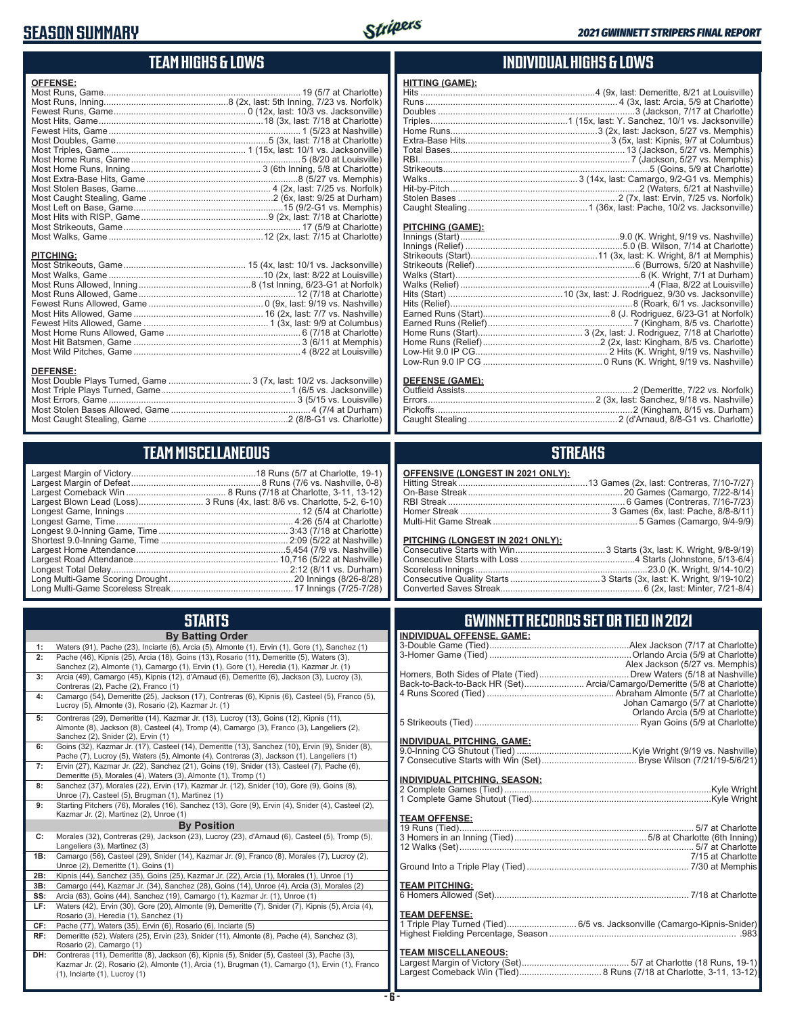#### **SEASON SUMMARY**



#### **TEAM HIGHS & LOWS**

| <b>OFFENSE:</b>                                                                                                                                                                                                                                                                                                                                                            |  |
|----------------------------------------------------------------------------------------------------------------------------------------------------------------------------------------------------------------------------------------------------------------------------------------------------------------------------------------------------------------------------|--|
|                                                                                                                                                                                                                                                                                                                                                                            |  |
|                                                                                                                                                                                                                                                                                                                                                                            |  |
|                                                                                                                                                                                                                                                                                                                                                                            |  |
|                                                                                                                                                                                                                                                                                                                                                                            |  |
|                                                                                                                                                                                                                                                                                                                                                                            |  |
|                                                                                                                                                                                                                                                                                                                                                                            |  |
|                                                                                                                                                                                                                                                                                                                                                                            |  |
|                                                                                                                                                                                                                                                                                                                                                                            |  |
|                                                                                                                                                                                                                                                                                                                                                                            |  |
|                                                                                                                                                                                                                                                                                                                                                                            |  |
|                                                                                                                                                                                                                                                                                                                                                                            |  |
|                                                                                                                                                                                                                                                                                                                                                                            |  |
|                                                                                                                                                                                                                                                                                                                                                                            |  |
|                                                                                                                                                                                                                                                                                                                                                                            |  |
|                                                                                                                                                                                                                                                                                                                                                                            |  |
|                                                                                                                                                                                                                                                                                                                                                                            |  |
|                                                                                                                                                                                                                                                                                                                                                                            |  |
| <b>PITCHING:</b>                                                                                                                                                                                                                                                                                                                                                           |  |
|                                                                                                                                                                                                                                                                                                                                                                            |  |
| $\mathcal{A} \cap \mathcal{A}$ , and $\mathcal{A} \cap \mathcal{A}$ , and $\mathcal{A} \cap \mathcal{A}$ , and $\mathcal{A} \cap \mathcal{A}$ , and $\mathcal{A} \cap \mathcal{A}$ , and $\mathcal{A} \cap \mathcal{A}$ , and $\mathcal{A} \cap \mathcal{A}$ , and $\mathcal{A} \cap \mathcal{A}$ , and $\mathcal{A} \cap \mathcal{A}$ , and $\mathcal{A} \cap \mathcal{A$ |  |

#### **DEFENSE:**

#### **TEAM MISCELLANEOUS**

|     | <b>STARTS</b>                                                                                                                                                                                                                            |
|-----|------------------------------------------------------------------------------------------------------------------------------------------------------------------------------------------------------------------------------------------|
|     | <b>By Batting Order</b>                                                                                                                                                                                                                  |
| 1:  | Waters (91), Pache (23), Inciarte (6), Arcia (5), Almonte (1), Ervin (1), Gore (1), Sanchez (1)                                                                                                                                          |
| 2:  | Pache (46), Kipnis (25), Arcia (18), Goins (13), Rosario (11), Demeritte (5), Waters (3),<br>Sanchez (2), Almonte (1), Camargo (1), Ervin (1), Gore (1), Heredia (1), Kazmar Jr. (1)                                                     |
| 3:  | Arcia (49), Camargo (45), Kipnis (12), d'Arnaud (6), Demeritte (6), Jackson (3), Lucroy (3),<br>Contreras (2), Pache (2), Franco (1)                                                                                                     |
| 4:  | Camargo (54), Demeritte (25), Jackson (17), Contreras (6), Kipnis (6), Casteel (5), Franco (5),<br>Lucroy (5), Almonte (3), Rosario (2), Kazmar Jr. (1)                                                                                  |
| 5:  | Contreras (29), Demeritte (14), Kazmar Jr. (13), Lucroy (13), Goins (12), Kipnis (11),<br>Almonte (8), Jackson (8), Casteel (4), Tromp (4), Camargo (3), Franco (3), Langeliers (2),<br>Sanchez (2), Snider (2), Ervin (1)               |
| 6:  | Goins (32), Kazmar Jr. (17), Casteel (14), Demeritte (13), Sanchez (10), Ervin (9), Snider (8),<br>Pache (7), Lucroy (5), Waters (5), Almonte (4), Contreras (3), Jackson (1), Langeliers (1)                                            |
| 7:  | Ervin (27), Kazmar Jr. (22), Sanchez (21), Goins (19), Snider (13), Casteel (7), Pache (6),<br>Demeritte (5), Morales (4), Waters (3), Almonte (1), Tromp (1)                                                                            |
| 8:  | Sanchez (37), Morales (22), Ervin (17), Kazmar Jr. (12), Snider (10), Gore (9), Goins (8),<br>Unroe (7), Casteel (5), Brugman (1), Martinez (1)                                                                                          |
| 9:  | Starting Pitchers (76), Morales (16), Sanchez (13), Gore (9), Ervin (4), Snider (4), Casteel (2),<br>Kazmar Jr. (2), Martinez (2), Unroe (1)                                                                                             |
|     | <b>By Position</b>                                                                                                                                                                                                                       |
| C:  | Morales (32), Contreras (29), Jackson (23), Lucroy (23), d'Arnaud (6), Casteel (5), Tromp (5),<br>Langeliers (3), Martinez (3)                                                                                                           |
| 1B: | Camargo (56), Casteel (29), Snider (14), Kazmar Jr. (9), Franco (8), Morales (7), Lucroy (2),<br>Unroe (2), Demeritte (1), Goins (1)                                                                                                     |
| 2B: | Kipnis (44), Sanchez (35), Goins (25), Kazmar Jr. (22), Arcia (1), Morales (1), Unroe (1)                                                                                                                                                |
| 3B: | Camargo (44), Kazmar Jr. (34), Sanchez (28), Goins (14), Unroe (4), Arcia (3), Morales (2)                                                                                                                                               |
| SS: | Arcia (63), Goins (44), Sanchez (19), Camargo (1), Kazmar Jr. (1), Unroe (1)                                                                                                                                                             |
| LF: | Waters (42), Ervin (30), Gore (20), Almonte (9), Demeritte (7), Snider (7), Kipnis (5), Arcia (4),<br>Rosario (3), Heredia (1), Sanchez (1)                                                                                              |
| CF: | Pache (77), Waters (35), Ervin (6), Rosario (6), Inciarte (5)                                                                                                                                                                            |
| RF: | Demeritte (52), Waters (25), Ervin (23), Snider (11), Almonte (8), Pache (4), Sanchez (3),<br>Rosario (2), Camargo (1)                                                                                                                   |
| DH: | Contreras (11), Demeritte (8), Jackson (6), Kipnis (5), Snider (5), Casteel (3), Pache (3),<br>Kazmar Jr. (2), Rosario (2), Almonte (1), Arcia (1), Brugman (1), Camargo (1), Ervin (1), Franco<br>$(1)$ , Inciarte $(1)$ , Lucroy $(1)$ |

#### **INDIVIDUAL HIGHS & LOWS**

| <u> HITTING (GAME):</u> |  |
|-------------------------|--|
|                         |  |
|                         |  |
|                         |  |
|                         |  |
|                         |  |
|                         |  |
|                         |  |
|                         |  |
|                         |  |
|                         |  |
|                         |  |
|                         |  |
|                         |  |

#### **PITCHING (GAME):**

| DEFENSE (GAME): |  |
|-----------------|--|
|                 |  |
|                 |  |

#### **STREAKS**

#### **OFFENSIVE (LONGEST IN 2021 ONLY):**

#### **PITCHING (LONGEST IN 2021 ONLY):**

#### **GWINNETT RECORDS SET OR TIED IN 2021**

| <b>INDIVIDUAL OFFENSE, GAME:</b> |                                                                          |
|----------------------------------|--------------------------------------------------------------------------|
|                                  |                                                                          |
|                                  |                                                                          |
|                                  | Alex Jackson (5/27 vs. Memphis)                                          |
|                                  |                                                                          |
|                                  | Back-to-Back-to-Back HR (Set) Arcia/Camargo/Demeritte (5/8 at Charlotte) |
|                                  |                                                                          |
|                                  | Johan Camargo (5/7 at Charlotte)                                         |
|                                  | Orlando Arcia (5/9 at Charlotte)                                         |
|                                  |                                                                          |
| INDIVIDUAL PITCHING, GAME:       |                                                                          |
|                                  |                                                                          |
|                                  |                                                                          |
|                                  |                                                                          |
| INDIVIDUAL PITCHING, SEASON:     |                                                                          |
|                                  |                                                                          |
|                                  |                                                                          |
| <b>TEAM OFFENSE:</b>             |                                                                          |
|                                  |                                                                          |
|                                  |                                                                          |
|                                  |                                                                          |
|                                  |                                                                          |
|                                  |                                                                          |
|                                  |                                                                          |
| <b>TEAM PITCHING:</b>            |                                                                          |
|                                  |                                                                          |
|                                  |                                                                          |
| <b>TEAM DEFENSE:</b>             |                                                                          |
|                                  | 1 Triple Play Turned (Tied) 6/5 vs. Jacksonville (Camargo-Kipnis-Snider) |
|                                  |                                                                          |
|                                  |                                                                          |
| <b>TEAM MISCELLANEOUS:</b>       |                                                                          |
|                                  |                                                                          |
|                                  |                                                                          |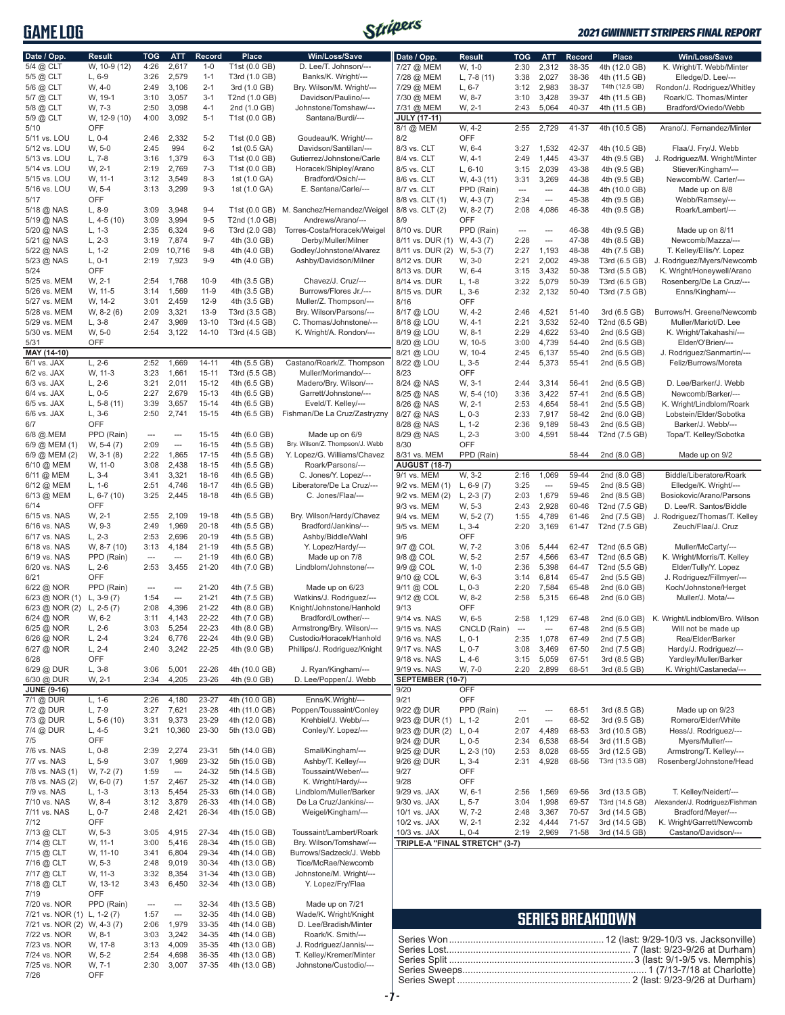**GAME LOG**



#### *2021 GWINNETT STRIPERS FINAL REPORT*

| Date / Opp.                 | <b>Result</b>        | <b>TOG</b>               | <b>ATT</b>               | Record             | <b>Place</b>                   | Win/Loss/Save                                | Date / Opp.                    | <b>Result</b>      | TOG                      | <b>ATT</b>               | <b>Record</b>  | Place                   | Win/Loss/Save                                     |
|-----------------------------|----------------------|--------------------------|--------------------------|--------------------|--------------------------------|----------------------------------------------|--------------------------------|--------------------|--------------------------|--------------------------|----------------|-------------------------|---------------------------------------------------|
| 5/4 @ CLT                   | W, 10-9 (12)         | 4:26                     | 2,617                    | $1 - 0$            | T1st (0.0 GB)                  | D. Lee/T. Johnson/---                        | 7/27 @ MEM                     | W, 1-0             | 2:30                     | 2,312                    | 38-35          | 4th (12.0 GB)           | K. Wright/T. Webb/Minter                          |
|                             | $L, 6-9$             | 3:26                     | 2,579                    | $1 - 1$            | T3rd (1.0 GB)                  | Banks/K. Wright/---                          |                                | L, $7-8(11)$       | 3:38                     | 2,027                    | 38-36          | 4th (11.5 GB)           | Elledge/D. Lee/---                                |
| 5/5 @ CLT                   |                      |                          |                          |                    |                                |                                              | 7/28 @ MEM                     |                    |                          |                          |                |                         |                                                   |
| 5/6 @ CLT                   | W, 4-0               | 2:49                     | 3,106                    | $2 - 1$            | 3rd (1.0 GB)                   | Bry. Wilson/M. Wright/---                    | 7/29 @ MEM                     | $L, 6-7$           | 3:12                     | 2,983                    | 38-37          | T4th (12.5 GB)          | Rondon/J. Rodriguez/Whitley                       |
| 5/7 @ CLT                   | W, 19-1              | 3:10                     | 3,057                    | $3 - 1$            | T2nd (1.0 GB)                  | Davidson/Paulino/---                         | 7/30 @ MEM                     | W, 8-7             | 3:10                     | 3,428                    | 39-37          | 4th (11.5 GB)           | Roark/C. Thomas/Minter                            |
| 5/8 @ CLT                   | W, 7-3               | 2:50                     | 3,098                    | $4 - 1$            | 2nd (1.0 GB)                   | Johnstone/Tomshaw/---                        | 7/31 @ MEM                     | W, 2-1             | 2:43                     | 5,064                    | 40-37          | 4th (11.5 GB)           | Bradford/Oviedo/Webb                              |
| 5/9 @ CLT                   | W, 12-9 (10)         | 4:00                     | 3,092                    | $5 - 1$            | T1st (0.0 GB)                  | Santana/Burdi/---                            | <b>JULY (17-11)</b>            |                    |                          |                          |                |                         |                                                   |
| 5/10                        | OFF                  |                          |                          |                    |                                |                                              | 8/1 @ MEM                      | W. 4-2             | 2:55                     | 2,729                    | 41-37          | 4th (10.5 GB)           | Arano/J. Fernandez/Minter                         |
| 5/11 vs. LOU                | $L, 0-4$             | 2:46                     | 2,332                    | $5 - 2$            | T1st (0.0 GB)                  | Goudeau/K. Wright/---                        | 8/2                            | <b>OFF</b>         |                          |                          |                |                         |                                                   |
| 5/12 vs. LOU                | W, 5-0               | 2:45                     | 994                      | $6 - 2$            | 1st (0.5 GA)                   | Davidson/Santillan/---                       | 8/3 vs. CLT                    | W, 6-4             | 3:27                     | 1,532                    | 42-37          | 4th (10.5 GB)           | Flaa/J. Fry/J. Webb                               |
| 5/13 vs. LOU                | $L, 7-8$             | 3:16                     | 1,379                    | $6 - 3$            | T1st (0.0 GB)                  | Gutierrez/Johnstone/Carle                    | 8/4 vs. CLT                    | W, 4-1             | 2:49                     | 1,445                    | 43-37          | 4th (9.5 GB)            | J. Rodriguez/M. Wright/Minter                     |
| 5/14 vs. LOU                | W, 2-1               | 2:19                     | 2,769                    | $7 - 3$            | T1st (0.0 GB)                  | Horacek/Shipley/Arano                        | 8/5 vs. CLT                    | $L, 6-10$          | 3:15                     | 2,039                    | 43-38          | 4th (9.5 GB)            | Stiever/Kingham/---                               |
| 5/15 vs. LOU                | W, 11-1              | 3:12                     | 3,549                    | $8 - 3$            | 1st (1.0 GA)                   | Bradford/Osich/---                           | 8/6 vs. CLT                    | W, 4-3 (11)        | 3:31                     | 3,269                    | 44-38          | 4th (9.5 GB)            | Newcomb/W. Carter/---                             |
| 5/16 vs. LOU                | W, 5-4               | 3:13                     | 3,299                    | $9 - 3$            | 1st (1.0 GA)                   | E. Santana/Carle/---                         | 8/7 vs. CLT                    | PPD (Rain)         | ---                      | ---                      | 44-38          | 4th (10.0 GB)           | Made up on 8/8                                    |
| 5/17                        | OFF                  |                          |                          |                    |                                |                                              | 8/8 vs. CLT (1)                | $W, 4-3(7)$        | 2:34                     | ---                      | 45-38          | 4th (9.5 GB)            | Webb/Ramsey/---                                   |
| 5/18 @ NAS                  | $L, 8-9$             | 3:09                     | 3,948                    | $9 - 4$            |                                | T1st (0.0 GB) M. Sanchez/Hernandez/Weigel    | 8/8 vs. CLT (2)                | $W, 8-2(7)$        | 2:08                     | 4,086                    | 46-38          | 4th (9.5 GB)            | Roark/Lambert/---                                 |
| 5/19 @ NAS                  | L, $4-5(10)$         | 3:09                     | 3,994                    | $9 - 5$            | T2nd (1.0 GB)                  | Andrews/Arano/---                            | 8/9                            | OFF                |                          |                          |                |                         |                                                   |
| 5/20 @ NAS                  | $L, 1-3$             | 2:35                     | 6,324                    | $9-6$              | T3rd (2.0 GB)                  | Torres-Costa/Horacek/Weigel                  | 8/10 vs. DUR                   | PPD (Rain)         | ---                      | ---                      | 46-38          | 4th (9.5 GB)            | Made up on 8/11                                   |
| 5/21 @ NAS                  | $L, 2-3$             | 3:19                     | 7,874                    | $9 - 7$            | 4th (3.0 GB)                   | Derby/Muller/Milner                          | 8/11 vs. DUR (1) W, 4-3 (7)    |                    | 2:28                     | $\overline{\phantom{a}}$ | 47-38          | 4th (8.5 GB)            | Newcomb/Mazza/---                                 |
| 5/22 @ NAS                  | L, 1-2               | 2:09                     | 10,716                   | $9 - 8$            | 4th (4.0 GB)                   | Godley/Johnstone/Alvarez                     | 8/11 vs. DUR (2)               | W, 5-3 (7)         | 2:27                     | 1,193                    | 48-38          | 4th (7.5 GB)            | T. Kelley/Ellis/Y. Lopez                          |
| 5/23 @ NAS                  | $L, 0-1$             | 2:19                     | 7,923                    | $9 - 9$            | 4th (4.0 GB)                   | Ashby/Davidson/Milner                        | 8/12 vs. DUR                   | W, 3-0             | 2:21                     | 2,002                    | 49-38          | T3rd (6.5 GB)           | J. Rodriguez/Myers/Newcomb                        |
| 5/24                        | OFF                  |                          |                          |                    |                                |                                              | 8/13 vs. DUR                   | W, 6-4             | 3:15                     | 3,432                    | 50-38          | T3rd (5.5 GB)           | K. Wright/Honeywell/Arano                         |
| 5/25 vs. MEM                | W, 2-1               | 2:54                     | 1,768                    | $10 - 9$           | 4th (3.5 GB)                   | Chavez/J. Cruz/---                           | 8/14 vs. DUR                   | $L, 1-8$           | 3:22                     | 5,079                    | 50-39          | T3rd (6.5 GB)           | Rosenberg/De La Cruz/---                          |
| 5/26 vs. MEM                | W, 11-5              | 3:14                     | 1,569                    | $11-9$             | 4th (3.5 GB)                   | Burrows/Flores Jr./---                       | 8/15 vs. DUR                   | $L, 3-6$           | 2:32                     | 2,132                    | 50-40          | T3rd (7.5 GB)           | Enns/Kingham/---                                  |
| 5/27 vs. MEM                | W. 14-2              | 3:01                     | 2,459                    | $12-9$             | 4th (3.5 GB)                   | Muller/Z. Thompson/---                       | 8/16                           | <b>OFF</b>         |                          |                          |                |                         |                                                   |
| 5/28 vs. MEM                | W, 8-2 (6)           | 2:09                     | 3,321                    | $13-9$             | T3rd (3.5 GB)                  | Bry. Wilson/Parsons/---                      | 8/17 @ LOU                     | W, 4-2             | 2:46                     | 4,521                    | 51-40          | 3rd (6.5 GB)            | Burrows/H. Greene/Newcomb                         |
| 5/29 vs. MEM                | $L, 3-8$             | 2:47                     | 3,969                    | $13 - 10$          | T3rd (4.5 GB)                  | C. Thomas/Johnstone/---                      | 8/18 @ LOU                     | W, 4-1             | 2:21                     | 3,532                    | 52-40          | T2nd (6.5 GB)           | Muller/Mariot/D. Lee                              |
| 5/30 vs. MEM                | W, 5-0               | 2:54                     | 3,122                    | $14 - 10$          | T3rd (4.5 GB)                  | K. Wright/A. Rondon/---                      | 8/19 @ LOU                     | W, 8-1             | 2:29                     | 4,622                    | 53-40          | 2nd (6.5 GB)            | K. Wright/Takahashi/---                           |
| 5/31                        | OFF                  |                          |                          |                    |                                |                                              | 8/20 @ LOU                     | W, 10-5            | 3:00                     | 4,739                    | 54-40          | 2nd (6.5 GB)            | Elder/O'Brien/---                                 |
| MAY (14-10)                 |                      |                          |                          |                    |                                |                                              | 8/21 @ LOU                     | W, 10-4            | 2:45                     | 6,137                    | 55-40          | 2nd (6.5 GB)            | J. Rodriguez/Sanmartin/---                        |
| 6/1 vs. JAX                 | $L, 2-6$             | 2:52                     | 1,669                    | $14 - 11$          | 4th (5.5 GB)                   | Castano/Roark/Z. Thompson                    | 8/22 @ LOU                     | $L, 3-5$           | 2:44                     | 5,373                    | 55-41          | 2nd (6.5 GB)            | Feliz/Burrows/Moreta                              |
| $6/2$ vs. JAX               | W, 11-3              | 3:23                     | 1,661                    | $15 - 11$          | T3rd (5.5 GB)                  | Muller/Morimando/---                         | 8/23                           | <b>OFF</b>         |                          |                          |                |                         |                                                   |
| 6/3 vs. JAX                 | $L, 2-6$             | 3:21                     | 2,011                    | 15-12              | 4th (6.5 GB)                   | Madero/Bry. Wilson/---                       | 8/24 @ NAS                     | W. 3-1             | 2:44                     | 3,314                    | 56-41          | 2nd (6.5 GB)            | D. Lee/Barker/J. Webb                             |
| 6/4 vs. JAX                 | $L, 0-5$             | 2:27                     | 2,679                    | 15-13              | 4th (6.5 GB)                   | Garrett/Johnstone/---                        | 8/25 @ NAS                     | W, 5-4 (10)        | 3:36                     | 3,422                    | 57-41          | 2nd (6.5 GB)            | Newcomb/Barker/---                                |
| $6/5$ vs. JAX               | L, $5-8(11)$         | 3:39                     | 3,657                    | 15-14              | 4th (6.5 GB)                   | Eveld/T. Kelley/---                          | 8/26 @ NAS                     | W, 2-1             | 2:53                     | 4,654                    | 58-41          | 2nd (5.5 GB)            | K. Wright/Lindblom/Roark                          |
| 6/6 vs. JAX                 | $L, 3-6$             | 2:50                     | 2,741                    | $15 - 15$          | 4th (6.5 GB)                   | Fishman/De La Cruz/Zastryzny                 | 8/27 @ NAS                     | $L, 0-3$           | 2:33                     | 7,917                    | 58-42          | 2nd (6.0 GB)            | Lobstein/Elder/Sobotka                            |
| 6/7                         | OFF                  |                          |                          |                    |                                |                                              | 8/28 @ NAS                     | $L, 1-2$           | 2:36                     | 9,189                    | 58-43          | 2nd (6.5 GB)            | Barker/J. Webb/---                                |
| 6/8 @.MEM                   | PPD (Rain)           | $\overline{\phantom{a}}$ | ---                      | $15 - 15$          | 4th (6.0 GB)                   | Made up on 6/9                               | 8/29 @ NAS                     | $L, 2-3$           | 3:00                     | 4,591                    | 58-44          | T2nd (7.5 GB)           | Topa/T. Kelley/Sobotka                            |
| 6/9 @ MEM (1)               | $W, 5-4(7)$          | 2:09                     | ---                      | $16 - 15$          | 4th (5.5 GB)                   | Bry. Wilson/Z. Thompson/J. Webb              | 8/30                           | OFF                |                          |                          |                |                         |                                                   |
| 6/9 @ MEM (2)               | W, 3-1 (8)           | 2:22                     | 1,865                    | $17 - 15$          | 4th (5.5 GB)                   | Y. Lopez/G. Williams/Chavez                  | 8/31 vs. MEM                   | PPD (Rain)         |                          |                          | 58-44          | 2nd (8.0 GB)            | Made up on 9/2                                    |
| 6/10 @ MEM                  | W, 11-0              | 3:08                     | 2,438                    | 18-15              | 4th (5.5 GB)                   | Roark/Parsons/---                            | <b>AUGUST (18-7)</b>           |                    |                          |                          |                |                         |                                                   |
| 6/11 @ MEM                  | $L, 3-4$             | 3:41                     | 3,321                    | 18-16              | 4th (6.5 GB)                   | C. Jones/Y. Lopez/---                        | 9/1 vs. MEM                    | W, 3-2             | 2:16                     | 1,069                    | 59-44          | 2nd (8.0 GB)            | Biddle/Liberatore/Roark                           |
| 6/12 @ MEM                  | $L, 1-6$             | 2:51                     | 4,746                    | 18-17              | 4th (6.5 GB)                   | Liberatore/De La Cruz/---                    | 9/2 vs. MEM (1)                | L, $6-9(7)$        | 3:25                     | $\sim$                   | 59-45          | 2nd (8.5 GB)            | Elledge/K. Wright/---                             |
| 6/13 @ MEM                  | L, $6-7(10)$         | 3:25                     | 2,445                    | $18 - 18$          | 4th (6.5 GB)                   | C. Jones/Flaa/---                            | 9/2 vs. MEM (2)                | L, $2-3(7)$        | 2:03                     | 1,679                    | 59-46          | 2nd (8.5 GB)            | Bosiokovic/Arano/Parsons                          |
| 6/14                        | OFF                  |                          |                          |                    |                                |                                              | 9/3 vs. MEM                    | W, 5-3             | 2:43                     | 2,928                    | 60-46          | T2nd (7.5 GB)           | D. Lee/R. Santos/Biddle                           |
| 6/15 vs. NAS                | W, 2-1               | 2:55                     | 2,109                    | 19-18              | 4th (5.5 GB)                   | Bry. Wilson/Hardy/Chavez                     | 9/4 vs. MEM                    | $W, 5-2(7)$        | 1:55                     | 4,789                    | 61-46          | 2nd (7.5 GB)            | J. Rodriguez/Thomas/T. Kelley                     |
| 6/16 vs. NAS                | W. 9-3               | 2:49                     | 1,969                    | $20 - 18$          |                                | Bradford/Jankins/---                         | 9/5 vs. MEM                    |                    |                          |                          |                |                         |                                                   |
|                             | $L, 2-3$             | 2:53                     |                          | 20-19              | 4th (5.5 GB)                   |                                              |                                | $L, 3-4$           | 2:20                     | 3,169                    | 61-47          | T2nd (7.5 GB)           | Zeuch/Flaa/J. Cruz                                |
| 6/17 vs. NAS                | W, 8-7 (10)          |                          | 2,696                    |                    | 4th (5.5 GB)                   | Ashby/Biddle/Wahl                            | 9/6<br>9/7 @ COL               | OFF                |                          |                          |                |                         |                                                   |
| 6/18 vs. NAS                |                      | 3:13                     | 4,184                    | 21-19<br>$21 - 19$ | 4th (5.5 GB)                   | Y. Lopez/Hardy/---                           |                                | W, 7-2             | 3:06                     | 5,444                    | 62-47          | T2nd (6.5 GB)           | Muller/McCarty/---<br>K. Wright/Morris/T. Kelley  |
| 6/19 vs. NAS                | PPD (Rain)           | $\hspace{0.05cm} \cdots$ | ---                      |                    | 4th (6.0 GB)                   | Made up on 7/8                               | 9/8 @ COL                      | W, 5-2             | 2:57                     | 4,566                    | 63-47          | T2nd (6.5 GB)           |                                                   |
| 6/20 vs. NAS                | $L, 2-6$             | 2:53                     | 3,455                    | 21-20              | 4th (7.0 GB)                   | Lindblom/Johnstone/---                       | 9/9 @ COL                      | W, 1-0             | 2:36                     | 5,398                    | 64-47          | T2nd (5.5 GB)           | Elder/Tully/Y. Lopez                              |
| 6/21                        | OFF                  |                          |                          |                    |                                |                                              | 9/10 @ COL                     | W, 6-3             | 3:14                     | 6,814                    | 65-47          | 2nd (5.5 GB)            | J. Rodriguez/Fillmyer/---                         |
| 6/22 @ NOR                  | PPD (Rain)           | ---                      | ---                      | 21-20              | 4th (7.5 GB)                   | Made up on 6/23                              | 9/11 @ COL                     | $L, 0-3$           | 2:20                     | 7,584                    | 65-48          | 2nd (6.0 GB)            | Koch/Johnstone/Herget                             |
| $6/23$ @ NOR (1)            | L, $3-9(7)$          | 1:54                     | ---                      | $21 - 21$          | 4th (7.5 GB)                   | Watkins/J. Rodriguez/---                     | 9/12 @ COL                     | W, 8-2             | 2:58                     | 5,315                    | 66-48          | 2nd (6.0 GB)            | Muller/J. Mota/---                                |
| $6/23$ @ NOR (2) L, 2-5 (7) |                      | 2:08                     | 4,396                    | 21-22              | 4th (8.0 GB)                   | Knight/Johnstone/Hanhold                     | 9/13                           | OFF                |                          |                          |                |                         |                                                   |
| 6/24 @ NOR                  | W. 6-2               | 3:11                     | 4,143                    | 22-22              | 4th (7.0 GB)                   | Bradford/Lowther/---                         | 9/14 vs. NAS                   | W, 6-5             |                          | 2:58 1.129               |                |                         | 67-48 2nd (6.0 GB) K. Wright/Lindblom/Bro. Wilson |
| 6/25 @ NOR                  | $L, 2-6$             | 3:03                     | 5,254                    | 22-23              | 4th (8.0 GB)                   | Armstrong/Bry. Wilson/---                    | 9/15 vs. NAS                   | CNCLD (Rain)       | $\overline{\phantom{a}}$ | ---                      | 67-48          | 2nd (6.5 GB)            | Will not be made up                               |
| 6/26 @ NOR                  | $L, 2-4$             | 3:24                     | 6,776                    | 22-24              | 4th (9.0 GB)                   | Custodio/Horacek/Hanhold                     | 9/16 vs. NAS                   | $L, 0-1$           | 2:35                     | 1,078                    | 67-49          | 2nd (7.5 GB)            | Rea/Elder/Barker                                  |
| 6/27 @ NOR                  | $L, 2-4$             | 2:40                     | 3,242                    | 22-25              | 4th (9.0 GB)                   | Phillips/J. Rodriguez/Knight                 | 9/17 vs. NAS                   | $L, 0-7$           | 3:08                     | 3,469                    | 67-50          | 2nd (7.5 GB)            | Hardy/J. Rodriguez/---                            |
| 6/28                        | OFF                  |                          |                          |                    |                                |                                              | 9/18 vs. NAS                   | $L, 4-6$           | 3:15                     | 5,059                    | 67-51          | 3rd (8.5 GB)            | Yardley/Muller/Barker                             |
| 6/29 @ DUR                  | $L, 3-8$             | 3:06                     | 5,001                    | 22-26              | 4th (10.0 GB)                  | J. Ryan/Kingham/---                          | 9/19 vs. NAS                   | W, 7-0             | 2:20                     | 2,899                    | 68-51          | 3rd (8.5 GB)            | K. Wright/Castaneda/---                           |
| 6/30 @ DUR                  | W, 2-1               | 2:34                     | 4,205                    | 23-26              | 4th (9.0 GB)                   | D. Lee/Poppen/J. Webb                        | SEPTEMBER (10-7)               |                    |                          |                          |                |                         |                                                   |
| <b>JUNE (9-16)</b>          |                      |                          |                          |                    |                                |                                              | 9/20                           | OFF                |                          |                          |                |                         |                                                   |
| 7/1 @ DUR<br>7/2 @ DUR      | $L, 1-6$<br>$L, 7-9$ | 2:26<br>3:27             | 4,180<br>7,621           | 23-27<br>23-28     | 4th (10.0 GB)<br>4th (11.0 GB) | Enns/K.Wright/---<br>Poppen/Toussaint/Conley | 9/21<br>9/22 @ DUR             | OFF<br>PPD (Rain)  | ---                      | ---                      | 68-51          | 3rd (8.5 GB)            | Made up on 9/23                                   |
| 7/3 @ DUR                   | $L, 5-6(10)$         | 3:31                     | 9,373                    | 23-29              | 4th (12.0 GB)                  | Krehbiel/J. Webb/---                         | $9/23$ @ DUR (1)               | $L, 1-2$           | 2:01                     | ---                      | 68-52          | 3rd (9.5 GB)            | Romero/Elder/White                                |
| 7/4 @ DUR                   | $L, 4-5$             | 3:21                     | 10,360                   | 23-30              | 5th (13.0 GB)                  | Conley/Y. Lopez/---                          | 9/23 @ DUR (2)                 | $L, 0-4$           | 2:07                     | 4,489                    | 68-53          | 3rd (10.5 GB)           | Hess/J. Rodriguez/---                             |
| 7/5                         | OFF                  |                          |                          |                    |                                |                                              | 9/24 @ DUR                     | $L, 0-5$           | 2:34                     | 6,538                    | 68-54          | 3rd (11.5 GB)           | Myers/Muller/---                                  |
| 7/6 vs. NAS                 | $L, 0-8$             | 2:39                     | 2,274                    | 23-31              | 5th (14.0 GB)                  | Small/Kingham/---                            | 9/25 @ DUR                     | L, $2-3(10)$       | 2:53                     | 8,028                    | 68-55          | 3rd (12.5 GB)           | Armstrong/T. Kelley/---                           |
| 7/7 vs. NAS                 | $L, 5-9$             | 3:07                     | 1,969                    | 23-32              | 5th (15.0 GB)                  | Ashby/T. Kelley/---                          | 9/26 @ DUR                     | $L, 3-4$           | 2:31                     | 4,928                    | 68-56          | T3rd (13.5 GB)          | Rosenberg/Johnstone/Head                          |
| 7/8 vs. NAS (1)             | W, 7-2 (7)           | 1:59                     | $\hspace{0.05cm} \cdots$ | 24-32              | 5th (14.5 GB)                  | Toussaint/Weber/---                          | 9/27                           | OFF                |                          |                          |                |                         |                                                   |
| 7/8 vs. NAS (2)             | W, 6-0 (7)           | 1:57                     | 2,467                    | 25-32              | 4th (14.0 GB)                  | K. Wright/Hardy/---                          | 9/28                           | OFF                |                          |                          |                |                         |                                                   |
| 7/9 vs. NAS                 | $L, 1-3$             | 3:13                     | 5,454                    | 25-33              | 6th (14.0 GB)                  | Lindblom/Muller/Barker                       | 9/29 vs. JAX                   | W, 6-1             | 2:56                     | 1,569                    | 69-56          | 3rd (13.5 GB)           | T. Kelley/Neidert/---                             |
| 7/10 vs. NAS                | W, 8-4               | 3:12                     | 3,879                    | 26-33              | 4th (14.0 GB)                  | De La Cruz/Jankins/---                       | 9/30 vs. JAX                   | $L, 5-7$           | 3:04                     | 1,998                    | 69-57          | T3rd (14.5 GB)          | Alexander/J. Rodriguez/Fishman                    |
| 7/11 vs. NAS                | $L, 0-7$             | 2:48                     | 2,421                    | 26-34              | 4th (15.0 GB)                  | Weigel/Kingham/---                           | 10/1 vs. JAX                   | W, 7-2             | 2:48                     | 3,367                    | 70-57          | 3rd (14.5 GB)           | Bradford/Meyer/---                                |
| 7/12                        | OFF                  |                          |                          |                    |                                |                                              |                                |                    |                          | 4,444                    |                | 3rd (14.5 GB)           | K. Wright/Garrett/Newcomb                         |
| 7/13 @ CLT                  | W, 5-3               | 3:05                     | 4,915                    | 27-34              | 4th (15.0 GB)                  | Toussaint/Lambert/Roark                      | 10/2 vs. JAX<br>10/3 vs. JAX   | W, 2-1<br>$L, 0-4$ | 2:32<br>2:19             | 2,969                    | 71-57<br>71-58 | 3rd (14.5 GB)           | Castano/Davidson/---                              |
| 7/14 @ CLT                  | W, 11-1              | 3:00                     | 5,416                    | 28-34              | 4th (15.0 GB)                  | Bry. Wilson/Tomshaw/---                      | TRIPLE-A "FINAL STRETCH" (3-7) |                    |                          |                          |                |                         |                                                   |
| 7/15 @ CLT                  | W, 11-10             | 3:41                     | 6,804                    | 29-34              | 4th (14.0 GB)                  | Burrows/Sadzeck/J. Webb                      |                                |                    |                          |                          |                |                         |                                                   |
| 7/16 @ CLT                  | W, 5-3               | 2:48                     | 9,019                    | 30-34              | 4th (13.0 GB)                  | Tice/McRae/Newcomb                           |                                |                    |                          |                          |                |                         |                                                   |
| 7/17 @ CLT                  | W, 11-3              | 3:32                     | 8,354                    | 31-34              | 4th (13.0 GB)                  | Johnstone/M. Wright/---                      |                                |                    |                          |                          |                |                         |                                                   |
| 7/18 @ CLT                  | W, 13-12             | 3:43                     | 6,450                    | 32-34              | 4th (13.0 GB)                  | Y. Lopez/Fry/Flaa                            |                                |                    |                          |                          |                |                         |                                                   |
| 7/19                        | OFF                  |                          |                          |                    |                                |                                              |                                |                    |                          |                          |                |                         |                                                   |
| 7/20 vs. NOR                | PPD (Rain)           | $\hspace{0.05cm} \cdots$ | ---                      | 32-34              | 4th (13.5 GB)                  | Made up on 7/21                              |                                |                    |                          |                          |                |                         |                                                   |
| 7/21 vs. NOR (1) L, 1-2 (7) |                      | 1:57                     | $\hspace{0.05cm} \cdots$ | 32-35              | 4th (14.0 GB)                  | Wade/K. Wright/Knight                        |                                |                    |                          |                          |                |                         |                                                   |
| 7/21 vs. NOR (2)            | W, 4-3 (7)           | 2:06                     | 1,979                    | 33-35              | 4th (14.0 GB)                  | D. Lee/Bradish/Minter                        |                                |                    |                          |                          |                | <b>SERIES BREAKDOWN</b> |                                                   |
| 7/22 vs. NOR                | W, 8-1               | 3:03                     | 3,242                    | 34-35              | 4th (14.0 GB)                  | Roark/K. Smith/---                           |                                |                    |                          |                          |                |                         |                                                   |
| 7/23 vs. NOR                | W, 17-8              | 3:13                     | 4,009                    | 35-35              | 4th (13.0 GB)                  | J. Rodriguez/Jannis/---                      |                                |                    |                          |                          |                |                         |                                                   |
| 7/24 vs. NOR                | W, 5-2               | 2:54                     | 4,698                    | 36-35              | 4th (13.0 GB)                  | T. Kelley/Kremer/Minter                      |                                |                    |                          |                          |                |                         |                                                   |
| 7/25 vs. NOR                | W, 7-1               | 2:30                     | 3,007                    | 37-35              | 4th (13.0 GB)                  | Johnstone/Custodio/---                       |                                |                    |                          |                          |                |                         |                                                   |
| 7/26                        | OFF                  |                          |                          |                    |                                |                                              |                                |                    |                          |                          |                |                         |                                                   |
|                             |                      |                          |                          |                    |                                |                                              |                                |                    |                          |                          |                |                         |                                                   |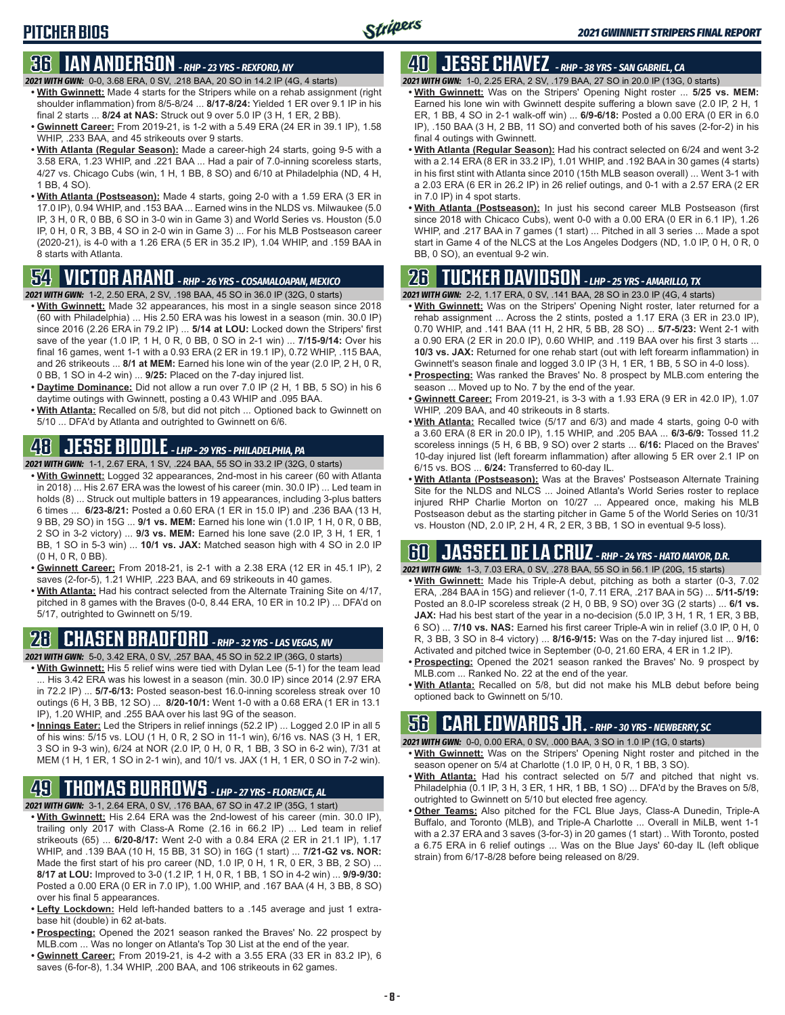#### **36 IAN ANDERSON** *- RHP - 23 YRS - REXFORD, NY*

- *2021 WITH GWN:*0-0, 3.68 ERA, 0 SV, .218 BAA, 20 SO in 14.2 IP (4G, 4 starts)
- **• With Gwinnett:** Made 4 starts for the Stripers while on a rehab assignment (right shoulder inflammation) from 8/5-8/24 ... **8/17-8/24:** Yielded 1 ER over 9.1 IP in his final 2 starts ... **8/24 at NAS:** Struck out 9 over 5.0 IP (3 H, 1 ER, 2 BB).
- **• Gwinnett Career:** From 2019-21, is 1-2 with a 5.49 ERA (24 ER in 39.1 IP), 1.58 WHIP, .233 BAA, and 45 strikeouts over 9 starts.
- **• With Atlanta (Regular Season):** Made a career-high 24 starts, going 9-5 with a 3.58 ERA, 1.23 WHIP, and .221 BAA ... Had a pair of 7.0-inning scoreless starts, 4/27 vs. Chicago Cubs (win, 1 H, 1 BB, 8 SO) and 6/10 at Philadelphia (ND, 4 H, 1 BB, 4 SO).
- **• With Atlanta (Postseason):** Made 4 starts, going 2-0 with a 1.59 ERA (3 ER in 17.0 IP), 0.94 WHIP, and .153 BAA ... Earned wins in the NLDS vs. Milwaukee (5.0 IP, 3 H, 0 R, 0 BB, 6 SO in 3-0 win in Game 3) and World Series vs. Houston (5.0 IP, 0 H, 0 R, 3 BB, 4 SO in 2-0 win in Game 3) ... For his MLB Postseason career (2020-21), is 4-0 with a 1.26 ERA (5 ER in 35.2 IP), 1.04 WHIP, and .159 BAA in 8 starts with Atlanta.

#### **54 VICTOR ARANO** *- RHP - 26 YRS - COSAMALOAPAN, MEXICO*

- *2021 WITH GWN:*1-2, 2.50 ERA, 2 SV, .198 BAA, 45 SO in 36.0 IP (32G, 0 starts)
- **• With Gwinnett:** Made 32 appearances, his most in a single season since 2018 (60 with Philadelphia) ... His 2.50 ERA was his lowest in a season (min. 30.0 IP) since 2016 (2.26 ERA in 79.2 IP) ... **5/14 at LOU:** Locked down the Stripers' first save of the year (1.0 IP, 1 H, 0 R, 0 BB, 0 SO in 2-1 win) ... **7/15-9/14:** Over his final 16 games, went 1-1 with a 0.93 ERA (2 ER in 19.1 IP), 0.72 WHIP, .115 BAA, and 26 strikeouts ... **8/1 at MEM:** Earned his lone win of the year (2.0 IP, 2 H, 0 R, 0 BB, 1 SO in 4-2 win) ... **9/25:** Placed on the 7-day injured list.
- **• Daytime Dominance:** Did not allow a run over 7.0 IP (2 H, 1 BB, 5 SO) in his 6 daytime outings with Gwinnett, posting a 0.43 WHIP and .095 BAA.
- **• With Atlanta:** Recalled on 5/8, but did not pitch ... Optioned back to Gwinnett on 5/10 ... DFA'd by Atlanta and outrighted to Gwinnett on 6/6.

#### **48 JESSE BIDDLE** *- LHP - 29 YRS - PHILADELPHIA, PA*

- *2021 WITH GWN:*1-1, 2.67 ERA, 1 SV, .224 BAA, 55 SO in 33.2 IP (32G, 0 starts)
- **• With Gwinnett:** Logged 32 appearances, 2nd-most in his career (60 with Atlanta in 2018) ... His 2.67 ERA was the lowest of his career (min. 30.0 IP) ... Led team in holds (8) ... Struck out multiple batters in 19 appearances, including 3-plus batters 6 times ... **6/23-8/21:** Posted a 0.60 ERA (1 ER in 15.0 IP) and .236 BAA (13 H, 9 BB, 29 SO) in 15G ... **9/1 vs. MEM:** Earned his lone win (1.0 IP, 1 H, 0 R, 0 BB, 2 SO in 3-2 victory) ... **9/3 vs. MEM:** Earned his lone save (2.0 IP, 3 H, 1 ER, 1 BB, 1 SO in 5-3 win) ... **10/1 vs. JAX:** Matched season high with 4 SO in 2.0 IP (0 H, 0 R, 0 BB).
- **• Gwinnett Career:** From 2018-21, is 2-1 with a 2.38 ERA (12 ER in 45.1 IP), 2 saves (2-for-5), 1.21 WHIP, .223 BAA, and 69 strikeouts in 40 games.
- **• With Atlanta:** Had his contract selected from the Alternate Training Site on 4/17, pitched in 8 games with the Braves (0-0, 8.44 ERA, 10 ER in 10.2 IP) ... DFA'd on 5/17, outrighted to Gwinnett on 5/19.

### **28 CHASEN BRADFORD** *- RHP - 32 YRS - LAS VEGAS, NV*

- *2021 WITH GWN:*5-0, 3.42 ERA, 0 SV, .257 BAA, 45 SO in 52.2 IP (36G, 0 starts)
- **• With Gwinnett:** His 5 relief wins were tied with Dylan Lee (5-1) for the team lead ... His 3.42 ERA was his lowest in a season (min. 30.0 IP) since 2014 (2.97 ERA in 72.2 IP) ... **5/7-6/13:** Posted season-best 16.0-inning scoreless streak over 10 outings (6 H, 3 BB, 12 SO) ... **8/20-10/1:** Went 1-0 with a 0.68 ERA (1 ER in 13.1 IP), 1.20 WHIP, and .255 BAA over his last 9G of the season.
- **• Innings Eater:** Led the Stripers in relief innings (52.2 IP) ... Logged 2.0 IP in all 5 of his wins: 5/15 vs. LOU (1 H, 0 R, 2 SO in 11-1 win), 6/16 vs. NAS (3 H, 1 ER, 3 SO in 9-3 win), 6/24 at NOR (2.0 IP, 0 H, 0 R, 1 BB, 3 SO in 6-2 win), 7/31 at MEM (1 H, 1 ER, 1 SO in 2-1 win), and 10/1 vs. JAX (1 H, 1 ER, 0 SO in 7-2 win).

# **49 THOMAS BURROWS** *- LHP - 27 YRS - FLORENCE, AL*

- *2021 WITH GWN:*3-1, 2.64 ERA, 0 SV, .176 BAA, 67 SO in 47.2 IP (35G, 1 start)
- **• With Gwinnett:** His 2.64 ERA was the 2nd-lowest of his career (min. 30.0 IP), trailing only 2017 with Class-A Rome (2.16 in 66.2 IP) ... Led team in relief strikeouts (65) ... **6/20-8/17:** Went 2-0 with a 0.84 ERA (2 ER in 21.1 IP), 1.17 WHIP, and .139 BAA (10 H, 15 BB, 31 SO) in 16G (1 start) ... **7/21-G2 vs. NOR:** Made the first start of his pro career (ND, 1.0 IP, 0 H, 1 R, 0 ER, 3 BB, 2 SO) ... **8/17 at LOU:** Improved to 3-0 (1.2 IP, 1 H, 0 R, 1 BB, 1 SO in 4-2 win) ... **9/9-9/30:** Posted a 0.00 ERA (0 ER in 7.0 IP), 1.00 WHIP, and .167 BAA (4 H, 3 BB, 8 SO) over his final 5 appearances.
- **• Lefty Lockdown:** Held left-handed batters to a .145 average and just 1 extrabase hit (double) in 62 at-bats.
- **• Prospecting:** Opened the 2021 season ranked the Braves' No. 22 prospect by MLB.com ... Was no longer on Atlanta's Top 30 List at the end of the year.
- **• Gwinnett Career:** From 2019-21, is 4-2 with a 3.55 ERA (33 ER in 83.2 IP), 6 saves (6-for-8), 1.34 WHIP, .200 BAA, and 106 strikeouts in 62 games.

### **40 JESSE CHAVEZ** *- RHP - 38 YRS - SAN GABRIEL, CA*

*2021 WITH GWN:*1-0, 2.25 ERA, 2 SV, .179 BAA, 27 SO in 20.0 IP (13G, 0 starts)

- **• With Gwinnett:** Was on the Stripers' Opening Night roster ... **5/25 vs. MEM:** Earned his lone win with Gwinnett despite suffering a blown save (2.0 IP, 2 H, 1 ER, 1 BB, 4 SO in 2-1 walk-off win) ... **6/9-6/18:** Posted a 0.00 ERA (0 ER in 6.0 IP), .150 BAA (3 H, 2 BB, 11 SO) and converted both of his saves (2-for-2) in his final 4 outings with Gwinnett.
- **• With Atlanta (Regular Season):** Had his contract selected on 6/24 and went 3-2 with a 2.14 ERA (8 ER in 33.2 IP), 1.01 WHIP, and .192 BAA in 30 games (4 starts) in his first stint with Atlanta since 2010 (15th MLB season overall) ... Went 3-1 with a 2.03 ERA (6 ER in 26.2 IP) in 26 relief outings, and 0-1 with a 2.57 ERA (2 ER in 7.0 IP) in 4 spot starts.
- **• With Atlanta (Postseason):** In just his second career MLB Postseason (first since 2018 with Chicaco Cubs), went 0-0 with a 0.00 ERA (0 ER in 6.1 IP), 1.26 WHIP, and .217 BAA in 7 games (1 start) ... Pitched in all 3 series ... Made a spot start in Game 4 of the NLCS at the Los Angeles Dodgers (ND, 1.0 IP, 0 H, 0 R, 0 BB, 0 SO), an eventual 9-2 win.

#### **26 TUCKER DAVIDSON** *- LHP - 25 YRS - AMARILLO, TX*

*2021 WITH GWN:*2-2, 1.17 ERA, 0 SV, .141 BAA, 28 SO in 23.0 IP (4G, 4 starts)

- **• With Gwinnett:** Was on the Stripers' Opening Night roster, later returned for a rehab assignment ... Across the 2 stints, posted a 1.17 ERA (3 ER in 23.0 IP), 0.70 WHIP, and .141 BAA (11 H, 2 HR, 5 BB, 28 SO) ... **5/7-5/23:** Went 2-1 with a 0.90 ERA (2 ER in 20.0 IP), 0.60 WHIP, and .119 BAA over his first 3 starts ... **10/3 vs. JAX:** Returned for one rehab start (out with left forearm inflammation) in Gwinnett's season finale and logged 3.0 IP (3 H, 1 ER, 1 BB, 5 SO in 4-0 loss).
- **• Prospecting:** Was ranked the Braves' No. 8 prospect by MLB.com entering the season ... Moved up to No. 7 by the end of the year.
- **• Gwinnett Career:** From 2019-21, is 3-3 with a 1.93 ERA (9 ER in 42.0 IP), 1.07 WHIP, .209 BAA, and 40 strikeouts in 8 starts.
- **• With Atlanta:** Recalled twice (5/17 and 6/3) and made 4 starts, going 0-0 with a 3.60 ERA (8 ER in 20.0 IP), 1.15 WHIP, and .205 BAA ... **6/3-6/9:** Tossed 11.2 scoreless innings (5 H, 6 BB, 9 SO) over 2 starts ... **6/16:** Placed on the Braves' 10-day injured list (left forearm inflammation) after allowing 5 ER over 2.1 IP on 6/15 vs. BOS ... **6/24:** Transferred to 60-day IL.
- **• With Atlanta (Postseason):** Was at the Braves' Postseason Alternate Training Site for the NLDS and NLCS ... Joined Atlanta's World Series roster to replace injured RHP Charlie Morton on 10/27 ... Appeared once, making his MLB Postseason debut as the starting pitcher in Game 5 of the World Series on 10/31 vs. Houston (ND, 2.0 IP, 2 H, 4 R, 2 ER, 3 BB, 1 SO in eventual 9-5 loss).

#### **60 JASSEEL DE LA CRUZ** *- RHP - 24 YRS - HATO MAYOR, D.R.*

*2021 WITH GWN:*1-3, 7.03 ERA, 0 SV, .278 BAA, 55 SO in 56.1 IP (20G, 15 starts)

- **• With Gwinnett:** Made his Triple-A debut, pitching as both a starter (0-3, 7.02 ERA, .284 BAA in 15G) and reliever (1-0, 7.11 ERA, .217 BAA in 5G) ... **5/11-5/19:** Posted an 8.0-IP scoreless streak (2 H, 0 BB, 9 SO) over 3G (2 starts) ... **6/1 vs. JAX:** Had his best start of the year in a no-decision (5.0 IP, 3 H, 1 R, 1 ER, 3 BB, 6 SO) ... **7/10 vs. NAS:** Earned his first career Triple-A win in relief (3.0 IP, 0 H, 0 R, 3 BB, 3 SO in 8-4 victory) ... **8/16-9/15:** Was on the 7-day injured list ... **9/16:** Activated and pitched twice in September (0-0, 21.60 ERA, 4 ER in 1.2 IP).
- **• Prospecting:** Opened the 2021 season ranked the Braves' No. 9 prospect by MLB.com ... Ranked No. 22 at the end of the year.
- **• With Atlanta:** Recalled on 5/8, but did not make his MLB debut before being optioned back to Gwinnett on 5/10.

### **56 CARL EDWARDS JR.** *- RHP - 30 YRS - NEWBERRY, SC*

*2021 WITH GWN:*0-0, 0.00 ERA, 0 SV, .000 BAA, 3 SO in 1.0 IP (1G, 0 starts)

- **• With Gwinnett:** Was on the Stripers' Opening Night roster and pitched in the season opener on 5/4 at Charlotte (1.0 IP, 0 H, 0 R, 1 BB, 3 SO).
- **• With Atlanta:** Had his contract selected on 5/7 and pitched that night vs. Philadelphia (0.1 IP, 3 H, 3 ER, 1 HR, 1 BB, 1 SO) ... DFA'd by the Braves on 5/8, outrighted to Gwinnett on 5/10 but elected free agency.
- **• Other Teams:** Also pitched for the FCL Blue Jays, Class-A Dunedin, Triple-A Buffalo, and Toronto (MLB), and Triple-A Charlotte ... Overall in MiLB, went 1-1 with a 2.37 ERA and 3 saves (3-for-3) in 20 games (1 start) .. With Toronto, posted a 6.75 ERA in 6 relief outings ... Was on the Blue Jays' 60-day IL (left oblique strain) from 6/17-8/28 before being released on 8/29.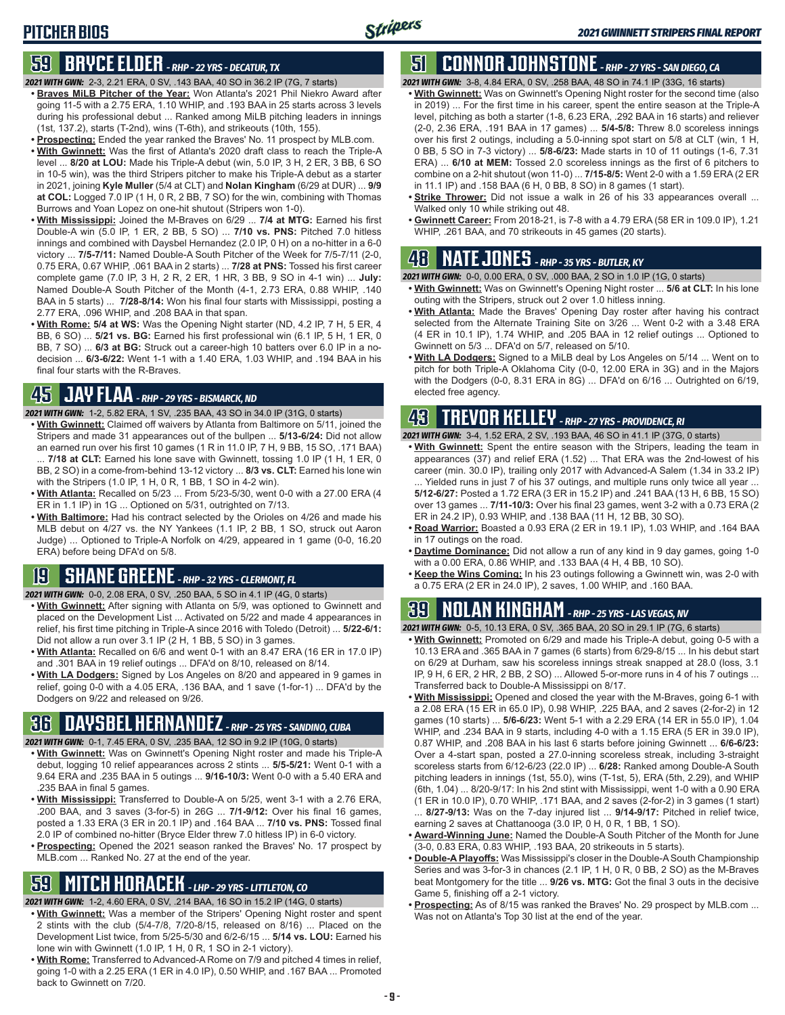#### **59 BRYCE ELDER** *- RHP - 22 YRS - DECATUR, TX*

- *2021 WITH GWN:*2-3, 2.21 ERA, 0 SV, .143 BAA, 40 SO in 36.2 IP (7G, 7 starts) **• Braves MiLB Pitcher of the Year:** Won Atlanta's 2021 Phil Niekro Award after going 11-5 with a 2.75 ERA, 1.10 WHIP, and .193 BAA in 25 starts across 3 levels during his professional debut ... Ranked among MiLB pitching leaders in innings (1st, 137.2), starts (T-2nd), wins (T-6th), and strikeouts (10th, 155).
- **• Prospecting:** Ended the year ranked the Braves' No. 11 prospect by MLB.com.
- **• With Gwinnett:** Was the first of Atlanta's 2020 draft class to reach the Triple-A level ... **8/20 at LOU:** Made his Triple-A debut (win, 5.0 IP, 3 H, 2 ER, 3 BB, 6 SO in 10-5 win), was the third Stripers pitcher to make his Triple-A debut as a starter in 2021, joining **Kyle Muller** (5/4 at CLT) and **Nolan Kingham** (6/29 at DUR) ... **9/9 at COL:** Logged 7.0 IP (1 H, 0 R, 2 BB, 7 SO) for the win, combining with Thomas Burrows and Yoan Lopez on one-hit shutout (Stripers won 1-0).
- **• With Mississippi:** Joined the M-Braves on 6/29 ... **7/4 at MTG:** Earned his first Double-A win (5.0 IP, 1 ER, 2 BB, 5 SO) ... **7/10 vs. PNS:** Pitched 7.0 hitless innings and combined with Daysbel Hernandez (2.0 IP, 0 H) on a no-hitter in a 6-0 victory ... **7/5-7/11:** Named Double-A South Pitcher of the Week for 7/5-7/11 (2-0, 0.75 ERA, 0.67 WHIP, .061 BAA in 2 starts) ... **7/28 at PNS:** Tossed his first career complete game (7.0 IP, 3 H, 2 R, 2 ER, 1 HR, 3 BB, 9 SO in 4-1 win) ... **July:** Named Double-A South Pitcher of the Month (4-1, 2.73 ERA, 0.88 WHIP, .140 BAA in 5 starts) ... **7/28-8/14:** Won his final four starts with Mississippi, posting a 2.77 ERA, .096 WHIP, and .208 BAA in that span.
- **• With Rome: 5/4 at WS:** Was the Opening Night starter (ND, 4.2 IP, 7 H, 5 ER, 4 BB, 6 SO) ... **5/21 vs. BG:** Earned his first professional win (6.1 IP, 5 H, 1 ER, 0 BB, 7 SO) ... **6/3 at BG:** Struck out a career-high 10 batters over 6.0 IP in a nodecision ... **6/3-6/22:** Went 1-1 with a 1.40 ERA, 1.03 WHIP, and .194 BAA in his final four starts with the R-Braves.

#### **45 JAY FLAA** *- RHP - 29 YRS - BISMARCK, ND*

*2021 WITH GWN:*1-2, 5.82 ERA, 1 SV, .235 BAA, 43 SO in 34.0 IP (31G, 0 starts)

- **• With Gwinnett:** Claimed off waivers by Atlanta from Baltimore on 5/11, joined the Stripers and made 31 appearances out of the bullpen ... **5/13-6/24:** Did not allow an earned run over his first 10 games (1 R in 11.0 IP, 7 H, 9 BB, 15 SO, .171 BAA) ... **7/18 at CLT:** Earned his lone save with Gwinnett, tossing 1.0 IP (1 H, 1 ER, 0 BB, 2 SO) in a come-from-behind 13-12 victory ... **8/3 vs. CLT:** Earned his lone win with the Stripers (1.0 IP, 1 H, 0 R, 1 BB, 1 SO in 4-2 win).
- **• With Atlanta:** Recalled on 5/23 ... From 5/23-5/30, went 0-0 with a 27.00 ERA (4 ER in 1.1 IP) in 1G ... Optioned on 5/31, outrighted on 7/13.
- **• With Baltimore:** Had his contract selected by the Orioles on 4/26 and made his MLB debut on 4/27 vs. the NY Yankees (1.1 IP, 2 BB, 1 SO, struck out Aaron Judge) ... Optioned to Triple-A Norfolk on 4/29, appeared in 1 game (0-0, 16.20 ERA) before being DFA'd on 5/8.

#### **19 SHANE GREENE** *- RHP - 32 YRS - CLERMONT, FL*

*2021 WITH GWN:*0-0, 2.08 ERA, 0 SV, .250 BAA, 5 SO in 4.1 IP (4G, 0 starts)

- **• With Gwinnett:** After signing with Atlanta on 5/9, was optioned to Gwinnett and placed on the Development List ... Activated on 5/22 and made 4 appearances in relief, his first time pitching in Triple-A since 2016 with Toledo (Detroit) ... **5/22-6/1:** Did not allow a run over 3.1 IP (2 H, 1 BB, 5 SO) in 3 games.
- **• With Atlanta:** Recalled on 6/6 and went 0-1 with an 8.47 ERA (16 ER in 17.0 IP) and .301 BAA in 19 relief outings ... DFA'd on 8/10, released on 8/14.
- **• With LA Dodgers:** Signed by Los Angeles on 8/20 and appeared in 9 games in relief, going 0-0 with a 4.05 ERA, .136 BAA, and 1 save (1-for-1) ... DFA'd by the Dodgers on 9/22 and released on 9/26.

### **36 DAYSBEL HERNANDEZ** *- RHP - 25 YRS - SANDINO, CUBA*

- *2021 WITH GWN:*0-1, 7.45 ERA, 0 SV, .235 BAA, 12 SO in 9.2 IP (10G, 0 starts) **• With Gwinnett:** Was on Gwinnett's Opening Night roster and made his Triple-A
- debut, logging 10 relief appearances across 2 stints ... **5/5-5/21:** Went 0-1 with a 9.64 ERA and .235 BAA in 5 outings ... **9/16-10/3:** Went 0-0 with a 5.40 ERA and .235 BAA in final 5 games.
- **• With Mississippi:** Transferred to Double-A on 5/25, went 3-1 with a 2.76 ERA, .200 BAA, and 3 saves (3-for-5) in 26G ... **7/1-9/12:** Over his final 16 games, posted a 1.33 ERA (3 ER in 20.1 IP) and .164 BAA ... **7/10 vs. PNS:** Tossed final 2.0 IP of combined no-hitter (Bryce Elder threw 7.0 hitless IP) in 6-0 victory.
- **• Prospecting:** Opened the 2021 season ranked the Braves' No. 17 prospect by MLB.com ... Ranked No. 27 at the end of the year.

#### **59 MITCH HORACEK** *- LHP - 29 YRS - LITTLETON, CO*

*2021 WITH GWN:*1-2, 4.60 ERA, 0 SV, .214 BAA, 16 SO in 15.2 IP (14G, 0 starts)

- **• With Gwinnett:** Was a member of the Stripers' Opening Night roster and spent 2 stints with the club (5/4-7/8, 7/20-8/15, released on 8/16) ... Placed on the Development List twice, from 5/25-5/30 and 6/2-6/15 ... **5/14 vs. LOU:** Earned his lone win with Gwinnett (1.0 IP, 1 H, 0 R, 1 SO in 2-1 victory).
- **• With Rome:** Transferred to Advanced-A Rome on 7/9 and pitched 4 times in relief, going 1-0 with a 2.25 ERA (1 ER in 4.0 IP), 0.50 WHIP, and .167 BAA ... Promoted back to Gwinnett on 7/20.

#### **51 CONNOR JOHNSTONE** *- RHP - 27 YRS - SAN DIEGO, CA*

*2021 WITH GWN:*3-8, 4.84 ERA, 0 SV, .258 BAA, 48 SO in 74.1 IP (33G, 16 starts)

- **• With Gwinnett:** Was on Gwinnett's Opening Night roster for the second time (also in 2019) ... For the first time in his career, spent the entire season at the Triple-A level, pitching as both a starter (1-8, 6.23 ERA, .292 BAA in 16 starts) and reliever (2-0, 2.36 ERA, .191 BAA in 17 games) ... **5/4-5/8:** Threw 8.0 scoreless innings over his first 2 outings, including a 5.0-inning spot start on 5/8 at CLT (win, 1 H, 0 BB, 5 SO in 7-3 victory) ... **5/8-6/23:** Made starts in 10 of 11 outings (1-6, 7.31 ERA) ... **6/10 at MEM:** Tossed 2.0 scoreless innings as the first of 6 pitchers to combine on a 2-hit shutout (won 11-0) ... **7/15-8/5:** Went 2-0 with a 1.59 ERA (2 ER in 11.1 IP) and .158 BAA (6 H, 0 BB, 8 SO) in 8 games (1 start).
- **• Strike Thrower:** Did not issue a walk in 26 of his 33 appearances overall ... Walked only 10 while striking out 48.
- **• Gwinnett Career:** From 2018-21, is 7-8 with a 4.79 ERA (58 ER in 109.0 IP), 1.21 WHIP, .261 BAA, and 70 strikeouts in 45 games (20 starts).

### **48 NATE JONES** *- RHP - 35 YRS - BUTLER, KY*

*2021 WITH GWN:*0-0, 0.00 ERA, 0 SV, .000 BAA, 2 SO in 1.0 IP (1G, 0 starts)

- **• With Gwinnett:** Was on Gwinnett's Opening Night roster ... **5/6 at CLT:** In his lone outing with the Stripers, struck out 2 over 1.0 hitless inning.
- **• With Atlanta:** Made the Braves' Opening Day roster after having his contract selected from the Alternate Training Site on 3/26 ... Went 0-2 with a 3.48 ERA (4 ER in 10.1 IP), 1.74 WHIP, and .205 BAA in 12 relief outings ... Optioned to Gwinnett on 5/3 ... DFA'd on 5/7, released on 5/10.
- **• With LA Dodgers:** Signed to a MiLB deal by Los Angeles on 5/14 ... Went on to pitch for both Triple-A Oklahoma City (0-0, 12.00 ERA in 3G) and in the Majors with the Dodgers (0-0, 8.31 ERA in 8G) ... DFA'd on 6/16 ... Outrighted on 6/19, elected free agency.

#### **43 TREVOR KELLEY** *- RHP - 27 YRS - PROVIDENCE, RI*

*2021 WITH GWN:*3-4, 1.52 ERA, 2 SV, .193 BAA, 46 SO in 41.1 IP (37G, 0 starts)

- **• With Gwinnett:** Spent the entire season with the Stripers, leading the team in appearances (37) and relief ERA (1.52) ... That ERA was the 2nd-lowest of his career (min. 30.0 IP), trailing only 2017 with Advanced-A Salem (1.34 in 33.2 IP) ... Yielded runs in just 7 of his 37 outings, and multiple runs only twice all year ...
- **5/12-6/27:** Posted a 1.72 ERA (3 ER in 15.2 IP) and .241 BAA (13 H, 6 BB, 15 SO) over 13 games ... **7/11-10/3:** Over his final 23 games, went 3-2 with a 0.73 ERA (2 ER in 24.2 IP), 0.93 WHIP, and .138 BAA (11 H, 12 BB, 30 SO).
- **• Road Warrior:** Boasted a 0.93 ERA (2 ER in 19.1 IP), 1.03 WHIP, and .164 BAA in 17 outings on the road.
- **• Daytime Dominance:** Did not allow a run of any kind in 9 day games, going 1-0 with a 0.00 ERA, 0.86 WHIP, and .133 BAA (4 H, 4 BB, 10 SO).
- **• Keep the Wins Coming:** In his 23 outings following a Gwinnett win, was 2-0 with a 0.75 ERA (2 ER in 24.0 IP), 2 saves, 1.00 WHIP, and .160 BAA.

#### **39 NOLAN KINGHAM** *- RHP - 25 YRS - LAS VEGAS, NV*

*2021 WITH GWN:*0-5, 10.13 ERA, 0 SV, .365 BAA, 20 SO in 29.1 IP (7G, 6 starts)

- **• With Gwinnett:** Promoted on 6/29 and made his Triple-A debut, going 0-5 with a 10.13 ERA and .365 BAA in 7 games (6 starts) from 6/29-8/15 ... In his debut start on 6/29 at Durham, saw his scoreless innings streak snapped at 28.0 (loss, 3.1 IP, 9 H, 6 ER, 2 HR, 2 BB, 2 SO) ... Allowed 5-or-more runs in 4 of his 7 outings ... Transferred back to Double-A Mississippi on 8/17.
- **• With Mississippi:** Opened and closed the year with the M-Braves, going 6-1 with a 2.08 ERA (15 ER in 65.0 IP), 0.98 WHIP, .225 BAA, and 2 saves (2-for-2) in 12 games (10 starts) ... **5/6-6/23:** Went 5-1 with a 2.29 ERA (14 ER in 55.0 IP), 1.04 WHIP, and .234 BAA in 9 starts, including 4-0 with a 1.15 ERA (5 ER in 39.0 IP), 0.87 WHIP, and .208 BAA in his last 6 starts before joining Gwinnett ... **6/6-6/23:** Over a 4-start span, posted a 27.0-inning scoreless streak, including 3-straight scoreless starts from 6/12-6/23 (22.0 IP) ... **6/28:** Ranked among Double-A South pitching leaders in innings (1st, 55.0), wins (T-1st, 5), ERA (5th, 2.29), and WHIP (6th, 1.04) ... 8/20-9/17: In his 2nd stint with Mississippi, went 1-0 with a 0.90 ERA (1 ER in 10.0 IP), 0.70 WHIP, .171 BAA, and 2 saves (2-for-2) in 3 games (1 start) ... **8/27-9/13:** Was on the 7-day injured list ... **9/14-9/17:** Pitched in relief twice,
- earning 2 saves at Chattanooga (3.0 IP, 0 H, 0 R, 1 BB, 1 SO). **• Award-Winning June:** Named the Double-A South Pitcher of the Month for June (3-0, 0.83 ERA, 0.83 WHIP, .193 BAA, 20 strikeouts in 5 starts).
- **• Double-A Playoffs:** Was Mississippi's closer in the Double-A South Championship Series and was 3-for-3 in chances (2.1 IP, 1 H, 0 R, 0 BB, 2 SO) as the M-Braves beat Montgomery for the title ... **9/26 vs. MTG:** Got the final 3 outs in the decisive Game 5, finishing off a 2-1 victory.
- **• Prospecting:** As of 8/15 was ranked the Braves' No. 29 prospect by MLB.com ... Was not on Atlanta's Top 30 list at the end of the year.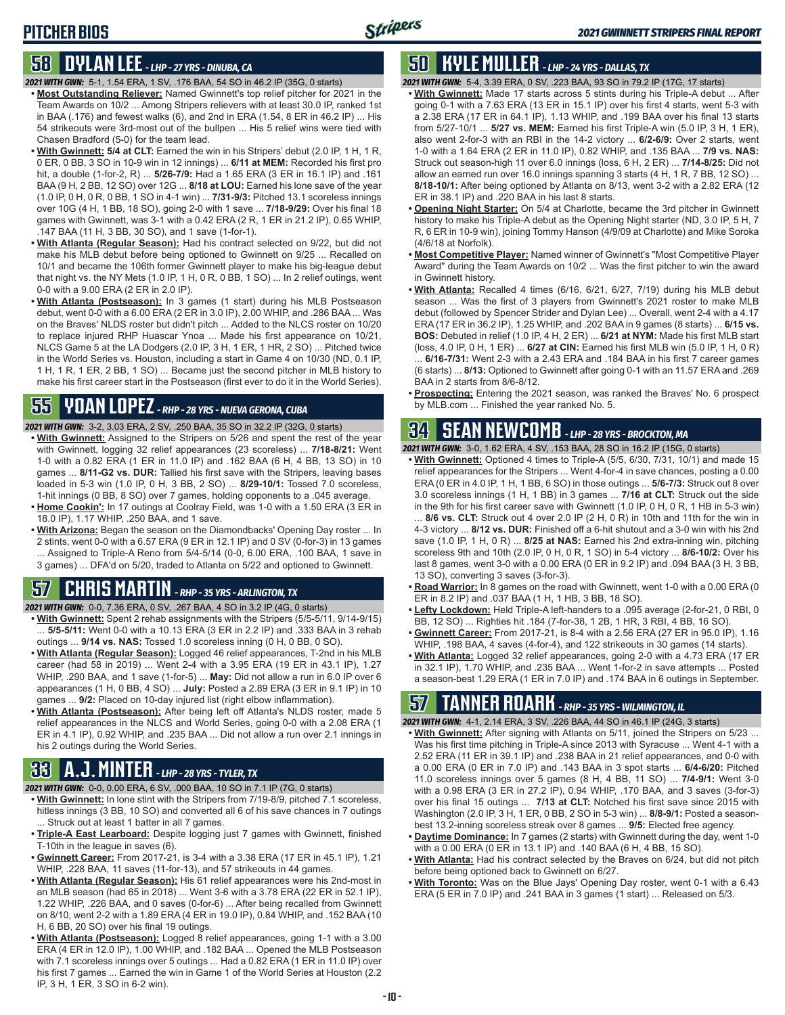#### **58 DYLAN LEE** *- LHP - 27 YRS - DINUBA, CA*

- *2021 WITH GWN:*5-1, 1.54 ERA, 1 SV, .176 BAA, 54 SO in 46.2 IP (35G, 0 starts) **• Most Outstanding Reliever:** Named Gwinnett's top relief pitcher for 2021 in the Team Awards on 10/2 ... Among Stripers relievers with at least 30.0 IP, ranked 1st in BAA (.176) and fewest walks (6), and 2nd in ERA (1.54, 8 ER in 46.2 IP) ... His 54 strikeouts were 3rd-most out of the bullpen ... His 5 relief wins were tied with Chasen Bradford (5-0) for the team lead.
- **• With Gwinnett: 5/4 at CLT:** Earned the win in his Stripers' debut (2.0 IP, 1 H, 1 R, 0 ER, 0 BB, 3 SO in 10-9 win in 12 innings) ... **6/11 at MEM:** Recorded his first pro hit, a double (1-for-2, R) ... **5/26-7/9:** Had a 1.65 ERA (3 ER in 16.1 IP) and .161 BAA (9 H, 2 BB, 12 SO) over 12G ... **8/18 at LOU:** Earned his lone save of the year (1.0 IP, 0 H, 0 R, 0 BB, 1 SO in 4-1 win) ... **7/31-9/3:** Pitched 13.1 scoreless innings over 10G (4 H, 1 BB, 18 SO), going 2-0 with 1 save ... **7/18-9/29:** Over his final 18 games with Gwinnett, was 3-1 with a 0.42 ERA (2 R, 1 ER in 21.2 IP), 0.65 WHIP, .147 BAA (11 H, 3 BB, 30 SO), and 1 save (1-for-1).
- **• With Atlanta (Regular Season):** Had his contract selected on 9/22, but did not make his MLB debut before being optioned to Gwinnett on 9/25 ... Recalled on 10/1 and became the 106th former Gwinnett player to make his big-league debut that night vs. the NY Mets (1.0 IP, 1 H, 0 R, 0 BB, 1 SO) ... In 2 relief outings, went 0-0 with a 9.00 ERA (2 ER in 2.0 IP).
- **• With Atlanta (Postseason):** In 3 games (1 start) during his MLB Postseason debut, went 0-0 with a 6.00 ERA (2 ER in 3.0 IP), 2.00 WHIP, and .286 BAA ... Was on the Braves' NLDS roster but didn't pitch ... Added to the NLCS roster on 10/20 to replace injured RHP Huascar Ynoa ... Made his first appearance on 10/21, NLCS Game 5 at the LA Dodgers (2.0 IP, 3 H, 1 ER, 1 HR, 2 SO) ... Pitched twice in the World Series vs. Houston, including a start in Game 4 on 10/30 (ND, 0.1 IP, 1 H, 1 R, 1 ER, 2 BB, 1 SO) ... Became just the second pitcher in MLB history to make his first career start in the Postseason (first ever to do it in the World Series).

#### **55 YOAN LOPEZ** *- RHP - 28 YRS - NUEVA GERONA, CUBA*

- *2021 WITH GWN:*3-2, 3.03 ERA, 2 SV, .250 BAA, 35 SO in 32.2 IP (32G, 0 starts)
- **• With Gwinnett:** Assigned to the Stripers on 5/26 and spent the rest of the year with Gwinnett, logging 32 relief appearances (23 scoreless) ... **7/18-8/21:** Went 1-0 with a 0.82 ERA (1 ER in 11.0 IP) and .162 BAA (6 H, 4 BB, 13 SO) in 10 games ... **8/11-G2 vs. DUR:** Tallied his first save with the Stripers, leaving bases loaded in 5-3 win (1.0 IP, 0 H, 3 BB, 2 SO) ... **8/29-10/1:** Tossed 7.0 scoreless, 1-hit innings (0 BB, 8 SO) over 7 games, holding opponents to a .045 average.
- **• Home Cookin':** In 17 outings at Coolray Field, was 1-0 with a 1.50 ERA (3 ER in 18.0 IP), 1.17 WHIP, .250 BAA, and 1 save.
- **• With Arizona:** Began the season on the Diamondbacks' Opening Day roster ... In 2 stints, went 0-0 with a 6.57 ERA (9 ER in 12.1 IP) and 0 SV (0-for-3) in 13 games ... Assigned to Triple-A Reno from 5/4-5/14 (0-0, 6.00 ERA, .100 BAA, 1 save in 3 games) ... DFA'd on 5/20, traded to Atlanta on 5/22 and optioned to Gwinnett.

#### **57 CHRIS MARTIN** *- RHP - 35 YRS - ARLINGTON, TX*

*2021 WITH GWN:*0-0, 7.36 ERA, 0 SV, .267 BAA, 4 SO in 3.2 IP (4G, 0 starts)

- **• With Gwinnett:** Spent 2 rehab assignments with the Stripers (5/5-5/11, 9/14-9/15) ... **5/5-5/11:** Went 0-0 with a 10.13 ERA (3 ER in 2.2 IP) and .333 BAA in 3 rehab outings ... **9/14 vs. NAS:** Tossed 1.0 scoreless inning (0 H, 0 BB, 0 SO).
- **• With Atlanta (Regular Season):** Logged 46 relief appearances, T-2nd in his MLB career (had 58 in 2019) ... Went 2-4 with a 3.95 ERA (19 ER in 43.1 IP), 1.27 WHIP, .290 BAA, and 1 save (1-for-5) ... **May:** Did not allow a run in 6.0 IP over 6 appearances (1 H, 0 BB, 4 SO) ... **July:** Posted a 2.89 ERA (3 ER in 9.1 IP) in 10 games ... **9/2:** Placed on 10-day injured list (right elbow inflammation).
- **• With Atlanta (Postseason):** After being left off Atlanta's NLDS roster, made 5 relief appearances in the NLCS and World Series, going 0-0 with a 2.08 ERA (1 ER in 4.1 IP), 0.92 WHIP, and .235 BAA ... Did not allow a run over 2.1 innings in his 2 outings during the World Series.

#### **33 A.J. Minter** *- LHP - 28 YRS - TYLER, TX*

*2021 WITH GWN:*0-0, 0.00 ERA, 6 SV, .000 BAA, 10 SO in 7.1 IP (7G, 0 starts)

- **• With Gwinnett:** In lone stint with the Stripers from 7/19-8/9, pitched 7.1 scoreless, hitless innings (3 BB, 10 SO) and converted all 6 of his save chances in 7 outings Struck out at least 1 batter in all 7 games.
- **• Triple-A East Learboard:** Despite logging just 7 games with Gwinnett, finished T-10th in the league in saves (6).
- **• Gwinnett Career:** From 2017-21, is 3-4 with a 3.38 ERA (17 ER in 45.1 IP), 1.21 WHIP, .228 BAA, 11 saves (11-for-13), and 57 strikeouts in 44 games.
- **• With Atlanta (Regular Season):** His 61 relief appearances were his 2nd-most in an MLB season (had 65 in 2018) ... Went 3-6 with a 3.78 ERA (22 ER in 52.1 IP), 1.22 WHIP, .226 BAA, and 0 saves (0-for-6) ... After being recalled from Gwinnett on 8/10, went 2-2 with a 1.89 ERA (4 ER in 19.0 IP), 0.84 WHIP, and .152 BAA (10 H, 6 BB, 20 SO) over his final 19 outings.
- **• With Atlanta (Postseason):** Logged 8 relief appearances, going 1-1 with a 3.00 ERA (4 ER in 12.0 IP), 1.00 WHIP, and .182 BAA ... Opened the MLB Postseason with 7.1 scoreless innings over 5 outings ... Had a 0.82 ERA (1 ER in 11.0 IP) over his first 7 games ... Earned the win in Game 1 of the World Series at Houston (2.2 IP, 3 H, 1 ER, 3 SO in 6-2 win).

#### **50 KYLE MULLER** *- LHP - 24 YRS - DALLAS, TX*

*2021 WITH GWN:*5-4, 3.39 ERA, 0 SV, .223 BAA, 93 SO in 79.2 IP (17G, 17 starts)

- **• With Gwinnett:** Made 17 starts across 5 stints during his Triple-A debut ... After going 0-1 with a 7.63 ERA (13 ER in 15.1 IP) over his first 4 starts, went 5-3 with a 2.38 ERA (17 ER in 64.1 IP), 1.13 WHIP, and .199 BAA over his final 13 starts from 5/27-10/1 ... **5/27 vs. MEM:** Earned his first Triple-A win (5.0 IP, 3 H, 1 ER), also went 2-for-3 with an RBI in the 14-2 victory ... **6/2-6/9:** Over 2 starts, went 1-0 with a 1.64 ERA (2 ER in 11.0 IP), 0.82 WHIP, and .135 BAA ... **7/9 vs. NAS:** Struck out season-high 11 over 6.0 innings (loss, 6 H, 2 ER) ... **7/14-8/25:** Did not allow an earned run over 16.0 innings spanning 3 starts (4 H, 1 R, 7 BB, 12 SO). **8/18-10/1:** After being optioned by Atlanta on 8/13, went 3-2 with a 2.82 ERA (12 ER in 38.1 IP) and .220 BAA in his last 8 starts.
- **• Opening Night Starter:** On 5/4 at Charlotte, became the 3rd pitcher in Gwinnett history to make his Triple-A debut as the Opening Night starter (ND, 3.0 IP, 5 H, 7 R, 6 ER in 10-9 win), joining Tommy Hanson (4/9/09 at Charlotte) and Mike Soroka (4/6/18 at Norfolk).
- **• Most Competitive Player:** Named winner of Gwinnett's "Most Competitive Player Award" during the Team Awards on 10/2 ... Was the first pitcher to win the award in Gwinnett history.
- **• With Atlanta:** Recalled 4 times (6/16, 6/21, 6/27, 7/19) during his MLB debut season ... Was the first of 3 players from Gwinnett's 2021 roster to make MLB debut (followed by Spencer Strider and Dylan Lee) ... Overall, went 2-4 with a 4.17 ERA (17 ER in 36.2 IP), 1.25 WHIP, and .202 BAA in 9 games (8 starts) ... **6/15 vs. BOS:** Debuted in relief (1.0 IP, 4 H, 2 ER) ... **6/21 at NYM:** Made his first MLB start (loss, 4.0 IP, 0 H, 1 ER) ... **6/27 at CIN:** Earned his first MLB win (5.0 IP, 1 H, 0 R) ... **6/16-7/31:** Went 2-3 with a 2.43 ERA and .184 BAA in his first 7 career games (6 starts) ... **8/13:** Optioned to Gwinnett after going 0-1 with an 11.57 ERA and .269 BAA in 2 starts from 8/6-8/12.
- **• Prospecting:** Entering the 2021 season, was ranked the Braves' No. 6 prospect by MLB.com ... Finished the year ranked No. 5.

#### **34 SEAN NEWCOMB** *- LHP - 28 YRS - BROCKTON, MA*

*2021 WITH GWN:*3-0, 1.62 ERA, 4 SV, .153 BAA, 28 SO in 16.2 IP (15G, 0 starts)

- **• With Gwinnett:** Optioned 4 times to Triple-A (5/5, 6/30, 7/31, 10/1) and made 15 relief appearances for the Stripers ... Went 4-for-4 in save chances, posting a 0.00 ERA (0 ER in 4.0 IP, 1 H, 1 BB, 6 SO) in those outings ... **5/6-7/3:** Struck out 8 over 3.0 scoreless innings (1 H, 1 BB) in 3 games ... **7/16 at CLT:** Struck out the side in the 9th for his first career save with Gwinnett (1.0 IP, 0 H, 0 R, 1 HB in 5-3 win)
- ... **8/6 vs. CLT:** Struck out 4 over 2.0 IP (2 H, 0 R) in 10th and 11th for the win in 4-3 victory ... **8/12 vs. DUR:** Finished off a 6-hit shutout and a 3-0 win with his 2nd save (1.0 IP, 1 H, 0 R) ... **8/25 at NAS:** Earned his 2nd extra-inning win, pitching scoreless 9th and 10th (2.0 IP, 0 H, 0 R, 1 SO) in 5-4 victory ... **8/6-10/2:** Over his last 8 games, went 3-0 with a 0.00 ERA (0 ER in 9.2 IP) and .094 BAA (3 H, 3 BB, 13 SO), converting 3 saves (3-for-3).
- **• Road Warrior:** In 8 games on the road with Gwinnett, went 1-0 with a 0.00 ERA (0 ER in 8.2 IP) and .037 BAA (1 H, 1 HB, 3 BB, 18 SO).
- **• Lefty Lockdown:** Held Triple-A left-handers to a .095 average (2-for-21, 0 RBI, 0 BB, 12 SO) ... Righties hit .184 (7-for-38, 1 2B, 1 HR, 3 RBI, 4 BB, 16 SO).
- **• Gwinnett Career:** From 2017-21, is 8-4 with a 2.56 ERA (27 ER in 95.0 IP), 1.16 WHIP, .198 BAA, 4 saves (4-for-4), and 122 strikeouts in 30 games (14 starts).
- **• With Atlanta:** Logged 32 relief appearances, going 2-0 with a 4.73 ERA (17 ER in 32.1 IP), 1.70 WHIP, and .235 BAA ... Went 1-for-2 in save attempts ... Posted a season-best 1.29 ERA (1 ER in 7.0 IP) and .174 BAA in 6 outings in September.

#### **57 TANNER ROARK** *- RHP - 35 YRS - WILMINGTON, IL*

*2021 WITH GWN:*4-1, 2.14 ERA, 3 SV, .226 BAA, 44 SO in 46.1 IP (24G, 3 starts)

- **• With Gwinnett:** After signing with Atlanta on 5/11, joined the Stripers on 5/23 ... Was his first time pitching in Triple-A since 2013 with Syracuse ... Went 4-1 with a 2.52 ERA (11 ER in 39.1 IP) and .238 BAA in 21 relief appearances, and 0-0 with a 0.00 ERA (0 ER in 7.0 IP) and .143 BAA in 3 spot starts ... **6/4-6/20:** Pitched 11.0 scoreless innings over 5 games (8 H, 4 BB, 11 SO) ... **7/4-9/1:** Went 3-0 with a 0.98 ERA (3 ER in 27.2 IP), 0.94 WHIP, .170 BAA, and 3 saves (3-for-3) over his final 15 outings ... **7/13 at CLT:** Notched his first save since 2015 with Washington (2.0 IP, 3 H, 1 ER, 0 BB, 2 SO in 5-3 win) ... **8/8-9/1:** Posted a seasonbest 13.2-inning scoreless streak over 8 games ... **9/5:** Elected free agency.
- **• Daytime Dominance:** In 7 games (2 starts) with Gwinnett during the day, went 1-0 with a 0.00 ERA (0 ER in 13.1 IP) and .140 BAA (6 H, 4 BB, 15 SO).
- **• With Atlanta:** Had his contract selected by the Braves on 6/24, but did not pitch before being optioned back to Gwinnett on 6/27.
- **• With Toronto:** Was on the Blue Jays' Opening Day roster, went 0-1 with a 6.43 ERA (5 ER in 7.0 IP) and .241 BAA in 3 games (1 start) ... Released on 5/3.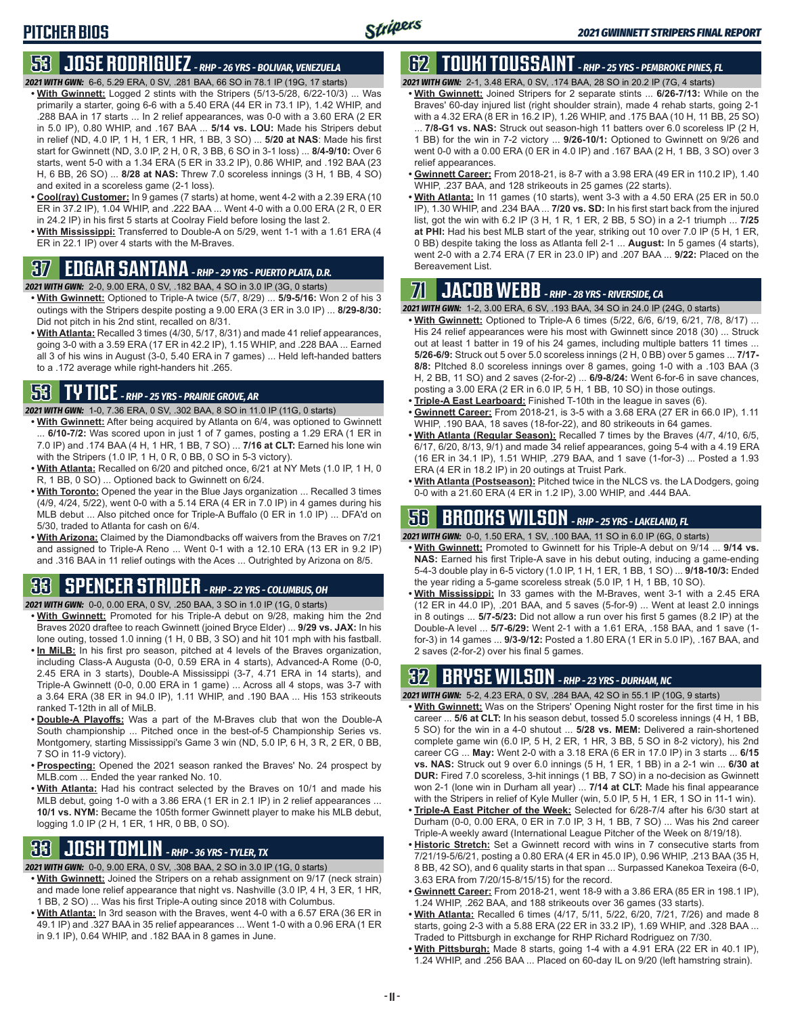#### **53 JOSE RODRIGUEZ** *- RHP - 26 YRS - BOLIVAR, VENEZUELA*

- *2021 WITH GWN:*6-6, 5.29 ERA, 0 SV, .281 BAA, 66 SO in 78.1 IP (19G, 17 starts)
- **• With Gwinnett:** Logged 2 stints with the Stripers (5/13-5/28, 6/22-10/3) ... Was primarily a starter, going 6-6 with a 5.40 ERA (44 ER in 73.1 IP), 1.42 WHIP, and .288 BAA in 17 starts ... In 2 relief appearances, was 0-0 with a 3.60 ERA (2 ER in 5.0 IP), 0.80 WHIP, and .167 BAA ... **5/14 vs. LOU:** Made his Stripers debut in relief (ND, 4.0 IP, 1 H, 1 ER, 1 HR, 1 BB, 3 SO) ... **5/20 at NAS**: Made his first start for Gwinnett (ND, 3.0 IP, 2 H, 0 R, 3 BB, 6 SO in 3-1 loss) ... **8/4-9/10:** Over 6 starts, went 5-0 with a 1.34 ERA (5 ER in 33.2 IP), 0.86 WHIP, and .192 BAA (23 H, 6 BB, 26 SO) ... **8/28 at NAS:** Threw 7.0 scoreless innings (3 H, 1 BB, 4 SO) and exited in a scoreless game (2-1 loss).
- **• Cool(ray) Customer:** In 9 games (7 starts) at home, went 4-2 with a 2.39 ERA (10 ER in 37.2 IP), 1.04 WHIP, and .222 BAA ... Went 4-0 with a 0.00 ERA (2 R, 0 ER in 24.2 IP) in his first 5 starts at Coolray Field before losing the last 2.
- **• With Mississippi:** Transferred to Double-A on 5/29, went 1-1 with a 1.61 ERA (4 ER in 22.1 IP) over 4 starts with the M-Braves.

### **37 EDGAR SANTANA** *- RHP - 29 YRS - PUERTO PLATA, D.R.*

*2021 WITH GWN:*2-0, 9.00 ERA, 0 SV, .182 BAA, 4 SO in 3.0 IP (3G, 0 starts)

- **• With Gwinnett:** Optioned to Triple-A twice (5/7, 8/29) ... **5/9-5/16:** Won 2 of his 3 outings with the Stripers despite posting a 9.00 ERA (3 ER in 3.0 IP) ... **8/29-8/30:** Did not pitch in his 2nd stint, recalled on 8/31.
- **• With Atlanta:** Recalled 3 times (4/30, 5/17, 8/31) and made 41 relief appearances, going 3-0 with a 3.59 ERA (17 ER in 42.2 IP), 1.15 WHIP, and .228 BAA ... Earned all 3 of his wins in August (3-0, 5.40 ERA in 7 games) ... Held left-handed batters to a .172 average while right-handers hit .265.

#### **53 TY TICE** *- RHP - 25 YRS - PRAIRIE GROVE, AR*

*2021 WITH GWN:*1-0, 7.36 ERA, 0 SV, .302 BAA, 8 SO in 11.0 IP (11G, 0 starts)

- **• With Gwinnett:** After being acquired by Atlanta on 6/4, was optioned to Gwinnett ... **6/10-7/2:** Was scored upon in just 1 of 7 games, posting a 1.29 ERA (1 ER in 7.0 IP) and .174 BAA (4 H, 1 HR, 1 BB, 7 SO) ... **7/16 at CLT:** Earned his lone win with the Stripers (1.0 IP, 1 H, 0 R, 0 BB, 0 SO in 5-3 victory).
- **• With Atlanta:** Recalled on 6/20 and pitched once, 6/21 at NY Mets (1.0 IP, 1 H, 0 R, 1 BB, 0 SO) ... Optioned back to Gwinnett on 6/24.
- **• With Toronto:** Opened the year in the Blue Jays organization ... Recalled 3 times (4/9, 4/24, 5/22), went 0-0 with a 5.14 ERA (4 ER in 7.0 IP) in 4 games during his MLB debut ... Also pitched once for Triple-A Buffalo (0 ER in 1.0 IP) ... DFA'd on 5/30, traded to Atlanta for cash on 6/4.
- **• With Arizona:** Claimed by the Diamondbacks off waivers from the Braves on 7/21 and assigned to Triple-A Reno ... Went 0-1 with a 12.10 ERA (13 ER in 9.2 IP) and .316 BAA in 11 relief outings with the Aces ... Outrighted by Arizona on 8/5.

### **33 SPENCER STRIDER** *- RHP - 22 YRS - COLUMBUS, OH*

- *2021 WITH GWN:*0-0, 0.00 ERA, 0 SV, .250 BAA, 3 SO in 1.0 IP (1G, 0 starts)
- **• With Gwinnett:** Promoted for his Triple-A debut on 9/28, making him the 2nd Braves 2020 draftee to reach Gwinnett (joined Bryce Elder) ... **9/29 vs. JAX:** In his lone outing, tossed 1.0 inning (1 H, 0 BB, 3 SO) and hit 101 mph with his fastball.
- **• In MiLB:** In his first pro season, pitched at 4 levels of the Braves organization, including Class-A Augusta (0-0, 0.59 ERA in 4 starts), Advanced-A Rome (0-0, 2.45 ERA in 3 starts), Double-A Mississippi (3-7, 4.71 ERA in 14 starts), and Triple-A Gwinnett (0-0, 0.00 ERA in 1 game) ... Across all 4 stops, was 3-7 with a 3.64 ERA (38 ER in 94.0 IP), 1.11 WHIP, and .190 BAA ... His 153 strikeouts ranked T-12th in all of MiLB.
- **• Double-A Playoffs:** Was a part of the M-Braves club that won the Double-A South championship ... Pitched once in the best-of-5 Championship Series vs. Montgomery, starting Mississippi's Game 3 win (ND, 5.0 IP, 6 H, 3 R, 2 ER, 0 BB, 7 SO in 11-9 victory).
- **• Prospecting:** Opened the 2021 season ranked the Braves' No. 24 prospect by MLB.com ... Ended the year ranked No. 10.
- **• With Atlanta:** Had his contract selected by the Braves on 10/1 and made his MLB debut, going 1-0 with a 3.86 ERA (1 ER in 2.1 IP) in 2 relief appearances ... **10/1 vs. NYM:** Became the 105th former Gwinnett player to make his MLB debut, logging 1.0 IP (2 H, 1 ER, 1 HR, 0 BB, 0 SO).

#### **33 JOSH TOMLIN** *- RHP - 36 YRS - TYLER, TX*

- *2021 WITH GWN:*0-0, 9.00 ERA, 0 SV, .308 BAA, 2 SO in 3.0 IP (1G, 0 starts)
- **• With Gwinnett:** Joined the Stripers on a rehab assignment on 9/17 (neck strain) and made lone relief appearance that night vs. Nashville (3.0 IP, 4 H, 3 ER, 1 HR, 1 BB, 2 SO) ... Was his first Triple-A outing since 2018 with Columbus.
- **• With Atlanta:** In 3rd season with the Braves, went 4-0 with a 6.57 ERA (36 ER in 49.1 IP) and .327 BAA in 35 relief appearances ... Went 1-0 with a 0.96 ERA (1 ER in 9.1 IP), 0.64 WHIP, and .182 BAA in 8 games in June.

# **62 TOUKI TOUSSAINT** *- RHP - 25 YRS - PEMBROKE PINES, FL*

*2021 WITH GWN:*2-1, 3.48 ERA, 0 SV, .174 BAA, 28 SO in 20.2 IP (7G, 4 starts)

**• With Gwinnett:** Joined Stripers for 2 separate stints ... **6/26-7/13:** While on the Braves' 60-day injured list (right shoulder strain), made 4 rehab starts, going 2-1 with a 4.32 ERA (8 ER in 16.2 IP), 1.26 WHIP, and .175 BAA (10 H, 11 BB, 25 SO) ... **7/8-G1 vs. NAS:** Struck out season-high 11 batters over 6.0 scoreless IP (2 H,

1 BB) for the win in 7-2 victory ... **9/26-10/1:** Optioned to Gwinnett on 9/26 and went 0-0 with a 0.00 ERA (0 ER in 4.0 IP) and .167 BAA (2 H, 1 BB, 3 SO) over 3 relief appearances.

- **• Gwinnett Career:** From 2018-21, is 8-7 with a 3.98 ERA (49 ER in 110.2 IP), 1.40 WHIP, .237 BAA, and 128 strikeouts in 25 games (22 starts).
- **• With Atlanta:** In 11 games (10 starts), went 3-3 with a 4.50 ERA (25 ER in 50.0 IP), 1.30 WHIP, and .234 BAA ... **7/20 vs. SD:** In his first start back from the injured list, got the win with 6.2 IP (3 H, 1 R, 1 ER, 2 BB, 5 SO) in a 2-1 triumph ... **7/25 at PHI:** Had his best MLB start of the year, striking out 10 over 7.0 IP (5 H, 1 ER, 0 BB) despite taking the loss as Atlanta fell 2-1 ... **August:** In 5 games (4 starts), went 2-0 with a 2.74 ERA (7 ER in 23.0 IP) and .207 BAA ... **9/22:** Placed on the Bereavement List.

### **71 JACOB WEBB** *- RHP - 28 YRS - RIVERSIDE, CA*

*2021 WITH GWN:*1-2, 3.00 ERA, 6 SV, .193 BAA, 34 SO in 24.0 IP (24G, 0 starts)

- **• With Gwinnett:** Optioned to Triple-A 6 times (5/22, 6/6, 6/19, 6/21, 7/8, 8/17) ... His 24 relief appearances were his most with Gwinnett since 2018 (30) ... Struck out at least 1 batter in 19 of his 24 games, including multiple batters 11 times **5/26-6/9:** Struck out 5 over 5.0 scoreless innings (2 H, 0 BB) over 5 games ... **7/17- 8/8:** PItched 8.0 scoreless innings over 8 games, going 1-0 with a .103 BAA (3 H, 2 BB, 11 SO) and 2 saves (2-for-2) ... **6/9-8/24:** Went 6-for-6 in save chances, posting a 3.00 ERA (2 ER in 6.0 IP, 5 H, 1 BB, 10 SO) in those outings.
- **• Triple-A East Learboard:** Finished T-10th in the league in saves (6). **• Gwinnett Career:** From 2018-21, is 3-5 with a 3.68 ERA (27 ER in 66.0 IP), 1.11
- WHIP, .190 BAA, 18 saves (18-for-22), and 80 strikeouts in 64 games.
- **• With Atlanta (Regular Season):** Recalled 7 times by the Braves (4/7, 4/10, 6/5, 6/17, 6/20, 8/13, 9/1) and made 34 relief appearances, going 5-4 with a 4.19 ERA (16 ER in 34.1 IP), 1.51 WHIP, .279 BAA, and 1 save (1-for-3) ... Posted a 1.93 ERA (4 ER in 18.2 IP) in 20 outings at Truist Park.
- **• With Atlanta (Postseason):** Pitched twice in the NLCS vs. the LA Dodgers, going 0-0 with a 21.60 ERA (4 ER in 1.2 IP), 3.00 WHIP, and .444 BAA.

## **56 BROOKS WILSON** *- RHP - 25 YRS - LAKELAND, FL*

*2021 WITH GWN:*0-0, 1.50 ERA, 1 SV, .100 BAA, 11 SO in 6.0 IP (6G, 0 starts)

- **• With Gwinnett:** Promoted to Gwinnett for his Triple-A debut on 9/14 ... **9/14 vs. NAS:** Earned his first Triple-A save in his debut outing, inducing a game-ending 5-4-3 double play in 6-5 victory (1.0 IP, 1 H, 1 ER, 1 BB, 1 SO) ... **9/18-10/3:** Ended the year riding a 5-game scoreless streak (5.0 IP, 1 H, 1 BB, 10 SO).
- **• With Mississippi:** In 33 games with the M-Braves, went 3-1 with a 2.45 ERA (12 ER in 44.0 IP), .201 BAA, and 5 saves (5-for-9) ... Went at least 2.0 innings in 8 outings ... **5/7-5/23:** Did not allow a run over his first 5 games (8.2 IP) at the Double-A level ... **5/7-6/29:** Went 2-1 with a 1.61 ERA, .158 BAA, and 1 save (1 for-3) in 14 games ... **9/3-9/12:** Posted a 1.80 ERA (1 ER in 5.0 IP), .167 BAA, and 2 saves (2-for-2) over his final 5 games.

#### **32 BRYSE WILSON** *- RHP - 23 YRS - DURHAM, NC*

- *2021 WITH GWN:*5-2, 4.23 ERA, 0 SV, .284 BAA, 42 SO in 55.1 IP (10G, 9 starts)
- **• With Gwinnett:** Was on the Stripers' Opening Night roster for the first time in his career ... **5/6 at CLT:** In his season debut, tossed 5.0 scoreless innings (4 H, 1 BB, 5 SO) for the win in a 4-0 shutout ... **5/28 vs. MEM:** Delivered a rain-shortened complete game win (6.0 IP, 5 H, 2 ER, 1 HR, 3 BB, 5 SO in 8-2 victory), his 2nd career CG ... **May:** Went 2-0 with a 3.18 ERA (6 ER in 17.0 IP) in 3 starts ... **6/15 vs. NAS:** Struck out 9 over 6.0 innings (5 H, 1 ER, 1 BB) in a 2-1 win ... **6/30 at DUR:** Fired 7.0 scoreless, 3-hit innings (1 BB, 7 SO) in a no-decision as Gwinnett won 2-1 (lone win in Durham all year) ... **7/14 at CLT:** Made his final appearance with the Stripers in relief of Kyle Muller (win, 5.0 IP, 5 H, 1 ER, 1 SO in 11-1 win).
- **• Triple-A East Pitcher of the Week:** Selected for 6/28-7/4 after his 6/30 start at Durham (0-0, 0.00 ERA, 0 ER in 7.0 IP, 3 H, 1 BB, 7 SO) ... Was his 2nd career Triple-A weekly award (International League Pitcher of the Week on 8/19/18).
- **• Historic Stretch:** Set a Gwinnett record with wins in 7 consecutive starts from 7/21/19-5/6/21, posting a 0.80 ERA (4 ER in 45.0 IP), 0.96 WHIP, .213 BAA (35 H, 8 BB, 42 SO), and 6 quality starts in that span ... Surpassed Kanekoa Texeira (6-0, 3.63 ERA from 7/20/15-8/15/15) for the record.
- **• Gwinnett Career:** From 2018-21, went 18-9 with a 3.86 ERA (85 ER in 198.1 IP), 1.24 WHIP, .262 BAA, and 188 strikeouts over 36 games (33 starts).
- **• With Atlanta:** Recalled 6 times (4/17, 5/11, 5/22, 6/20, 7/21, 7/26) and made 8 starts, going 2-3 with a 5.88 ERA (22 ER in 33.2 IP), 1.69 WHIP, and .328 BAA ... Traded to Pittsburgh in exchange for RHP Richard Rodriguez on 7/30.
- **• With Pittsburgh:** Made 8 starts, going 1-4 with a 4.91 ERA (22 ER in 40.1 IP), 1.24 WHIP, and .256 BAA ... Placed on 60-day IL on 9/20 (left hamstring strain).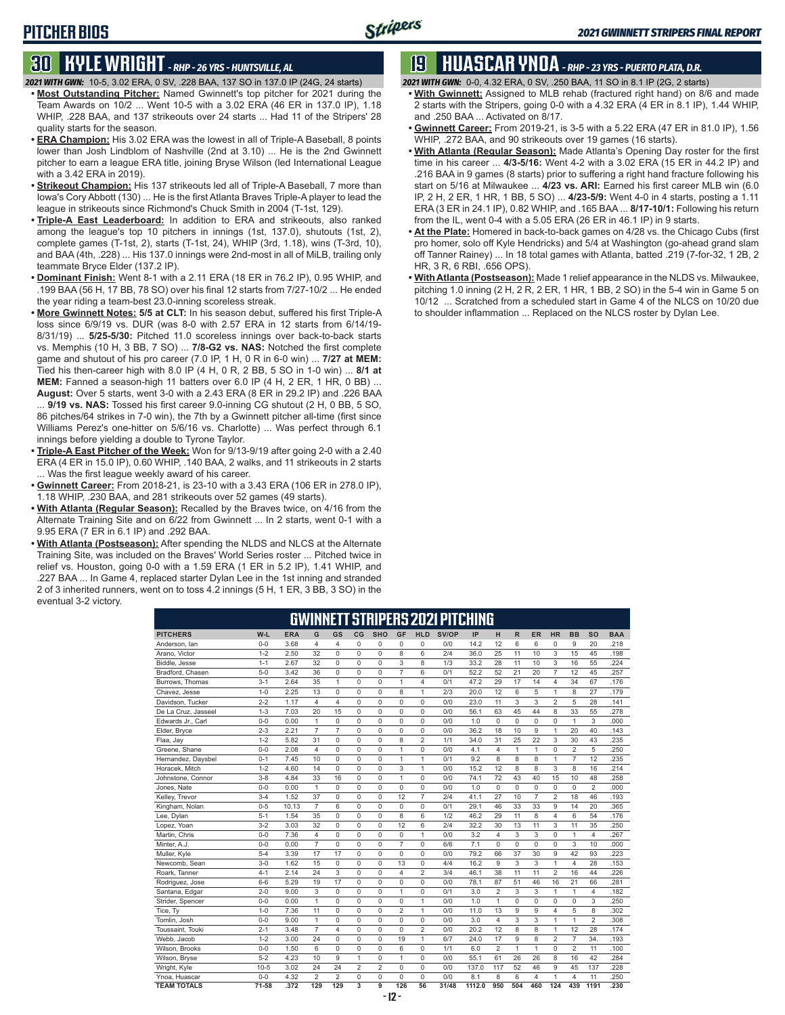#### **30 KYLE WRIGHT** *- RHP - 26 YRS - HUNTSVILLE, AL*

- *2021 WITH GWN:*10-5, 3.02 ERA, 0 SV, .228 BAA, 137 SO in 137.0 IP (24G, 24 starts)
- **• Most Outstanding Pitcher:** Named Gwinnett's top pitcher for 2021 during the Team Awards on 10/2 ... Went 10-5 with a 3.02 ERA (46 ER in 137.0 IP), 1.18 WHIP, .228 BAA, and 137 strikeouts over 24 starts ... Had 11 of the Stripers' 28 quality starts for the season.
- **• ERA Champion:** His 3.02 ERA was the lowest in all of Triple-A Baseball, 8 points lower than Josh Lindblom of Nashville (2nd at 3.10) ... He is the 2nd Gwinnett pitcher to earn a league ERA title, joining Bryse Wilson (led International League with a 3.42 ERA in 2019).
- **• Strikeout Champion:** His 137 strikeouts led all of Triple-A Baseball, 7 more than Iowa's Cory Abbott (130) ... He is the first Atlanta Braves Triple-A player to lead the league in strikeouts since Richmond's Chuck Smith in 2004 (T-1st, 129).
- **• Triple-A East Leaderboard:** In addition to ERA and strikeouts, also ranked among the league's top 10 pitchers in innings (1st, 137.0), shutouts (1st, 2), complete games (T-1st, 2), starts (T-1st, 24), WHIP (3rd, 1.18), wins (T-3rd, 10), and BAA (4th, .228) ... His 137.0 innings were 2nd-most in all of MiLB, trailing only teammate Bryce Elder (137.2 IP).
- **• Dominant Finish:** Went 8-1 with a 2.11 ERA (18 ER in 76.2 IP), 0.95 WHIP, and .199 BAA (56 H, 17 BB, 78 SO) over his final 12 starts from 7/27-10/2 ... He ended the year riding a team-best 23.0-inning scoreless streak.
- **• More Gwinnett Notes: 5/5 at CLT:** In his season debut, suffered his first Triple-A loss since 6/9/19 vs. DUR (was 8-0 with 2.57 ERA in 12 starts from 6/14/19- 8/31/19) ... **5/25-5/30:** Pitched 11.0 scoreless innings over back-to-back starts vs. Memphis (10 H, 3 BB, 7 SO) ... **7/8-G2 vs. NAS:** Notched the first complete game and shutout of his pro career (7.0 IP, 1 H, 0 R in 6-0 win) ... **7/27 at MEM:** Tied his then-career high with 8.0 IP (4 H, 0 R, 2 BB, 5 SO in 1-0 win) ... **8/1 at MEM:** Fanned a season-high 11 batters over 6.0 IP (4 H, 2 ER, 1 HR, 0 BB) ... **August:** Over 5 starts, went 3-0 with a 2.43 ERA (8 ER in 29.2 IP) and .226 BAA

9/19 vs. NAS: Tossed his first career 9.0-inning CG shutout (2 H, 0 BB, 5 SO, 86 pitches/64 strikes in 7-0 win), the 7th by a Gwinnett pitcher all-time (first since Williams Perez's one-hitter on 5/6/16 vs. Charlotte) ... Was perfect through 6.1 innings before yielding a double to Tyrone Taylor.

- **• Triple-A East Pitcher of the Week:** Won for 9/13-9/19 after going 2-0 with a 2.40 ERA (4 ER in 15.0 IP), 0.60 WHIP, .140 BAA, 2 walks, and 11 strikeouts in 2 starts ... Was the first league weekly award of his career.
- **• Gwinnett Career:** From 2018-21, is 23-10 with a 3.43 ERA (106 ER in 278.0 IP), 1.18 WHIP, .230 BAA, and 281 strikeouts over 52 games (49 starts).
- **• With Atlanta (Regular Season):** Recalled by the Braves twice, on 4/16 from the Alternate Training Site and on 6/22 from Gwinnett ... In 2 starts, went 0-1 with a 9.95 ERA (7 ER in 6.1 IP) and .292 BAA.
- **• With Atlanta (Postseason):** After spending the NLDS and NLCS at the Alternate Training Site, was included on the Braves' World Series roster ... Pitched twice in relief vs. Houston, going 0-0 with a 1.59 ERA (1 ER in 5.2 IP), 1.41 WHIP, and .227 BAA ... In Game 4, replaced starter Dylan Lee in the 1st inning and stranded 2 of 3 inherited runners, went on to toss 4.2 innings (5 H, 1 ER, 3 BB, 3 SO) in the eventual 3-2 victory.

#### **19 HUASCAR YNOA** *- RHP - 23 YRS - PUERTO PLATA, D.R.*

*2021 WITH GWN:*0-0, 4.32 ERA, 0 SV, .250 BAA, 11 SO in 8.1 IP (2G, 2 starts)

- **• With Gwinnett:** Assigned to MLB rehab (fractured right hand) on 8/6 and made 2 starts with the Stripers, going 0-0 with a 4.32 ERA (4 ER in 8.1 IP), 1.44 WHIP, and .250 BAA ... Activated on 8/17.
- **• Gwinnett Career:** From 2019-21, is 3-5 with a 5.22 ERA (47 ER in 81.0 IP), 1.56 WHIP, .272 BAA, and 90 strikeouts over 19 games (16 starts).
- **• With Atlanta (Regular Season):** Made Atlanta's Opening Day roster for the first time in his career ... **4/3-5/16:** Went 4-2 with a 3.02 ERA (15 ER in 44.2 IP) and .216 BAA in 9 games (8 starts) prior to suffering a right hand fracture following his start on 5/16 at Milwaukee ... **4/23 vs. ARI:** Earned his first career MLB win (6.0 IP, 2 H, 2 ER, 1 HR, 1 BB, 5 SO) ... **4/23-5/9:** Went 4-0 in 4 starts, posting a 1.11 ERA (3 ER in 24.1 IP), 0.82 WHIP, and .165 BAA ... **8/17-10/1:** Following his return from the IL, went 0-4 with a 5.05 ERA (26 ER in 46.1 IP) in 9 starts.
- **• At the Plate:** Homered in back-to-back games on 4/28 vs. the Chicago Cubs (first pro homer, solo off Kyle Hendricks) and 5/4 at Washington (go-ahead grand slam off Tanner Rainey) ... In 18 total games with Atlanta, batted .219 (7-for-32, 1 2B, 2 HR, 3 R, 6 RBI, .656 OPS).
- **• With Atlanta (Postseason):** Made 1 relief appearance in the NLDS vs. Milwaukee, pitching 1.0 inning (2 H, 2 R, 2 ER, 1 HR, 1 BB, 2 SO) in the 5-4 win in Game 5 on 10/12 ... Scratched from a scheduled start in Game 4 of the NLCS on 10/20 due to shoulder inflammation ... Replaced on the NLCS roster by Dylan Lee.

|                     |          |            |                |                |                |                |                |                | Gwinnett stripers 2021 pitching |        |                         |              |          |                         |                |                |            |
|---------------------|----------|------------|----------------|----------------|----------------|----------------|----------------|----------------|---------------------------------|--------|-------------------------|--------------|----------|-------------------------|----------------|----------------|------------|
| <b>PITCHERS</b>     | W-L      | <b>ERA</b> | G              | GS             | CG             | <b>SHO</b>     | GF             | <b>HLD</b>     | SV/OP                           | IP     | н                       | $\mathsf{R}$ | ER       | <b>HR</b>               | <b>BB</b>      | <b>SO</b>      | <b>BAA</b> |
| Anderson, lan       | $0 - 0$  | 3.68       | 4              | $\overline{4}$ | 0              | $\Omega$       | 0              | 0              | 0/0                             | 14.2   | 12                      | 6            | 6        | $\Omega$                | 9              | 20             | .218       |
| Arano, Victor       | $1 - 2$  | 2.50       | 32             | $\mathbf 0$    | $\mathbf 0$    | 0              | 8              | 6              | 2/4                             | 36.0   | 25                      | 11           | 10       | 3                       | 15             | 45             | .198       |
| Biddle, Jesse       | $1 - 1$  | 2.67       | 32             | $\mathbf 0$    | $\mathbf 0$    | 0              | 3              | 8              | 1/3                             | 33.2   | 28                      | 11           | 10       | 3                       | 16             | 55             | .224       |
| Bradford, Chasen    | $5 - 0$  | 3.42       | 36             | 0              | 0              | $\Omega$       | $\overline{7}$ | 6              | 0/1                             | 52.2   | 52                      | 21           | 20       | $\overline{7}$          | 12             | 45             | .257       |
| Burrows, Thomas     | $3 - 1$  | 2.64       | 35             | $\mathbf{1}$   | $\mathbf 0$    | 0              | $\mathbf{1}$   | 4              | 0/1                             | 47.2   | 29                      | 17           | 14       | $\overline{4}$          | 34             | 67             | .176       |
| Chavez, Jesse       | $1 - 0$  | 2.25       | 13             | $\mathbf 0$    | $\mathbf 0$    | 0              | 8              | 1              | 2/3                             | 20.0   | 12                      | 6            | 5        | 1                       | 8              | 27             | .179       |
| Davidson, Tucker    | $2 - 2$  | 1.17       | $\overline{4}$ | $\overline{4}$ | $\mathbf 0$    | 0              | $\mathbf 0$    | 0              | 0/0                             | 23.0   | 11                      | 3            | 3        | $\overline{2}$          | 5              | 28             | .141       |
| De La Cruz, Jasseel | $1 - 3$  | 7.03       | 20             | 15             | $\mathbf 0$    | 0              | $\mathbf 0$    | 0              | 0/0                             | 56.1   | 63                      | 45           | 44       | 8                       | 33             | 55             | 278        |
| Edwards Jr., Carl   | $0 - 0$  | 0.00       | $\mathbf{1}$   | 0              | $\mathbf 0$    | $\Omega$       | $\mathbf 0$    | 0              | 0/0                             | 1.0    | 0                       | $\Omega$     | 0        | 0                       | $\mathbf{1}$   | 3              | .000       |
| Elder, Bryce        | $2 - 3$  | 2.21       | $\overline{7}$ | $\overline{7}$ | 0              | $\Omega$       | 0              | 0              | 0/0                             | 36.2   | 18                      | 10           | 9        | 1                       | 20             | 40             | .143       |
| Flaa, Jay           | $1 - 2$  | 5.82       | 31             | $\mathbf 0$    | $\mathbf 0$    | 0              | 8              | $\overline{2}$ | 1/1                             | 34.0   | 31                      | 25           | 22       | 3                       | 30             | 43             | .235       |
| Greene, Shane       | $0 - 0$  | 2.08       | $\overline{4}$ | 0              | 0              | 0              | $\mathbf{1}$   | 0              | 0/0                             | 4.1    | 4                       | 1            | 1        | 0                       | 2              | 5              | .250       |
| Hernandez, Daysbel  | $0 - 1$  | 7.45       | 10             | $\mathbf 0$    | $\mathbf 0$    | $\mathbf 0$    | $\mathbf{1}$   | $\mathbf{1}$   | 0/1                             | 9.2    | 8                       | 8            | 8        | $\mathbf{1}$            | $\overline{7}$ | 12             | .235       |
| Horacek, Mitch      | $1 - 2$  | 4.60       | 14             | $\mathbf 0$    | $\mathbf 0$    | 0              | 3              | 1              | 0/0                             | 15.2   | 12                      | 8            | 8        | 3                       | 8              | 16             | .214       |
| Johnstone, Connor   | $3 - 8$  | 4.84       | 33             | 16             | $\mathbf 0$    | 0              | $\mathbf{1}$   | 0              | 0/0                             | 74.1   | 72                      | 43           | 40       | 15                      | 10             | 48             | .258       |
| Jones, Nate         | $0 - 0$  | 0.00       | $\mathbf{1}$   | $\mathbf 0$    | $\mathbf 0$    | 0              | $\mathbf 0$    | 0              | 0/0                             | 1.0    | 0                       | 0            | 0        | 0                       | 0              | $\overline{2}$ | .000       |
| Kelley, Trevor      | $3 - 4$  | 1.52       | 37             | 0              | 0              | 0              | 12             | $\overline{7}$ | 2/4                             | 41.1   | 27                      | 10           | 7        | $\overline{2}$          | 18             | 46             | .193       |
| Kingham, Nolan      | $0 - 5$  | 10.13      | $\overline{7}$ | 6              | $\mathbf 0$    | $\mathbf 0$    | $\mathbf 0$    | 0              | 0/1                             | 29.1   | 46                      | 33           | 33       | 9                       | 14             | 20             | .365       |
| Lee, Dylan          | $5 - 1$  | 1.54       | 35             | $\mathbf 0$    | $\mathbf 0$    | $\Omega$       | 8              | 6              | 1/2                             | 46.2   | 29                      | 11           | 8        | $\overline{\mathbf{4}}$ | 6              | 54             | .176       |
| Lopez, Yoan         | $3 - 2$  | 3.03       | 32             | $\Omega$       | 0              | $\Omega$       | 12             | 6              | 2/4                             | 32.2   | 30                      | 13           | 11       | 3                       | 11             | 35             | .250       |
| Martin, Chris       | $0 - 0$  | 7.36       | 4              | $\mathbf 0$    | $\mathbf 0$    | $\Omega$       | $\mathbf 0$    | 1              | 0/0                             | 3.2    | 4                       | 3            | 3        | 0                       | 1              | 4              | .267       |
| Minter, A.J.        | $0 - 0$  | 0.00       | $\overline{7}$ | $\mathbf 0$    | $\mathbf 0$    | $\Omega$       | $\overline{7}$ | $\Omega$       | 6/6                             | 7.1    | 0                       | $\Omega$     | $\Omega$ | $\Omega$                | 3              | 10             | .000       |
| Muller, Kyle        | $5 - 4$  | 3.39       | 17             | 17             | $\mathbf 0$    | 0              | $\mathbf 0$    | 0              | 0/0                             | 79.2   | 66                      | 37           | 30       | 9                       | 42             | 93             | .223       |
| Newcomb, Sean       | $3 - 0$  | 1.62       | 15             | $\mathbf 0$    | $\mathbf 0$    | 0              | 13             | 0              | 4/4                             | 16.2   | 9                       | 3            | 3        | $\mathbf{1}$            | 4              | 28             | .153       |
| Roark, Tanner       | $4 - 1$  | 2.14       | 24             | 3              | 0              | $\Omega$       | $\overline{4}$ | $\overline{c}$ | 3/4                             | 46.1   | 38                      | 11           | 11       | $\overline{2}$          | 16             | 44             | 226        |
| Rodriguez, Jose     | $6 - 6$  | 5.29       | 19             | 17             | $\mathbf 0$    | $\mathbf 0$    | $\mathbf 0$    | 0              | 0/0                             | 78.1   | 87                      | 51           | 46       | 16                      | 21             | 66             | .281       |
| Santana, Edgar      | $2 - 0$  | 9.00       | 3              | $\mathbf 0$    | $\mathbf 0$    | $\mathbf 0$    | $\mathbf{1}$   | 0              | 0/1                             | 3.0    | $\overline{2}$          | 3            | 3        | $\overline{1}$          | 1              | 4              | .182       |
| Strider, Spencer    | $0 - 0$  | 0.00       | 1              | 0              | 0              | 0              | 0              | 1              | 0/0                             | 1.0    | 1                       | 0            | 0        | 0                       | 0              | 3              | .250       |
| Tice, Ty            | $1 - 0$  | 7.36       | 11             | $\mathbf 0$    | $\mathbf 0$    | $\Omega$       | $\overline{2}$ | 1              | 0/0                             | 11.0   | 13                      | 9            | 9        | 4                       | 5              | 8              | .302       |
| Tomlin, Josh        | $0 - 0$  | 9.00       | $\mathbf{1}$   | $\Omega$       | $\mathbf 0$    | $\Omega$       | $\Omega$       | 0              | 0/0                             | 3.0    | $\overline{\mathbf{4}}$ | 3            | 3        | 1                       | 1              | $\overline{2}$ | .308       |
| Toussaint, Touki    | $2 - 1$  | 3.48       | $\overline{7}$ | $\overline{4}$ | 0              | 0              | 0              | $\overline{2}$ | 0/0                             | 20.2   | 12                      | 8            | 8        | 1                       | 12             | 28             | .174       |
| Webb, Jacob         | $1 - 2$  | 3.00       | 24             | $\mathbf 0$    | $\mathbf 0$    | $\Omega$       | 19             | 1              | 6/7                             | 24.0   | 17                      | 9            | 8        | $\overline{2}$          | 7              | 34.            | .193       |
| Wilson, Brooks      | $0 - 0$  | 1.50       | 6              | $\Omega$       | $\mathbf 0$    | $\Omega$       | 6              | $\Omega$       | 1/1                             | 6.0    | $\overline{2}$          | $\mathbf{1}$ | 1        | $\Omega$                | $\overline{2}$ | 11             | .100       |
| Wilson, Bryse       | $5 - 2$  | 4.23       | 10             | 9              | $\mathbf{1}$   | 0              | $\mathbf{1}$   | 0              | 0/0                             | 55.1   | 61                      | 26           | 26       | 8                       | 16             | 42             | 284        |
| Wright, Kyle        | $10 - 5$ | 3.02       | 24             | 24             | $\overline{2}$ | $\overline{2}$ | 0              | 0              | 0/0                             | 137.0  | 117                     | 52           | 46       | 9                       | 45             | 137            | 228        |
| Ynoa, Huascar       | $0 - 0$  | 4.32       | $\overline{2}$ | $\overline{2}$ | $\mathbf 0$    | 0              | $\mathbf 0$    | 0              | 0/0                             | 8.1    | 8                       | 6            | 4        | 1                       | 4              | 11             | .250       |
| <b>TEAM TOTALS</b>  | 71-58    | .372       | 129            | 129            | 3              | 9              | 126            | 56             | 31/48                           | 1112.0 | 950                     | 504          | 460      | 124                     | 439            | 1191           | .230       |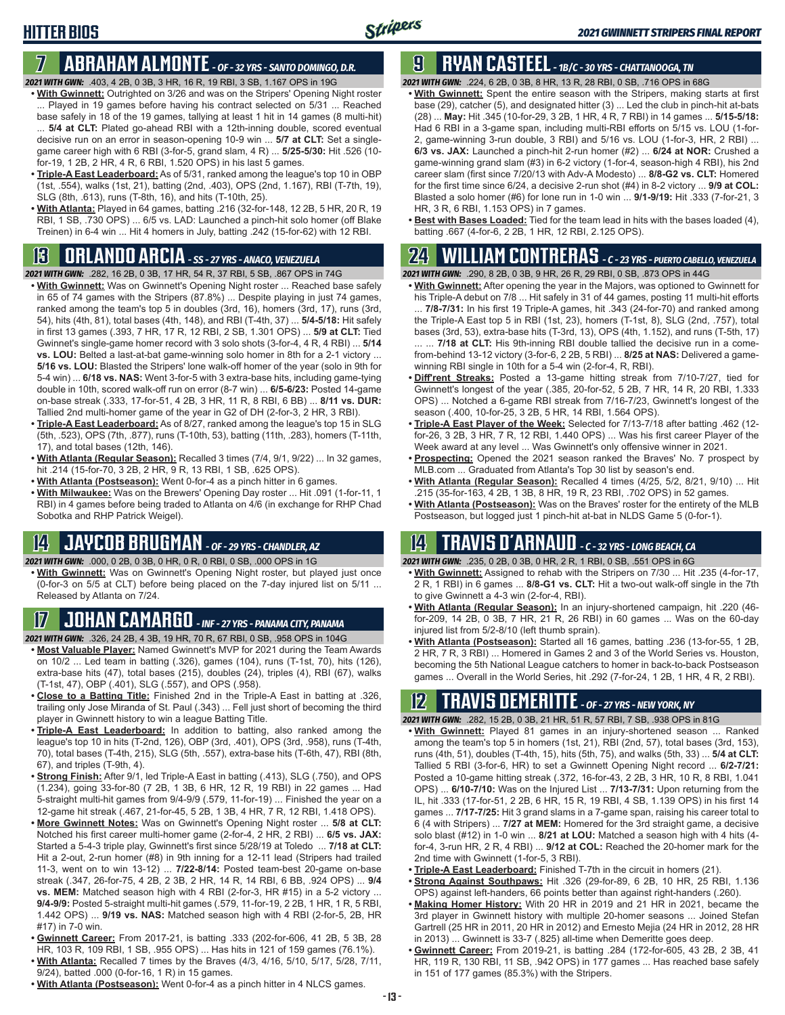#### **HITTER BIOS**

# **7 ABRAHAM ALMONTE** *- OF - 32 YRS - SANTO DOMINGO, D.R.*

- *2021 WITH GWN:*.403, 4 2B, 0 3B, 3 HR, 16 R, 19 RBI, 3 SB, 1.167 OPS in 19G
- **• With Gwinnett:** Outrighted on 3/26 and was on the Stripers' Opening Night roster ... Played in 19 games before having his contract selected on 5/31 ... Reached base safely in 18 of the 19 games, tallying at least 1 hit in 14 games (8 multi-hit) ... **5/4 at CLT:** Plated go-ahead RBI with a 12th-inning double, scored eventual decisive run on an error in season-opening 10-9 win ... **5/7 at CLT:** Set a singlegame career high with 6 RBI (3-for-5, grand slam, 4 R) ... **5/25-5/30:** Hit .526 (10 for-19, 1 2B, 2 HR, 4 R, 6 RBI, 1.520 OPS) in his last 5 games.
- **• Triple-A East Leaderboard:** As of 5/31, ranked among the league's top 10 in OBP (1st, .554), walks (1st, 21), batting (2nd, .403), OPS (2nd, 1.167), RBI (T-7th, 19), SLG (8th, .613), runs (T-8th, 16), and hits (T-10th, 25).
- **• With Atlanta:** Played in 64 games, batting .216 (32-for-148, 12 2B, 5 HR, 20 R, 19 RBI, 1 SB, .730 OPS) ... 6/5 vs. LAD: Launched a pinch-hit solo homer (off Blake Treinen) in 6-4 win ... Hit 4 homers in July, batting .242 (15-for-62) with 12 RBI.

#### **13 ORLANDO ARCIA** *- SS - 27 YRS - ANACO, VENEZUELA*

*2021 WITH GWN:*.282, 16 2B, 0 3B, 17 HR, 54 R, 37 RBI, 5 SB, .867 OPS in 74G

- **• With Gwinnett:** Was on Gwinnett's Opening Night roster ... Reached base safely in 65 of 74 games with the Stripers (87.8%) ... Despite playing in just 74 games, ranked among the team's top 5 in doubles (3rd, 16), homers (3rd, 17), runs (3rd, 54), hits (4th, 81), total bases (4th, 148), and RBI (T-4th, 37) ... **5/4-5/18:** Hit safely in first 13 games (.393, 7 HR, 17 R, 12 RBI, 2 SB, 1.301 OPS) ... **5/9 at CLT:** Tied Gwinnet's single-game homer record with 3 solo shots (3-for-4, 4 R, 4 RBI) ... **5/14 vs. LOU:** Belted a last-at-bat game-winning solo homer in 8th for a 2-1 victory ... **5/16 vs. LOU:** Blasted the Stripers' lone walk-off homer of the year (solo in 9th for 5-4 win) ... **6/18 vs. NAS:** Went 3-for-5 with 3 extra-base hits, including game-tying double in 10th, scored walk-off run on error (8-7 win) ... **6/5-6/23:** Posted 14-game on-base streak (.333, 17-for-51, 4 2B, 3 HR, 11 R, 8 RBI, 6 BB) ... **8/11 vs. DUR:** Tallied 2nd multi-homer game of the year in G2 of DH (2-for-3, 2 HR, 3 RBI).
- **• Triple-A East Leaderboard:** As of 8/27, ranked among the league's top 15 in SLG (5th, .523), OPS (7th, .877), runs (T-10th, 53), batting (11th, .283), homers (T-11th, 17), and total bases (12th, 146).
- **• With Atlanta (Regular Season):** Recalled 3 times (7/4, 9/1, 9/22) ... In 32 games, hit .214 (15-for-70, 3 2B, 2 HR, 9 R, 13 RBI, 1 SB, .625 OPS).
- **• With Atlanta (Postseason):** Went 0-for-4 as a pinch hitter in 6 games.
- **• With Milwaukee:** Was on the Brewers' Opening Day roster ... Hit .091 (1-for-11, 1 RBI) in 4 games before being traded to Atlanta on 4/6 (in exchange for RHP Chad Sobotka and RHP Patrick Weigel).

# **14 JAYCOB BRUGMAN** *- OF - 29 YRS - CHANDLER, AZ*

#### *2021 WITH GWN:*.000, 0 2B, 0 3B, 0 HR, 0 R, 0 RBI, 0 SB, .000 OPS in 1G

**• With Gwinnett:** Was on Gwinnett's Opening Night roster, but played just once (0-for-3 on 5/5 at CLT) before being placed on the 7-day injured list on 5/11 ... Released by Atlanta on 7/24.

#### **17 JOHAN CAMARGO** *- INF - 27 YRS - PANAMA CITY, PANAMA*

- *2021 WITH GWN:*.326, 24 2B, 4 3B, 19 HR, 70 R, 67 RBI, 0 SB, .958 OPS in 104G
- **• Most Valuable Player:** Named Gwinnett's MVP for 2021 during the Team Awards on 10/2 ... Led team in batting (.326), games (104), runs (T-1st, 70), hits (126), extra-base hits (47), total bases (215), doubles (24), triples (4), RBI (67), walks (T-1st, 47), OBP (.401), SLG (.557), and OPS (.958).
- **• Close to a Batting Title:** Finished 2nd in the Triple-A East in batting at .326, trailing only Jose Miranda of St. Paul (.343) ... Fell just short of becoming the third player in Gwinnett history to win a league Batting Title.
- **• Triple-A East Leaderboard:** In addition to batting, also ranked among the league's top 10 in hits (T-2nd, 126), OBP (3rd, .401), OPS (3rd, .958), runs (T-4th, 70), total bases (T-4th, 215), SLG (5th, .557), extra-base hits (T-6th, 47), RBI (8th, 67), and triples (T-9th, 4).
- **• Strong Finish:** After 9/1, led Triple-A East in batting (.413), SLG (.750), and OPS (1.234), going 33-for-80 (7 2B, 1 3B, 6 HR, 12 R, 19 RBI) in 22 games ... Had 5-straight multi-hit games from 9/4-9/9 (.579, 11-for-19) ... Finished the year on a 12-game hit streak (.467, 21-for-45, 5 2B, 1 3B, 4 HR, 7 R, 12 RBI, 1.418 OPS).
- **• More Gwinnett Notes:** Was on Gwinnett's Opening Night roster ... **5/8 at CLT:** Notched his first career multi-homer game (2-for-4, 2 HR, 2 RBI) ... **6/5 vs. JAX:** Started a 5-4-3 triple play, Gwinnett's first since 5/28/19 at Toledo ... **7/18 at CLT:** Hit a 2-out, 2-run homer (#8) in 9th inning for a 12-11 lead (Stripers had trailed 11-3, went on to win 13-12) ... **7/22-8/14:** Posted team-best 20-game on-base streak (.347, 26-for-75, 4 2B, 2 3B, 2 HR, 14 R, 14 RBI, 6 BB, .924 OPS) ... **9/4 vs. MEM:** Matched season high with 4 RBI (2-for-3, HR #15) in a 5-2 victory ... **9/4-9/9:** Posted 5-straight multi-hit games (.579, 11-for-19, 2 2B, 1 HR, 1 R, 5 RBI, 1.442 OPS) ... **9/19 vs. NAS:** Matched season high with 4 RBI (2-for-5, 2B, HR #17) in 7-0 win.
- **• Gwinnett Career:** From 2017-21, is batting .333 (202-for-606, 41 2B, 5 3B, 28 HR, 103 R, 109 RBI, 1 SB, .955 OPS) ... Has hits in 121 of 159 games (76.1%).
- **• With Atlanta:** Recalled 7 times by the Braves (4/3, 4/16, 5/10, 5/17, 5/28, 7/11, 9/24), batted .000 (0-for-16, 1 R) in 15 games.
- **• With Atlanta (Postseason):** Went 0-for-4 as a pinch hitter in 4 NLCS games.

#### **9 RYAN CASTEEL** *- 1B/C - 30 YRS - CHATTANOOGA, TN*

*2021 WITH GWN:*.224, 6 2B, 0 3B, 8 HR, 13 R, 28 RBI, 0 SB, .716 OPS in 68G

- **• With Gwinnett:** Spent the entire season with the Stripers, making starts at first base (29), catcher (5), and designated hitter (3) ... Led the club in pinch-hit at-bats (28) ... **May:** Hit .345 (10-for-29, 3 2B, 1 HR, 4 R, 7 RBI) in 14 games ... **5/15-5/18:** Had 6 RBI in a 3-game span, including multi-RBI efforts on 5/15 vs. LOU (1-for-2, game-winning 3-run double, 3 RBI) and 5/16 vs. LOU (1-for-3, HR, 2 RBI) ... **6/3 vs. JAX:** Launched a pinch-hit 2-run homer (#2) ... **6/24 at NOR:** Crushed a game-winning grand slam (#3) in 6-2 victory (1-for-4, season-high 4 RBI), his 2nd career slam (first since 7/20/13 with Adv-A Modesto) ... **8/8-G2 vs. CLT:** Homered for the first time since 6/24, a decisive 2-run shot (#4) in 8-2 victory ... **9/9 at COL:** Blasted a solo homer (#6) for lone run in 1-0 win ... **9/1-9/19:** Hit .333 (7-for-21, 3 HR, 3 R, 6 RBI, 1.153 OPS) in 7 games.
- **• Best with Bases Loaded:** Tied for the team lead in hits with the bases loaded (4), batting .667 (4-for-6, 2 2B, 1 HR, 12 RBI, 2.125 OPS).

#### **24 WILLIAM CONTRERAS** *- C - 23 YRS - PUERTO CABELLO, VENEZUELA*

*2021 WITH GWN:*.290, 8 2B, 0 3B, 9 HR, 26 R, 29 RBI, 0 SB, .873 OPS in 44G

- **• With Gwinnett:** After opening the year in the Majors, was optioned to Gwinnett for his Triple-A debut on 7/8 ... Hit safely in 31 of 44 games, posting 11 multi-hit efforts ... **7/8-7/31:** In his first 19 Triple-A games, hit .343 (24-for-70) and ranked among the Triple-A East top 5 in RBI (1st, 23), homers (T-1st, 8), SLG (2nd, .757), total bases (3rd, 53), extra-base hits (T-3rd, 13), OPS (4th, 1.152), and runs (T-5th, 17) ... ... **7/18 at CLT:** His 9th-inning RBI double tallied the decisive run in a comefrom-behind 13-12 victory (3-for-6, 2 2B, 5 RBI) ... **8/25 at NAS:** Delivered a game-
- winning RBI single in 10th for a 5-4 win (2-for-4, R, RBI). **• Diff'rent Streaks:** Posted a 13-game hitting streak from 7/10-7/27, tied for Gwinnett's longest of the year (.385, 20-for-52, 5 2B, 7 HR, 14 R, 20 RBI, 1.333 OPS) ... Notched a 6-game RBI streak from 7/16-7/23, Gwinnett's longest of the season (.400, 10-for-25, 3 2B, 5 HR, 14 RBI, 1.564 OPS).
- **• Triple-A East Player of the Week:** Selected for 7/13-7/18 after batting .462 (12 for-26, 3 2B, 3 HR, 7 R, 12 RBI, 1.440 OPS) ... Was his first career Player of the Week award at any level ... Was Gwinnett's only offensive winner in 2021.
- **• Prospecting:** Opened the 2021 season ranked the Braves' No. 7 prospect by MLB.com ... Graduated from Atlanta's Top 30 list by season's end.
- **• With Atlanta (Regular Season):** Recalled 4 times (4/25, 5/2, 8/21, 9/10) ... Hit .215 (35-for-163, 4 2B, 1 3B, 8 HR, 19 R, 23 RBI, .702 OPS) in 52 games.
- **• With Atlanta (Postseason):** Was on the Braves' roster for the entirety of the MLB Postseason, but logged just 1 pinch-hit at-bat in NLDS Game 5 (0-for-1).

#### **14 TRAVIS d'ARNAUD** *- C - 32 YRS - LONG BEACH, CA*

*2021 WITH GWN:*.235, 0 2B, 0 3B, 0 HR, 2 R, 1 RBI, 0 SB, .551 OPS in 6G

- **• With Gwinnett:** Assigned to rehab with the Stripers on 7/30 ... Hit .235 (4-for-17, 2 R, 1 RBI) in 6 games ... **8/8-G1 vs. CLT:** Hit a two-out walk-off single in the 7th to give Gwinnett a 4-3 win (2-for-4, RBI).
- **• With Atlanta (Regular Season):** In an injury-shortened campaign, hit .220 (46 for-209, 14 2B, 0 3B, 7 HR, 21 R, 26 RBI) in 60 games ... Was on the 60-day injured list from 5/2-8/10 (left thumb sprain).
- **• With Atlanta (Postseason):** Started all 16 games, batting .236 (13-for-55, 1 2B, 2 HR, 7 R, 3 RBI) ... Homered in Games 2 and 3 of the World Series vs. Houston, becoming the 5th National League catchers to homer in back-to-back Postseason games ... Overall in the World Series, hit .292 (7-for-24, 1 2B, 1 HR, 4 R, 2 RBI).

#### **12 TRAVIS dEMERITTE** *- OF - 27 YRS - NEW YORK, NY*

- *2021 WITH GWN:*.282, 15 2B, 0 3B, 21 HR, 51 R, 57 RBI, 7 SB, .938 OPS in 81G
- **• With Gwinnett:** Played 81 games in an injury-shortened season ... Ranked among the team's top 5 in homers (1st, 21), RBI (2nd, 57), total bases (3rd, 153), runs (4th, 51), doubles (T-4th, 15), hits (5th, 75), and walks (5th, 33) ... **5/4 at CLT:**  Tallied 5 RBI (3-for-6, HR) to set a Gwinnett Opening Night record ... **6/2-7/21:** Posted a 10-game hitting streak (.372, 16-for-43, 2 2B, 3 HR, 10 R, 8 RBI, 1.041 OPS) ... **6/10-7/10:** Was on the Injured List ... **7/13-7/31:** Upon returning from the IL, hit .333 (17-for-51, 2 2B, 6 HR, 15 R, 19 RBI, 4 SB, 1.139 OPS) in his first 14 games ... **7/17-7/25:** Hit 3 grand slams in a 7-game span, raising his career total to 6 (4 with Stripers) ... **7/27 at MEM:** Homered for the 3rd straight game, a decisive solo blast (#12) in 1-0 win ... **8/21 at LOU:** Matched a season high with 4 hits (4 for-4, 3-run HR, 2 R, 4 RBI) ... **9/12 at COL:** Reached the 20-homer mark for the 2nd time with Gwinnett (1-for-5, 3 RBI).
- **• Triple-A East Leaderboard:** Finished T-7th in the circuit in homers (21).
- **• Strong Against Southpaws:** Hit .326 (29-for-89, 6 2B, 10 HR, 25 RBI, 1.136 OPS) against left-handers, 66 points better than against right-handers (.260).
- **• Making Homer History:** With 20 HR in 2019 and 21 HR in 2021, became the 3rd player in Gwinnett history with multiple 20-homer seasons ... Joined Stefan Gartrell (25 HR in 2011, 20 HR in 2012) and Ernesto Mejia (24 HR in 2012, 28 HR in 2013) ... Gwinnett is 33-7 (.825) all-time when Demeritte goes deep.
- **• Gwinnett Career:** From 2019-21, is batting .284 (172-for-605, 43 2B, 2 3B, 41 HR, 119 R, 130 RBI, 11 SB, .942 OPS) in 177 games ... Has reached base safely in 151 of 177 games (85.3%) with the Stripers.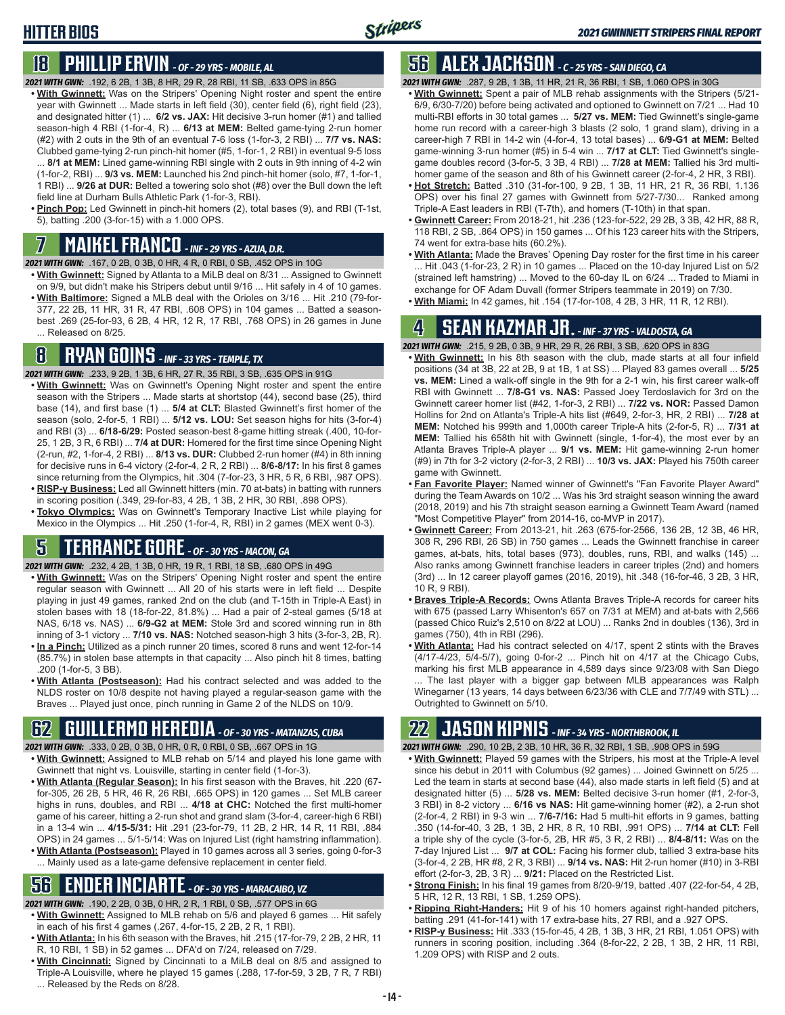# **18 PHILLIP ERVIN** *- OF - 29 YRS - MOBILE, AL*

- *2021 WITH GWN:*.192, 6 2B, 1 3B, 8 HR, 29 R, 28 RBI, 11 SB, .633 OPS in 85G
- **• With Gwinnett:** Was on the Stripers' Opening Night roster and spent the entire year with Gwinnett ... Made starts in left field (30), center field (6), right field (23), and designated hitter (1) ... **6/2 vs. JAX:** Hit decisive 3-run homer (#1) and tallied season-high 4 RBI (1-for-4, R) ... **6/13 at MEM:** Belted game-tying 2-run homer (#2) with 2 outs in the 9th of an eventual 7-6 loss (1-for-3, 2 RBI) ... **7/7 vs. NAS:** Clubbed game-tying 2-run pinch-hit homer (#5, 1-for-1, 2 RBI) in eventual 9-5 loss ... **8/1 at MEM:** Lined game-winning RBI single with 2 outs in 9th inning of 4-2 win (1-for-2, RBI) ... **9/3 vs. MEM:** Launched his 2nd pinch-hit homer (solo, #7, 1-for-1,
- 1 RBI) ... **9/26 at DUR:** Belted a towering solo shot (#8) over the Bull down the left field line at Durham Bulls Athletic Park (1-for-3, RBI).
- **• Pinch Pop:** Led Gwinnett in pinch-hit homers (2), total bases (9), and RBI (T-1st, 5), batting .200 (3-for-15) with a 1.000 OPS.

## **7 MAIKEL FRANCO** *- INF - 29 YRS - AZUA, D.R.*

*2021 WITH GWN:*.167, 0 2B, 0 3B, 0 HR, 4 R, 0 RBI, 0 SB, .452 OPS in 10G

**• With Gwinnett:** Signed by Atlanta to a MiLB deal on 8/31 ... Assigned to Gwinnett on 9/9, but didn't make his Stripers debut until 9/16 ... Hit safely in 4 of 10 games. **• With Baltimore:** Signed a MLB deal with the Orioles on 3/16 ... Hit .210 (79-for-377, 22 2B, 11 HR, 31 R, 47 RBI, .608 OPS) in 104 games ... Batted a seasonbest .269 (25-for-93, 6 2B, 4 HR, 12 R, 17 RBI, .768 OPS) in 26 games in June ... Released on 8/25.

# **8 RYAN GOINS** *- INF - 33 YRS - TEMPLE, TX*

*2021 WITH GWN:*.233, 9 2B, 1 3B, 6 HR, 27 R, 35 RBI, 3 SB, .635 OPS in 91G

- **• With Gwinnett:** Was on Gwinnett's Opening Night roster and spent the entire season with the Stripers ... Made starts at shortstop (44), second base (25), third base (14), and first base (1) ... **5/4 at CLT:** Blasted Gwinnett's first homer of the season (solo, 2-for-5, 1 RBI) ... **5/12 vs. LOU:** Set season highs for hits (3-for-4) and RBI (3) ... **6/18-6/29:** Posted season-best 8-game hitting streak (.400, 10-for-25, 1 2B, 3 R, 6 RBI) ... **7/4 at DUR:** Homered for the first time since Opening Night (2-run, #2, 1-for-4, 2 RBI) ... **8/13 vs. DUR:** Clubbed 2-run homer (#4) in 8th inning for decisive runs in 6-4 victory (2-for-4, 2 R, 2 RBI) ... **8/6-8/17:** In his first 8 games since returning from the Olympics, hit .304 (7-for-23, 3 HR, 5 R, 6 RBI, .987 OPS). **• RISP-y Business:** Led all Gwinnett hitters (min. 70 at-bats) in batting with runners
- in scoring position (.349, 29-for-83, 4 2B, 1 3B, 2 HR, 30 RBI, .898 OPS). **• Tokyo Olympics:** Was on Gwinnett's Temporary Inactive List while playing for
- Mexico in the Olympics ... Hit .250 (1-for-4, R, RBI) in 2 games (MEX went 0-3).

### **5 TERRANCE GORE** *- OF - 30 YRS - MACON, GA*

*2021 WITH GWN:*.232, 4 2B, 1 3B, 0 HR, 19 R, 1 RBI, 18 SB, .680 OPS in 49G

- **• With Gwinnett:** Was on the Stripers' Opening Night roster and spent the entire regular season with Gwinnett ... All 20 of his starts were in left field ... Despite playing in just 49 games, ranked 2nd on the club (and T-15th in Triple-A East) in stolen bases with 18 (18-for-22, 81.8%) ... Had a pair of 2-steal games (5/18 at NAS, 6/18 vs. NAS) ... **6/9-G2 at MEM:** Stole 3rd and scored winning run in 8th inning of 3-1 victory ... **7/10 vs. NAS:** Notched season-high 3 hits (3-for-3, 2B, R). **• In a Pinch:** Utilized as a pinch runner 20 times, scored 8 runs and went 12-for-14
- (85.7%) in stolen base attempts in that capacity ... Also pinch hit 8 times, batting .200 (1-for-5, 3 BB).
- **• With Atlanta (Postseason):** Had his contract selected and was added to the NLDS roster on 10/8 despite not having played a regular-season game with the Braves ... Played just once, pinch running in Game 2 of the NLDS on 10/9.

# **62 GUILLERMO HEREDIA** *- OF - 30 YRS - MATANZAS, CUBA*

- *2021 WITH GWN:*.333, 0 2B, 0 3B, 0 HR, 0 R, 0 RBI, 0 SB, .667 OPS in 1G
- **• With Gwinnett:** Assigned to MLB rehab on 5/14 and played his lone game with Gwinnett that night vs. Louisville, starting in center field (1-for-3).
- **• With Atlanta (Regular Season):** In his first season with the Braves, hit .220 (67 for-305, 26 2B, 5 HR, 46 R, 26 RBI, .665 OPS) in 120 games ... Set MLB career highs in runs, doubles, and RBI ... **4/18 at CHC:** Notched the first multi-homer game of his career, hitting a 2-run shot and grand slam (3-for-4, career-high 6 RBI) in a 13-4 win ... **4/15-5/31:** Hit .291 (23-for-79, 11 2B, 2 HR, 14 R, 11 RBI, .884 OPS) in 24 games ... 5/1-5/14: Was on Injured List (right hamstring inflammation).
- **• With Atlanta (Postseason):** Played in 10 games across all 3 series, going 0-for-3 ... Mainly used as a late-game defensive replacement in center field.

# **56 ENDER INCIARTE** *- OF - 30 YRS - MARACAIBO, VZ*

*2021 WITH GWN:*.190, 2 2B, 0 3B, 0 HR, 2 R, 1 RBI, 0 SB, .577 OPS in 6G

- **• With Gwinnett:** Assigned to MLB rehab on 5/6 and played 6 games ... Hit safely in each of his first 4 games (.267, 4-for-15, 2 2B, 2 R, 1 RBI).
- **• With Atlanta:** In his 6th season with the Braves, hit .215 (17-for-79, 2 2B, 2 HR, 11 R, 10 RBI, 1 SB) in 52 games ... DFA'd on 7/24, released on 7/29.
- **• With Cincinnati:** Signed by Cincinnati to a MiLB deal on 8/5 and assigned to Triple-A Louisville, where he played 15 games (.288, 17-for-59, 3 2B, 7 R, 7 RBI) ... Released by the Reds on 8/28.

# **56 ALEX JACKSON** *- C - 25 YRS - SAN DIEGO, CA*

*2021 WITH GWN:*.287, 9 2B, 1 3B, 11 HR, 21 R, 36 RBI, 1 SB, 1.060 OPS in 30G

- **• With Gwinnett:** Spent a pair of MLB rehab assignments with the Stripers (5/21- 6/9, 6/30-7/20) before being activated and optioned to Gwinnett on 7/21 ... Had 10 multi-RBI efforts in 30 total games ... **5/27 vs. MEM:** Tied Gwinnett's single-game home run record with a career-high 3 blasts (2 solo, 1 grand slam), driving in a career-high 7 RBI in 14-2 win (4-for-4, 13 total bases) ... **6/9-G1 at MEM:** Belted game-winning 3-run homer (#5) in 5-4 win ... **7/17 at CLT:** Tied Gwinnett's singlegame doubles record (3-for-5, 3 3B, 4 RBI) ... **7/28 at MEM:** Tallied his 3rd multihomer game of the season and 8th of his Gwinnett career (2-for-4, 2 HR, 3 RBI).
- **• Hot Stretch:** Batted .310 (31-for-100, 9 2B, 1 3B, 11 HR, 21 R, 36 RBI, 1.136 OPS) over his final 27 games with Gwinnett from 5/27-7/30... Ranked among Triple-A East leaders in RBI (T-7th), and homers (T-10th) in that span.
- **• Gwinnett Career:** From 2018-21, hit .236 (123-for-522, 29 2B, 3 3B, 42 HR, 88 R, 118 RBI, 2 SB, .864 OPS) in 150 games ... Of his 123 career hits with the Stripers, 74 went for extra-base hits (60.2%).
- **• With Atlanta:** Made the Braves' Opening Day roster for the first time in his career ... Hit .043 (1-for-23, 2 R) in 10 games ... Placed on the 10-day Injured List on 5/2 (strained left hamstring) ... Moved to the 60-day IL on 6/24 ... Traded to Miami in exchange for OF Adam Duvall (former Stripers teammate in 2019) on 7/30.
- **• With Miami:** In 42 games, hit .154 (17-for-108, 4 2B, 3 HR, 11 R, 12 RBI).

#### **4 SEAN KAZMAR JR.** *- INF - 37 YRS - VALDOSTA, GA*

*2021 WITH GWN:*.215, 9 2B, 0 3B, 9 HR, 29 R, 26 RBI, 3 SB, .620 OPS in 83G

- **• With Gwinnett:** In his 8th season with the club, made starts at all four infield positions (34 at 3B, 22 at 2B, 9 at 1B, 1 at SS) ... Played 83 games overall ... **5/25 vs. MEM:** Lined a walk-off single in the 9th for a 2-1 win, his first career walk-off RBI with Gwinnett ... **7/8-G1 vs. NAS:** Passed Joey Terdoslavich for 3rd on the Gwinnett career homer list (#42, 1-for-3, 2 RBI) ... **7/22 vs. NOR:** Passed Damon Hollins for 2nd on Atlanta's Triple-A hits list (#649, 2-for-3, HR, 2 RBI) ... **7/28 at MEM:** Notched his 999th and 1,000th career Triple-A hits (2-for-5, R) ... **7/31 at MEM:** Tallied his 658th hit with Gwinnett (single, 1-for-4), the most ever by an Atlanta Braves Triple-A player ... **9/1 vs. MEM:** Hit game-winning 2-run homer (#9) in 7th for 3-2 victory (2-for-3, 2 RBI) ... **10/3 vs. JAX:** Played his 750th career game with Gwinnett.
- **• Fan Favorite Player:** Named winner of Gwinnett's "Fan Favorite Player Award" during the Team Awards on 10/2 ... Was his 3rd straight season winning the award (2018, 2019) and his 7th straight season earning a Gwinnett Team Award (named "Most Competitive Player" from 2014-16, co-MVP in 2017).
- **• Gwinnett Career:** From 2013-21, hit .263 (675-for-2566, 136 2B, 12 3B, 46 HR, 308 R, 296 RBI, 26 SB) in 750 games ... Leads the Gwinnett franchise in career games, at-bats, hits, total bases (973), doubles, runs, RBI, and walks (145) ... Also ranks among Gwinnett franchise leaders in career triples (2nd) and homers (3rd) ... In 12 career playoff games (2016, 2019), hit .348 (16-for-46, 3 2B, 3 HR, 10 R, 9 RBI).
- **• Braves Triple-A Records:** Owns Atlanta Braves Triple-A records for career hits with 675 (passed Larry Whisenton's 657 on 7/31 at MEM) and at-bats with 2,566 (passed Chico Ruiz's 2,510 on 8/22 at LOU) ... Ranks 2nd in doubles (136), 3rd in games (750), 4th in RBI (296).
- **• With Atlanta:** Had his contract selected on 4/17, spent 2 stints with the Braves (4/17-4/23, 5/4-5/7), going 0-for-2 ... Pinch hit on 4/17 at the Chicago Cubs, marking his first MLB appearance in 4,589 days since 9/23/08 with San Diego The last player with a bigger gap between MLB appearances was Ralph Winegarner (13 years, 14 days between 6/23/36 with CLE and 7/7/49 with STL) ... Outrighted to Gwinnett on 5/10.

### **22 JASON KIPNIS** *- INF - 34 YRS - NORTHBROOK, IL*

- *2021 WITH GWN:*.290, 10 2B, 2 3B, 10 HR, 36 R, 32 RBI, 1 SB, .908 OPS in 59G **• With Gwinnett:** Played 59 games with the Stripers, his most at the Triple-A level since his debut in 2011 with Columbus (92 games) ... Joined Gwinnett on 5/25 ... Led the team in starts at second base (44), also made starts in left field (5) and at designated hitter (5) ... **5/28 vs. MEM:** Belted decisive 3-run homer (#1, 2-for-3, 3 RBI) in 8-2 victory ... **6/16 vs NAS:** Hit game-winning homer (#2), a 2-run shot (2-for-4, 2 RBI) in 9-3 win ... **7/6-7/16:** Had 5 multi-hit efforts in 9 games, batting .350 (14-for-40, 3 2B, 1 3B, 2 HR, 8 R, 10 RBI, .991 OPS) ... **7/14 at CLT:** Fell a triple shy of the cycle (3-for-5, 2B, HR #5, 3 R, 2 RBI) ... **8/4-8/11:** Was on the 7-day Injured List ... **9/7 at COL:** Facing his former club, tallied 3 extra-base hits (3-for-4, 2 2B, HR #8, 2 R, 3 RBI) ... **9/14 vs. NAS:** Hit 2-run homer (#10) in 3-RBI effort (2-for-3, 2B, 3 R) ... **9/21:** Placed on the Restricted List.
- **• Strong Finish:** In his final 19 games from 8/20-9/19, batted .407 (22-for-54, 4 2B, 5 HR, 12 R, 13 RBI, 1 SB, 1.259 OPS).
- **• Ripping Right-Handers:** Hit 9 of his 10 homers against right-handed pitchers, batting .291 (41-for-141) with 17 extra-base hits, 27 RBI, and a .927 OPS.
- **• RISP-y Business:** Hit .333 (15-for-45, 4 2B, 1 3B, 3 HR, 21 RBI, 1.051 OPS) with runners in scoring position, including .364 (8-for-22, 2 2B, 1 3B, 2 HR, 11 RBI, 1.209 OPS) with RISP and 2 outs.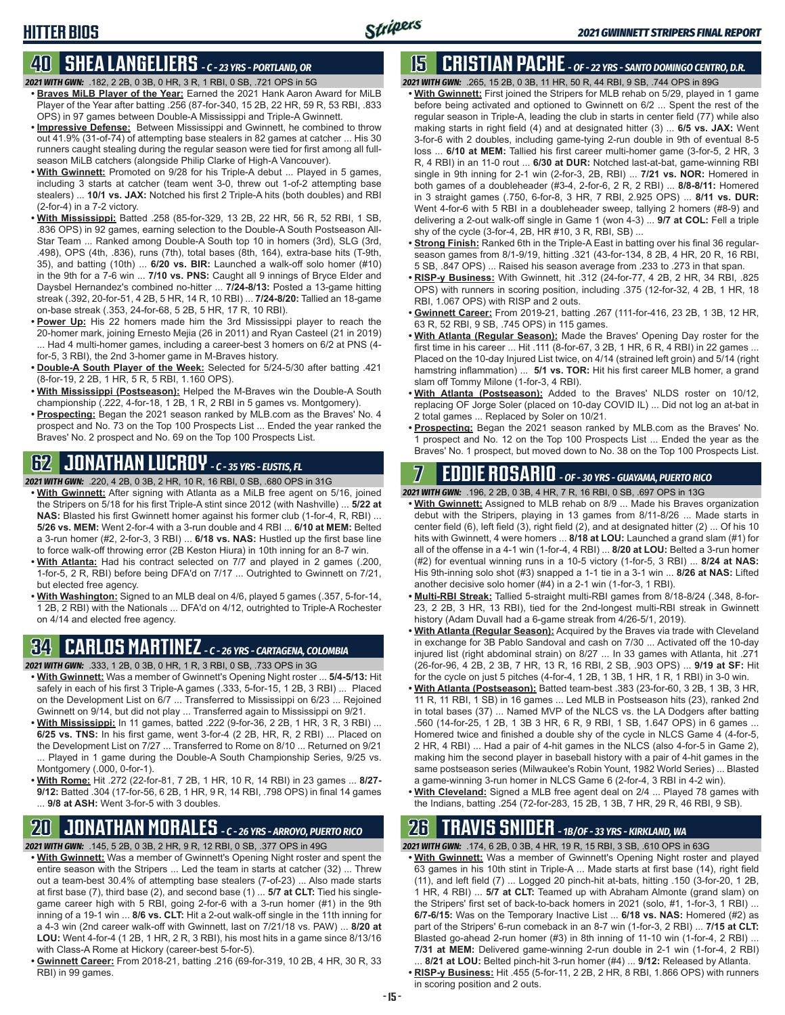#### **HITTER BIOS**

#### **40 SHEA LANGELIERS** *- C - 23 YRS - PORTLAND, OR*

- *2021 WITH GWN:*.182, 2 2B, 0 3B, 0 HR, 3 R, 1 RBI, 0 SB, .721 OPS in 5G
- **• Braves MiLB Player of the Year:** Earned the 2021 Hank Aaron Award for MiLB Player of the Year after batting .256 (87-for-340, 15 2B, 22 HR, 59 R, 53 RBI, .833 OPS) in 97 games between Double-A Mississippi and Triple-A Gwinnett.
- **• Impressive Defense:** Between Mississippi and Gwinnett, he combined to throw out 41.9% (31-of-74) of attempting base stealers in 82 games at catcher ... His 30 runners caught stealing during the regular season were tied for first among all fullseason MiLB catchers (alongside Philip Clarke of High-A Vancouver).
- **• With Gwinnett:** Promoted on 9/28 for his Triple-A debut ... Played in 5 games, including 3 starts at catcher (team went 3-0, threw out 1-of-2 attempting base stealers) ... **10/1 vs. JAX:** Notched his first 2 Triple-A hits (both doubles) and RBI (2-for-4) in a 7-2 victory.
- **• With Mississippi:** Batted .258 (85-for-329, 13 2B, 22 HR, 56 R, 52 RBI, 1 SB, .836 OPS) in 92 games, earning selection to the Double-A South Postseason All-Star Team ... Ranked among Double-A South top 10 in homers (3rd), SLG (3rd, .498), OPS (4th, .836), runs (7th), total bases (8th, 164), extra-base hits (T-9th, 35), and batting (10th) ... **6/20 vs. BIR:** Launched a walk-off solo homer (#10) in the 9th for a 7-6 win ... **7/10 vs. PNS:** Caught all 9 innings of Bryce Elder and Daysbel Hernandez's combined no-hitter ... **7/24-8/13:** Posted a 13-game hitting streak (.392, 20-for-51, 4 2B, 5 HR, 14 R, 10 RBI) ... **7/24-8/20:** Tallied an 18-game on-base streak (.353, 24-for-68, 5 2B, 5 HR, 17 R, 10 RBI).
- **• Power Up:** His 22 homers made him the 3rd Mississippi player to reach the 20-homer mark, joining Ernesto Mejia (26 in 2011) and Ryan Casteel (21 in 2019) ... Had 4 multi-homer games, including a career-best 3 homers on 6/2 at PNS (4 for-5, 3 RBI), the 2nd 3-homer game in M-Braves history.
- **• Double-A South Player of the Week:** Selected for 5/24-5/30 after batting .421 (8-for-19, 2 2B, 1 HR, 5 R, 5 RBI, 1.160 OPS).
- **• With Mississippi (Postseason):** Helped the M-Braves win the Double-A South championship (.222, 4-for-18, 1 2B, 1 R, 2 RBI in 5 games vs. Montgomery).
- **• Prospecting:** Began the 2021 season ranked by MLB.com as the Braves' No. 4 prospect and No. 73 on the Top 100 Prospects List ... Ended the year ranked the Braves' No. 2 prospect and No. 69 on the Top 100 Prospects List.

#### **62 JONATHAN LUCROY** *- C - 35 YRS - EUSTIS, FL*

*2021 WITH GWN:*.220, 4 2B, 0 3B, 2 HR, 10 R, 16 RBI, 0 SB, .680 OPS in 31G

- **• With Gwinnett:** After signing with Atlanta as a MiLB free agent on 5/16, joined the Stripers on 5/18 for his first Triple-A stint since 2012 (with Nashville) ... **5/22 at NAS:** Blasted his first Gwinnett homer against his former club (1-for-4, R, RBI) ... **5/26 vs. MEM:** Went 2-for-4 with a 3-run double and 4 RBI ... **6/10 at MEM:** Belted a 3-run homer (#2, 2-for-3, 3 RBI) ... **6/18 vs. NAS:** Hustled up the first base line to force walk-off throwing error (2B Keston Hiura) in 10th inning for an 8-7 win.
- **• With Atlanta:** Had his contract selected on 7/7 and played in 2 games (.200, 1-for-5, 2 R, RBI) before being DFA'd on 7/17 ... Outrighted to Gwinnett on 7/21, but elected free agency.
- **• With Washington:** Signed to an MLB deal on 4/6, played 5 games (.357, 5-for-14, 1 2B, 2 RBI) with the Nationals ... DFA'd on 4/12, outrighted to Triple-A Rochester on 4/14 and elected free agency.

#### **34 CARLOS MARTINEZ** *- C - 26 YRS - CARTAGENA, COLOMBIA*

*2021 WITH GWN:*.333, 1 2B, 0 3B, 0 HR, 1 R, 3 RBI, 0 SB, .733 OPS in 3G

- **• With Gwinnett:** Was a member of Gwinnett's Opening Night roster ... **5/4-5/13:** Hit safely in each of his first 3 Triple-A games (.333, 5-for-15, 1 2B, 3 RBI) ... Placed on the Development List on 6/7 ... Transferred to Mississippi on 6/23 ... Rejoined Gwinnett on 9/14, but did not play ... Transferred again to Mississippi on 9/21.
- **• With Mississippi:** In 11 games, batted .222 (9-for-36, 2 2B, 1 HR, 3 R, 3 RBI) ... **6/25 vs. TNS:** In his first game, went 3-for-4 (2 2B, HR, R, 2 RBI) ... Placed on the Development List on 7/27 ... Transferred to Rome on 8/10 ... Returned on 9/21 ... Played in 1 game during the Double-A South Championship Series, 9/25 vs. Montgomery (.000, 0-for-1).
- **• With Rome:** Hit .272 (22-for-81, 7 2B, 1 HR, 10 R, 14 RBI) in 23 games ... **8/27- 9/12:** Batted .304 (17-for-56, 6 2B, 1 HR, 9 R, 14 RBI, .798 OPS) in final 14 games ... **9/8 at ASH:** Went 3-for-5 with 3 doubles.

#### **20 JONATHAN MORALES** *- C - 26 YRS - ARROYO, PUERTO RICO*

*2021 WITH GWN:*.145, 5 2B, 0 3B, 2 HR, 9 R, 12 RBI, 0 SB, .377 OPS in 49G

- **• With Gwinnett:** Was a member of Gwinnett's Opening Night roster and spent the entire season with the Stripers ... Led the team in starts at catcher (32) ... Threw out a team-best 30.4% of attempting base stealers (7-of-23) ... Also made starts at first base (7), third base (2), and second base (1) ... **5/7 at CLT:** Tied his singlegame career high with 5 RBI, going 2-for-6 with a 3-run homer (#1) in the 9th inning of a 19-1 win ... **8/6 vs. CLT:** Hit a 2-out walk-off single in the 11th inning for a 4-3 win (2nd career walk-off with Gwinnett, last on 7/21/18 vs. PAW) ... **8/20 at LOU:** Went 4-for-4 (1 2B, 1 HR, 2 R, 3 RBI), his most hits in a game since 8/13/16 with Class-A Rome at Hickory (career-best 5-for-5).
- **• Gwinnett Career:** From 2018-21, batting .216 (69-for-319, 10 2B, 4 HR, 30 R, 33 RBI) in 99 games.

### **15 CRISTIAN PACHE** *- OF - 22 YRS - SANTO DOMINGO CENTRO, D.R.*

*2021 WITH GWN:*.265, 15 2B, 0 3B, 11 HR, 50 R, 44 RBI, 9 SB, .744 OPS in 89G

- **• With Gwinnett:** First joined the Stripers for MLB rehab on 5/29, played in 1 game before being activated and optioned to Gwinnett on 6/2 ... Spent the rest of the regular season in Triple-A, leading the club in starts in center field (77) while also making starts in right field (4) and at designated hitter (3) ... **6/5 vs. JAX:** Went 3-for-6 with 2 doubles, including game-tying 2-run double in 9th of eventual 8-5 loss ... **6/10 at MEM:** Tallied his first career multi-homer game (3-for-5, 2 HR, 3 R, 4 RBI) in an 11-0 rout ... **6/30 at DUR:** Notched last-at-bat, game-winning RBI single in 9th inning for 2-1 win (2-for-3, 2B, RBI) ... **7/21 vs. NOR:** Homered in both games of a doubleheader (#3-4, 2-for-6, 2 R, 2 RBI) ... **8/8-8/11:** Homered in 3 straight games (.750, 6-for-8, 3 HR, 7 RBI, 2.925 OPS) ... **8/11 vs. DUR:** Went 4-for-6 with 5 RBI in a doubleheader sweep, tallying 2 homers (#8-9) and delivering a 2-out walk-off single in Game 1 (won 4-3) ... **9/7 at COL:** Fell a triple shy of the cycle (3-for-4, 2B, HR #10, 3 R, RBI, SB) ...
- **• Strong Finish:** Ranked 6th in the Triple-A East in batting over his final 36 regularseason games from 8/1-9/19, hitting .321 (43-for-134, 8 2B, 4 HR, 20 R, 16 RBI, 5 SB, .847 OPS) ... Raised his season average from .233 to .273 in that span.
- **• RISP-y Business:** With Gwinnett, hit .312 (24-for-77, 4 2B, 2 HR, 34 RBI, .825 OPS) with runners in scoring position, including .375 (12-for-32, 4 2B, 1 HR, 18 RBI, 1.067 OPS) with RISP and 2 outs.
- **• Gwinnett Career:** From 2019-21, batting .267 (111-for-416, 23 2B, 1 3B, 12 HR, 63 R, 52 RBI, 9 SB, .745 OPS) in 115 games.
- **• With Atlanta (Regular Season):** Made the Braves' Opening Day roster for the first time in his career ... Hit .111 (8-for-67, 3 2B, 1 HR, 6 R, 4 RBI) in 22 games ... Placed on the 10-day Injured List twice, on 4/14 (strained left groin) and 5/14 (right hamstring inflammation) ... **5/1 vs. TOR:** Hit his first career MLB homer, a grand slam off Tommy Milone (1-for-3, 4 RBI).
- **• With Atlanta (Postseason):** Added to the Braves' NLDS roster on 10/12, replacing OF Jorge Soler (placed on 10-day COVID IL) ... Did not log an at-bat in 2 total games ... Replaced by Soler on 10/21.
- **• Prospecting:** Began the 2021 season ranked by MLB.com as the Braves' No. 1 prospect and No. 12 on the Top 100 Prospects List ... Ended the year as the Braves' No. 1 prospect, but moved down to No. 38 on the Top 100 Prospects List.

### **7 EDDIE ROSARIO** *- OF - 30 YRS - GUAYAMA, PUERTO RICO*

*2021 WITH GWN:*.196, 2 2B, 0 3B, 4 HR, 7 R, 16 RBI, 0 SB, .697 OPS in 13G

- **• With Gwinnett:** Assigned to MLB rehab on 8/9 ... Made his Braves organization debut with the Stripers, playing in 13 games from 8/11-8/26 ... Made starts in center field (6), left field (3), right field (2), and at designated hitter (2) ... Of his 10 hits with Gwinnett, 4 were homers ... **8/18 at LOU:** Launched a grand slam (#1) for all of the offense in a 4-1 win (1-for-4, 4 RBI) ... **8/20 at LOU:** Belted a 3-run homer (#2) for eventual winning runs in a 10-5 victory (1-for-5, 3 RBI) ... **8/24 at NAS:** His 9th-inning solo shot (#3) snapped a 1-1 tie in a 3-1 win ... **8/26 at NAS:** Lifted another decisive solo homer (#4) in a 2-1 win (1-for-3, 1 RBI).
- **• Multi-RBI Streak:** Tallied 5-straight multi-RBI games from 8/18-8/24 (.348, 8-for-23, 2 2B, 3 HR, 13 RBI), tied for the 2nd-longest multi-RBI streak in Gwinnett history (Adam Duvall had a 6-game streak from 4/26-5/1, 2019).
- **• With Atlanta (Regular Season):** Acquired by the Braves via trade with Cleveland in exchange for 3B Pablo Sandoval and cash on 7/30 ... Activated off the 10-day injured list (right abdominal strain) on 8/27 ... In 33 games with Atlanta, hit .271 (26-for-96, 4 2B, 2 3B, 7 HR, 13 R, 16 RBI, 2 SB, .903 OPS) ... **9/19 at SF:** Hit for the cycle on just 5 pitches (4-for-4, 1 2B, 1 3B, 1 HR, 1 R, 1 RBI) in 3-0 win.
- **• With Atlanta (Postseason):** Batted team-best .383 (23-for-60, 3 2B, 1 3B, 3 HR, 11 R, 11 RBI, 1 SB) in 16 games ... Led MLB in Postseason hits (23), ranked 2nd in total bases (37) ... Named MVP of the NLCS vs. the LA Dodgers after batting .560 (14-for-25, 1 2B, 1 3B 3 HR, 6 R, 9 RBI, 1 SB, 1.647 OPS) in 6 games ... Homered twice and finished a double shy of the cycle in NLCS Game 4 (4-for-5, 2 HR, 4 RBI) ... Had a pair of 4-hit games in the NLCS (also 4-for-5 in Game 2), making him the second player in baseball history with a pair of 4-hit games in the same postseason series (Milwaukee's Robin Yount, 1982 World Series) ... Blasted a game-winning 3-run homer in NLCS Game 6 (2-for-4, 3 RBI in 4-2 win).
- **• With Cleveland:** Signed a MLB free agent deal on 2/4 ... Played 78 games with the Indians, batting .254 (72-for-283, 15 2B, 1 3B, 7 HR, 29 R, 46 RBI, 9 SB).

#### **26 TRAVIS SNIDER** *- 1B/OF - 33 YRS - KIRKLAND, WA*

*2021 WITH GWN:*.174, 6 2B, 0 3B, 4 HR, 19 R, 15 RBI, 3 SB, .610 OPS in 63G

- **• With Gwinnett:** Was a member of Gwinnett's Opening Night roster and played 63 games in his 10th stint in Triple-A ... Made starts at first base (14), right field (11), and left field (7) ... Logged 20 pinch-hit at-bats, hitting .150 (3-for-20, 1 2B, 1 HR, 4 RBI) ... **5/7 at CLT:** Teamed up with Abraham Almonte (grand slam) on the Stripers' first set of back-to-back homers in 2021 (solo, #1, 1-for-3, 1 RBI) ... **6/7-6/15:** Was on the Temporary Inactive List ... **6/18 vs. NAS:** Homered (#2) as part of the Stripers' 6-run comeback in an 8-7 win (1-for-3, 2 RBI) ... **7/15 at CLT:** Blasted go-ahead 2-run homer (#3) in 8th inning of 11-10 win (1-for-4, 2 RBI) ... **7/31 at MEM:** Delivered game-winning 2-run double in 2-1 win (1-for-4, 2 RBI)
- ... **8/21 at LOU:** Belted pinch-hit 3-run homer (#4) ... **9/12:** Released by Atlanta. **• RISP-y Business:** Hit .455 (5-for-11, 2 2B, 2 HR, 8 RBI, 1.866 OPS) with runners in scoring position and 2 outs.